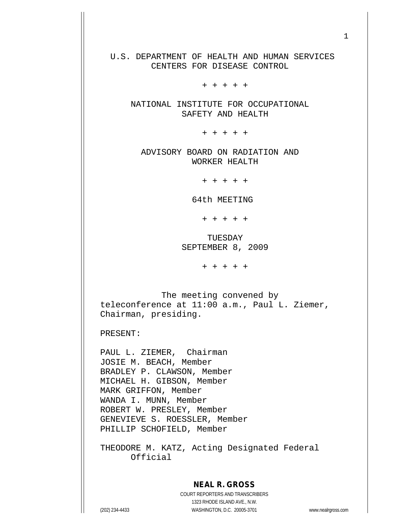U.S. DEPARTMENT OF HEALTH AND HUMAN SERVICES CENTERS FOR DISEASE CONTROL

+ + + + +

 NATIONAL INSTITUTE FOR OCCUPATIONAL SAFETY AND HEALTH

+ + + + +

 ADVISORY BOARD ON RADIATION AND WORKER HEALTH

+ + + + +

64th MEETING

+ + + + +

 TUESDAY SEPTEMBER 8, 2009

+ + + + +

 The meeting convened by teleconference at 11:00 a.m., Paul L. Ziemer, Chairman, presiding.

PRESENT:

PAUL L. ZIEMER, Chairman JOSIE M. BEACH, Member BRADLEY P. CLAWSON, Member MICHAEL H. GIBSON, Member MARK GRIFFON, Member WANDA I. MUNN, Member ROBERT W. PRESLEY, Member GENEVIEVE S. ROESSLER, Member PHILLIP SCHOFIELD, Member

THEODORE M. KATZ, Acting Designated Federal Official

## **NEAL R. GROSS**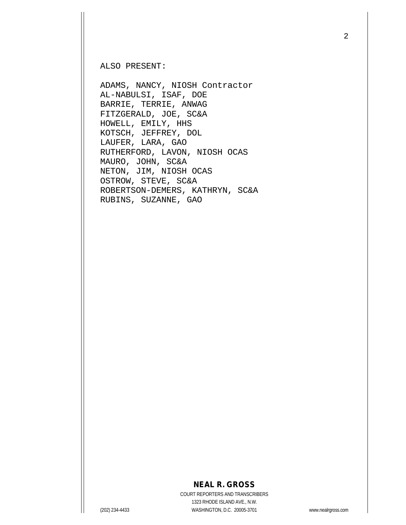ALSO PRESENT:

ADAMS, NANCY, NIOSH Contractor AL-NABULSI, ISAF, DOE BARRIE, TERRIE, ANWAG FITZGERALD, JOE, SC&A HOWELL, EMILY, HHS KOTSCH, JEFFREY, DOL LAUFER, LARA, GAO RUTHERFORD, LAVON, NIOSH OCAS MAURO, JOHN, SC&A NETON, JIM, NIOSH OCAS OSTROW, STEVE, SC&A ROBERTSON-DEMERS, KATHRYN, SC&A RUBINS, SUZANNE, GAO

## **NEAL R. GROSS**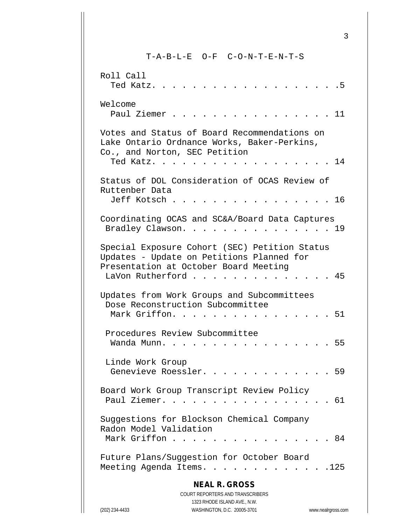T-A-B-L-E O-F C-O-N-T-E-N-T-S

| Roll Call                                                                                                                                               | Ted Katz. .  |                     |                                                                                                                         |               |                                                                 |                      |  |  |  |  | . 5                |
|---------------------------------------------------------------------------------------------------------------------------------------------------------|--------------|---------------------|-------------------------------------------------------------------------------------------------------------------------|---------------|-----------------------------------------------------------------|----------------------|--|--|--|--|--------------------|
| Welcome                                                                                                                                                 | Paul Ziemer. |                     |                                                                                                                         |               |                                                                 |                      |  |  |  |  | . 11               |
| Votes and Status of Board Recommendations on<br>Lake Ontario Ordnance Works, Baker-Perkins,<br>Co., and Norton, SEC Petition                            |              | Ted Katz.           |                                                                                                                         | $\sim$ $\sim$ |                                                                 | $\cdot$ .            |  |  |  |  | $\ldots$ . 14      |
| Status of DOL Consideration of OCAS Review of<br>Ruttenber Data                                                                                         |              | Jeff Kotsch         |                                                                                                                         |               |                                                                 |                      |  |  |  |  | $\ldots$ 16        |
| Coordinating OCAS and SC&A/Board Data Captures<br>Bradley Clawson. 19                                                                                   |              |                     |                                                                                                                         |               |                                                                 |                      |  |  |  |  |                    |
| Special Exposure Cohort (SEC) Petition Status<br>Updates - Update on Petitions Planned for<br>Presentation at October Board Meeting<br>LaVon Rutherford |              |                     |                                                                                                                         |               | $\cdot$ $\cdot$ $\cdot$ $\cdot$ $\cdot$ $\cdot$ $\cdot$ $\cdot$ |                      |  |  |  |  | . . 45             |
| Updates from Work Groups and Subcommittees<br>Dose Reconstruction Subcommittee                                                                          |              | Mark Griffon.       |                                                                                                                         |               |                                                                 | $\ddot{\phantom{1}}$ |  |  |  |  | 51                 |
| Procedures Review Subcommittee                                                                                                                          | Wanda Munn.  |                     |                                                                                                                         |               |                                                                 |                      |  |  |  |  | 55                 |
| Linde Work Group                                                                                                                                        |              | Genevieve Roessler. |                                                                                                                         |               |                                                                 |                      |  |  |  |  | 59                 |
| Board Work Group Transcript Review Policy<br>Paul Ziemer.                                                                                               |              |                     |                                                                                                                         |               |                                                                 |                      |  |  |  |  | 61                 |
| Suggestions for Blockson Chemical Company<br>Radon Model Validation<br>Mark Griffon                                                                     |              |                     |                                                                                                                         |               |                                                                 |                      |  |  |  |  | . 84               |
| Future Plans/Suggestion for October Board<br>Meeting Agenda Items.                                                                                      |              |                     |                                                                                                                         |               |                                                                 |                      |  |  |  |  | .125               |
| (202) 234-4433                                                                                                                                          |              |                     | <b>NEAL R. GROSS</b><br>COURT REPORTERS AND TRANSCRIBERS<br>1323 RHODE ISLAND AVE., N.W.<br>WASHINGTON, D.C. 20005-3701 |               |                                                                 |                      |  |  |  |  | www.nealrgross.com |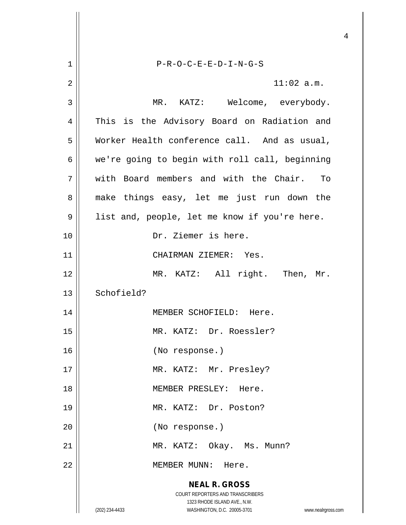**NEAL R. GROSS** COURT REPORTERS AND TRANSCRIBERS 1323 RHODE ISLAND AVE., N.W. (202) 234-4433 WASHINGTON, D.C. 20005-3701 www.nealrgross.com 1 P-R-O-C-E-E-D-I-N-G-S  $2 \parallel$  11:02 a.m. 3 MR. KATZ: Welcome, everybody. 4 || This is the Advisory Board on Radiation and 5 Worker Health conference call. And as usual,  $6 \parallel$  we're going to begin with roll call, beginning 7 with Board members and with the Chair. To 8 || make things easy, let me just run down the 9 || list and, people, let me know if you're here. 10 Dr. Ziemer is here. 11 || CHAIRMAN ZIEMER: Yes. 12 MR. KATZ: All right. Then, Mr.  $13$  Schofield? 14 || MEMBER SCHOFIELD: Here. 15 MR. KATZ: Dr. Roessler? 16 (No response.) 17 || MR. KATZ: Mr. Presley? 18 MEMBER PRESLEY: Here. 19 MR. KATZ: Dr. Poston? 20 (No response.) 21 || MR. KATZ: Okay. Ms. Munn? 22 | NEMBER MUNN: Here.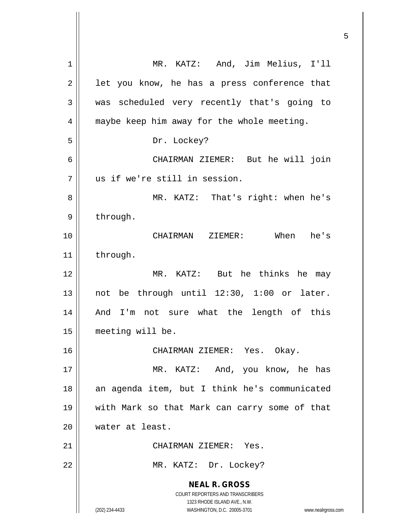| $\mathbf{1}$   | MR. KATZ: And, Jim Melius, I'll                                                                                                                                 |
|----------------|-----------------------------------------------------------------------------------------------------------------------------------------------------------------|
| $\overline{2}$ | let you know, he has a press conference that                                                                                                                    |
| 3              | was scheduled very recently that's going to                                                                                                                     |
| 4              | maybe keep him away for the whole meeting.                                                                                                                      |
| 5              | Dr. Lockey?                                                                                                                                                     |
| 6              | CHAIRMAN ZIEMER: But he will join                                                                                                                               |
| 7              | us if we're still in session.                                                                                                                                   |
| 8              | MR. KATZ: That's right: when he's                                                                                                                               |
| 9              | through.                                                                                                                                                        |
| 10             | CHAIRMAN ZIEMER: When he's                                                                                                                                      |
| 11             | through.                                                                                                                                                        |
| 12             | MR. KATZ: But he thinks he may                                                                                                                                  |
| 13             | not be through until 12:30, 1:00 or later.                                                                                                                      |
| 14             | And I'm not sure what the length of this                                                                                                                        |
| 15             | meeting will be.                                                                                                                                                |
| 16             | CHAIRMAN ZIEMER: Yes. Okay.                                                                                                                                     |
| 17             | MR. KATZ: And, you know, he has                                                                                                                                 |
| 18             | an agenda item, but I think he's communicated                                                                                                                   |
| 19             | with Mark so that Mark can carry some of that                                                                                                                   |
| 20             | water at least.                                                                                                                                                 |
| 21             | CHAIRMAN ZIEMER: Yes.                                                                                                                                           |
| 22             | MR. KATZ: Dr. Lockey?                                                                                                                                           |
|                | <b>NEAL R. GROSS</b><br>COURT REPORTERS AND TRANSCRIBERS<br>1323 RHODE ISLAND AVE., N.W.<br>WASHINGTON, D.C. 20005-3701<br>(202) 234-4433<br>www.nealrgross.com |

 $\overline{\phantom{a}}$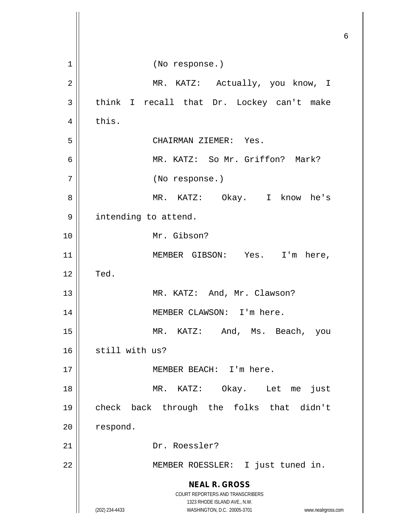**NEAL R. GROSS** COURT REPORTERS AND TRANSCRIBERS 1323 RHODE ISLAND AVE., N.W. (202) 234-4433 WASHINGTON, D.C. 20005-3701 www.nealrgross.com 1 || (No response.) 2 MR. KATZ: Actually, you know, I  $3 \parallel$  think I recall that Dr. Lockey can't make  $4 \parallel$  this. 5 CHAIRMAN ZIEMER: Yes. 6 MR. KATZ: So Mr. Griffon? Mark? 7 (No response.) 8 MR. KATZ: Okay. I know he's 9 | intending to attend. 10 Mr. Gibson? 11 || MEMBER GIBSON: Yes. I'm here,  $12$   $\parallel$  Ted. 13 || MR. KATZ: And, Mr. Clawson? 14 || MEMBER CLAWSON: I'm here. 15 MR. KATZ: And, Ms. Beach, you  $16$  still with us? 17 || MEMBER BEACH: I'm here. 18 MR. KATZ: Okay. Let me just 19 check back through the folks that didn't 20 | respond. 21 || Dr. Roessler? 22 || MEMBER ROESSLER: I just tuned in.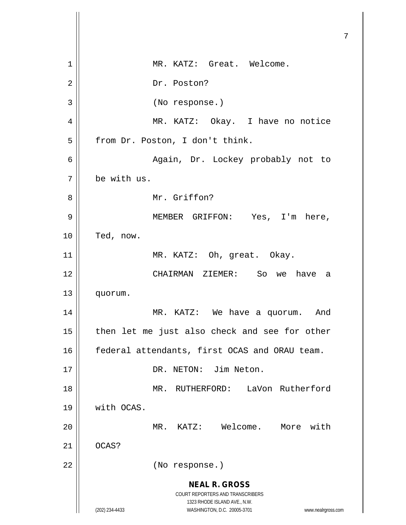| 1              | MR. KATZ: Great. Welcome.                                                                                                                      |
|----------------|------------------------------------------------------------------------------------------------------------------------------------------------|
| $\overline{2}$ | Dr. Poston?                                                                                                                                    |
| 3              | (No response.)                                                                                                                                 |
| 4              | MR. KATZ: Okay. I have no notice                                                                                                               |
| 5              | from Dr. Poston, I don't think.                                                                                                                |
| 6              | Again, Dr. Lockey probably not to                                                                                                              |
| 7              | be with us.                                                                                                                                    |
| 8              | Mr. Griffon?                                                                                                                                   |
| 9              | MEMBER GRIFFON: Yes, I'm here,                                                                                                                 |
| 10             | Ted, now.                                                                                                                                      |
| 11             | MR. KATZ: Oh, great. Okay.                                                                                                                     |
| 12             | CHAIRMAN ZIEMER: So we have<br>a a                                                                                                             |
| 13             | quorum.                                                                                                                                        |
| 14             | MR. KATZ: We have a quorum. And                                                                                                                |
| 15             | then let me just also check and see for other                                                                                                  |
| 16             | federal attendants, first OCAS and ORAU team.                                                                                                  |
| 17             | DR. NETON: Jim Neton.                                                                                                                          |
| 18             | MR. RUTHERFORD: LaVon Rutherford                                                                                                               |
| 19             | with OCAS.                                                                                                                                     |
| 20             | MR. KATZ: Welcome. More with                                                                                                                   |
| 21             | OCAS?                                                                                                                                          |
| 22             | (No response.)                                                                                                                                 |
|                | <b>NEAL R. GROSS</b>                                                                                                                           |
|                | <b>COURT REPORTERS AND TRANSCRIBERS</b><br>1323 RHODE ISLAND AVE., N.W.<br>(202) 234-4433<br>WASHINGTON, D.C. 20005-3701<br>www.nealrgross.com |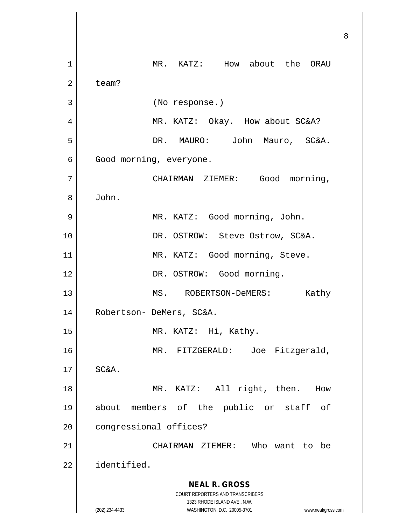**NEAL R. GROSS** COURT REPORTERS AND TRANSCRIBERS 1323 RHODE ISLAND AVE., N.W. (202) 234-4433 WASHINGTON, D.C. 20005-3701 www.nealrgross.com 1 | MR. KATZ: How about the ORAU  $2 \parallel$  team? 3 (No response.) 4 MR. KATZ: Okay. How about SC&A? 5 DR. MAURO: John Mauro, SC&A. 6 Good morning, everyone. 7 || CHAIRMAN ZIEMER: Good morning, 8 John. 9 MR. KATZ: Good morning, John. 10 DR. OSTROW: Steve Ostrow, SC&A. 11 || MR. KATZ: Good morning, Steve. 12 || DR. OSTROW: Good morning. 13 || MS. ROBERTSON-DeMERS: Kathy 14 || Robertson- DeMers, SC&A. 15 || MR. KATZ: Hi, Kathy. 16 MR. FITZGERALD: Joe Fitzgerald,  $17 \parallel$  SC&A. 18 || MR. KATZ: All right, then. How 19 about members of the public or staff of 20 | congressional offices? 21 CHAIRMAN ZIEMER: Who want to be 22 identified.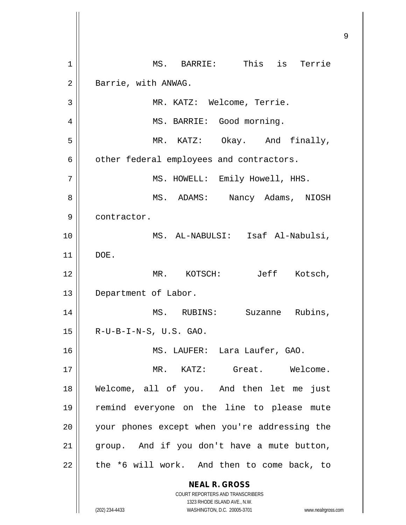**NEAL R. GROSS** COURT REPORTERS AND TRANSCRIBERS 1323 RHODE ISLAND AVE., N.W. (202) 234-4433 WASHINGTON, D.C. 20005-3701 www.nealrgross.com 1 || MS. BARRIE: This is Terrie 2 | Barrie, with ANWAG. 3 MR. KATZ: Welcome, Terrie. 4 | MS. BARRIE: Good morning. 5 || MR. KATZ: Okay. And finally,  $6 \parallel$  other federal employees and contractors. 7 || MS. HOWELL: Emily Howell, HHS. 8 MS. ADAMS: Nancy Adams, NIOSH 9 | contractor. 10 MS. AL-NABULSI: Isaf Al-Nabulsi, 11 DOE. 12 MR. KOTSCH: Jeff Kotsch, 13 | Department of Labor. 14 MS. RUBINS: Suzanne Rubins,  $15$  | R-U-B-I-N-S, U.S. GAO. 16 MS. LAUFER: Lara Laufer, GAO. 17 MR. KATZ: Great. Welcome. 18 Welcome, all of you. And then let me just 19 remind everyone on the line to please mute 20 || your phones except when you're addressing the  $21$  group. And if you don't have a mute button,  $22$  | the \*6 will work. And then to come back, to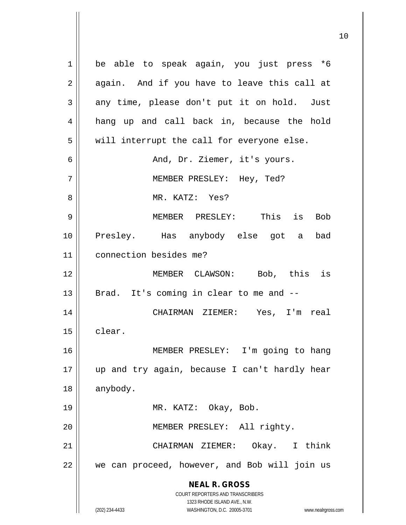**NEAL R. GROSS** COURT REPORTERS AND TRANSCRIBERS 1323 RHODE ISLAND AVE., N.W. (202) 234-4433 WASHINGTON, D.C. 20005-3701 www.nealrgross.com 1 be able to speak again, you just press \*6  $2 \parallel$  again. And if you have to leave this call at  $3 \parallel$  any time, please don't put it on hold. Just 4 hang up and call back in, because the hold  $5$  || will interrupt the call for everyone else. 6 And, Dr. Ziemer, it's yours. 7 MEMBER PRESLEY: Hey, Ted? 8 MR. KATZ: Yes? 9 MEMBER PRESLEY: This is Bob 10 Presley. Has anybody else got a bad 11 connection besides me? 12 MEMBER CLAWSON: Bob, this is  $13$  | Brad. It's coming in clear to me and  $-$ 14 CHAIRMAN ZIEMER: Yes, I'm real 15 | clear. 16 MEMBER PRESLEY: I'm going to hang 17 up and try again, because I can't hardly hear 18 || anybody. 19 || MR. KATZ: Okay, Bob. 20 || **MEMBER PRESLEY:** All righty. 21 CHAIRMAN ZIEMER: Okay. I think  $22$   $\parallel$  we can proceed, however, and Bob will join us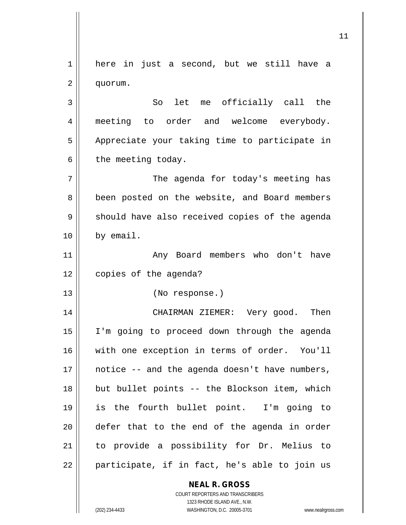**NEAL R. GROSS** COURT REPORTERS AND TRANSCRIBERS 1 here in just a second, but we still have a 2 quorum. 3 || So let me officially call the 4 || meeting to order and welcome everybody. 5 | Appreciate your taking time to participate in  $6 \parallel$  the meeting today. 7 || The agenda for today's meeting has 8 || been posted on the website, and Board members  $9 \parallel$  should have also received copies of the agenda 10 by email. 11 || Any Board members who don't have 12 | copies of the agenda? 13 (No response.) 14 CHAIRMAN ZIEMER: Very good. Then 15 I'm going to proceed down through the agenda 16 || with one exception in terms of order. You'll 17 notice -- and the agenda doesn't have numbers, 18 || but bullet points -- the Blockson item, which 19 is the fourth bullet point. I'm going to 20 defer that to the end of the agenda in order 21 to provide a possibility for Dr. Melius to  $22$  || participate, if in fact, he's able to join us

1323 RHODE ISLAND AVE., N.W.

(202) 234-4433 WASHINGTON, D.C. 20005-3701 www.nealrgross.com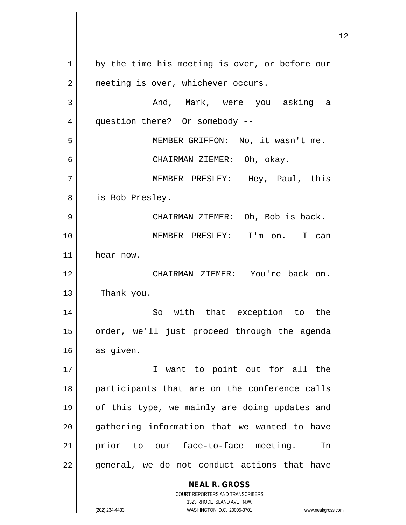**NEAL R. GROSS** COURT REPORTERS AND TRANSCRIBERS 1323 RHODE ISLAND AVE., N.W. 1 || by the time his meeting is over, or before our 2 | meeting is over, whichever occurs. 3 And, Mark, were you asking a 4 | question there? Or somebody --5 MEMBER GRIFFON: No, it wasn't me. 6 CHAIRMAN ZIEMER: Oh, okay. 7 MEMBER PRESLEY: Hey, Paul, this 8 || is Bob Presley. 9 CHAIRMAN ZIEMER: Oh, Bob is back. 10 MEMBER PRESLEY: I'm on. I can 11 hear now. 12 CHAIRMAN ZIEMER: You're back on. 13 | Thank you. 14 || So with that exception to the 15 || order, we'll just proceed through the agenda 16 as given. 17 || T want to point out for all the 18 || participants that are on the conference calls 19 || of this type, we mainly are doing updates and 20 || gathering information that we wanted to have 21 prior to our face-to-face meeting. In  $22$  || general, we do not conduct actions that have

(202) 234-4433 WASHINGTON, D.C. 20005-3701 www.nealrgross.com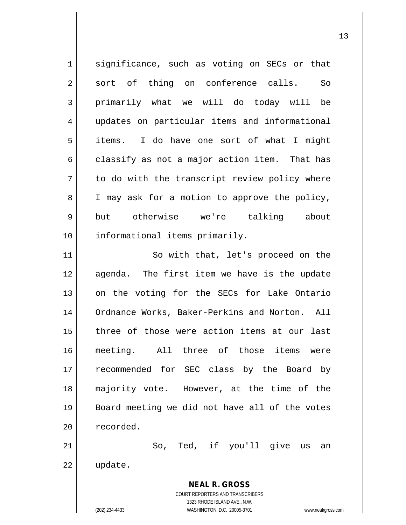**NEAL R. GROSS** COURT REPORTERS AND TRANSCRIBERS 1323 RHODE ISLAND AVE., N.W. 1 || significance, such as voting on SECs or that  $2 \parallel$  sort of thing on conference calls. So 3 primarily what we will do today will be 4 updates on particular items and informational 5 items. I do have one sort of what I might  $6 \parallel$  classify as not a major action item. That has  $7 \parallel$  to do with the transcript review policy where 8 || I may ask for a motion to approve the policy, 9 but otherwise we're talking about 10 || informational items primarily. 11 || So with that, let's proceed on the 12 agenda. The first item we have is the update 13 || on the voting for the SECs for Lake Ontario 14 || Ordnance Works, Baker-Perkins and Norton. All 15 three of those were action items at our last 16 meeting. All three of those items were 17 || recommended for SEC class by the Board by 18 majority vote. However, at the time of the 19 Board meeting we did not have all of the votes 20 | recorded.  $21$   $\parallel$  So, Ted, if you'll give us an 22 update.

(202) 234-4433 WASHINGTON, D.C. 20005-3701 www.nealrgross.com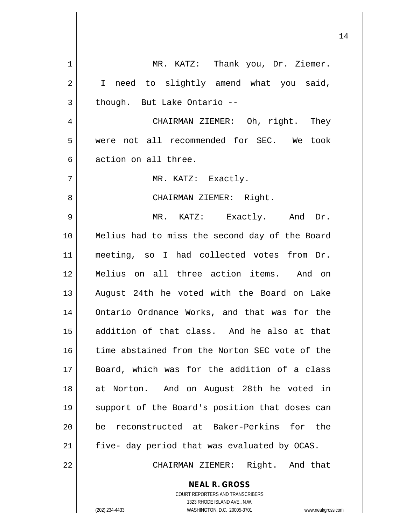| 1  | MR. KATZ: Thank you, Dr. Ziemer.                                                                 |
|----|--------------------------------------------------------------------------------------------------|
| 2  | I need to slightly amend what you said,                                                          |
| 3  | though. But Lake Ontario --                                                                      |
| 4  | CHAIRMAN ZIEMER: Oh, right. They                                                                 |
| 5  | were not all recommended for SEC. We took                                                        |
| 6  | action on all three.                                                                             |
| 7  | MR. KATZ: Exactly.                                                                               |
| 8  | CHAIRMAN ZIEMER: Right.                                                                          |
| 9  | MR. KATZ: Exactly. And Dr.                                                                       |
| 10 | Melius had to miss the second day of the Board                                                   |
| 11 | meeting, so I had collected votes from Dr.                                                       |
| 12 | Melius on all three action items. And on                                                         |
| 13 | August 24th he voted with the Board on Lake                                                      |
| 14 | Ontario Ordnance Works, and that was for the                                                     |
| 15 | addition of that class. And he also at that                                                      |
| 16 | time abstained from the Norton SEC vote of the                                                   |
| 17 | Board, which was for the addition of a class                                                     |
| 18 | at Norton. And on August 28th he voted in                                                        |
| 19 | support of the Board's position that doses can                                                   |
| 20 | reconstructed at Baker-Perkins for the<br>be                                                     |
| 21 | five- day period that was evaluated by OCAS.                                                     |
| 22 | CHAIRMAN ZIEMER: Right. And that                                                                 |
|    | <b>NEAL R. GROSS</b>                                                                             |
|    | COURT REPORTERS AND TRANSCRIBERS                                                                 |
|    | 1323 RHODE ISLAND AVE., N.W.<br>(202) 234-4433<br>WASHINGTON, D.C. 20005-3701<br>www.nealrgross. |
|    |                                                                                                  |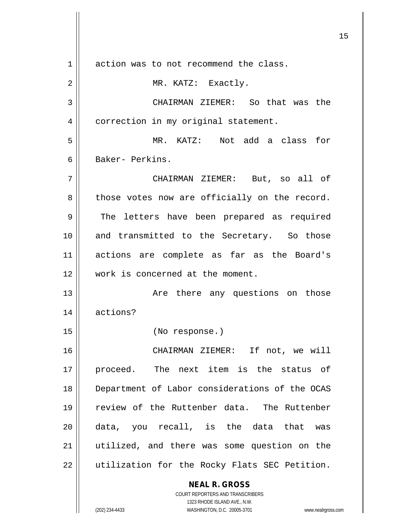**NEAL R. GROSS** COURT REPORTERS AND TRANSCRIBERS 1323 RHODE ISLAND AVE., N.W. 1 action was to not recommend the class. 2 | MR. KATZ: Exactly. 3 CHAIRMAN ZIEMER: So that was the 4 | correction in my original statement. 5 MR. KATZ: Not add a class for 6 Baker- Perkins. 7 CHAIRMAN ZIEMER: But, so all of  $8 \parallel$  those votes now are officially on the record. 9 The letters have been prepared as required 10 || and transmitted to the Secretary. So those 11 actions are complete as far as the Board's 12 Work is concerned at the moment. 13 Are there any questions on those 14 actions? 15 (No response.) 16 CHAIRMAN ZIEMER: If not, we will 17 proceed. The next item is the status of 18 Department of Labor considerations of the OCAS 19 review of the Ruttenber data. The Ruttenber 20 data, you recall, is the data that was 21 utilized, and there was some question on the 22 || utilization for the Rocky Flats SEC Petition.

(202) 234-4433 WASHINGTON, D.C. 20005-3701 www.nealrgross.com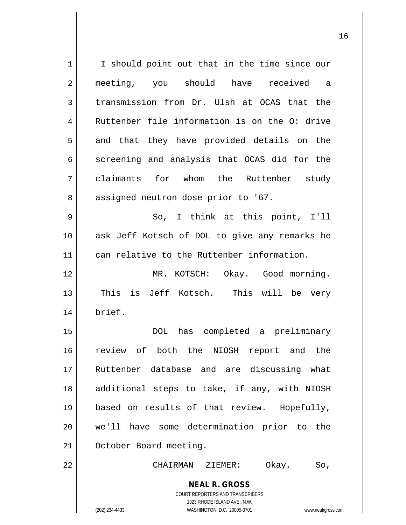**NEAL R. GROSS** COURT REPORTERS AND TRANSCRIBERS 1323 RHODE ISLAND AVE., N.W. (202) 234-4433 WASHINGTON, D.C. 20005-3701 www.nealrgross.com 1 || I should point out that in the time since our 2 || meeting, you should have received a  $3 \parallel$  transmission from Dr. Ulsh at OCAS that the 4 Ruttenber file information is on the O: drive  $5 \parallel$  and that they have provided details on the  $6 \parallel$  screening and analysis that OCAS did for the 7 claimants for whom the Ruttenber study 8 | assigned neutron dose prior to '67. 9 || So, I think at this point, I'll 10 ask Jeff Kotsch of DOL to give any remarks he 11 can relative to the Ruttenber information. 12 MR. KOTSCH: Okay. Good morning. 13 || This is Jeff Kotsch. This will be very 14 brief. 15 DOL has completed a preliminary 16 review of both the NIOSH report and the 17 Ruttenber database and are discussing what 18 || additional steps to take, if any, with NIOSH 19 based on results of that review. Hopefully, 20 we'll have some determination prior to the 21 | October Board meeting. 22 CHAIRMAN ZIEMER: Okay. So,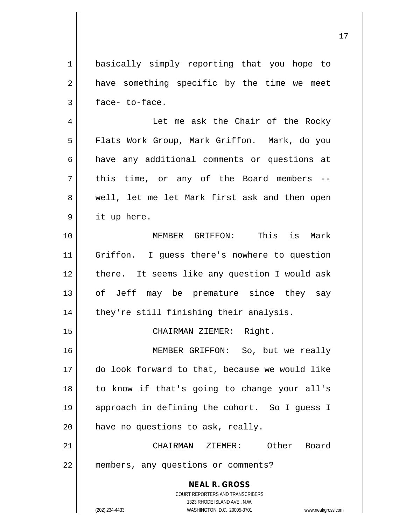**NEAL R. GROSS** COURT REPORTERS AND TRANSCRIBERS 1323 RHODE ISLAND AVE., N.W. 1 | basically simply reporting that you hope to  $2 \parallel$  have something specific by the time we meet  $3 \parallel$  face-to-face. 4 Let me ask the Chair of the Rocky 5 | Flats Work Group, Mark Griffon. Mark, do you 6 have any additional comments or questions at  $7 \parallel$  this time, or any of the Board members --8 well, let me let Mark first ask and then open  $9 \parallel$  it up here. 10 MEMBER GRIFFON: This is Mark 11 || Griffon. I guess there's nowhere to question 12 || there. It seems like any question I would ask 13 || of Jeff may be premature since they say 14 || they're still finishing their analysis. 15 || CHAIRMAN ZIEMER: Right. 16 MEMBER GRIFFON: So, but we really 17 do look forward to that, because we would like 18 to know if that's going to change your all's 19 approach in defining the cohort. So I guess I  $20$  | have no questions to ask, really. 21 CHAIRMAN ZIEMER: Other Board 22 members, any questions or comments?

(202) 234-4433 WASHINGTON, D.C. 20005-3701 www.nealrgross.com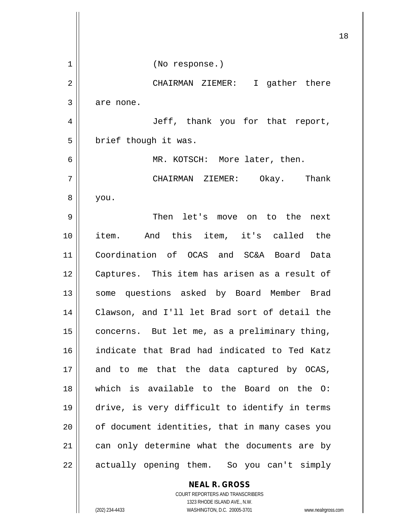|    | 18                                             |
|----|------------------------------------------------|
| 1  | (No response.)                                 |
| 2  | CHAIRMAN ZIEMER: I gather there                |
| 3  | are none.                                      |
| 4  | Jeff, thank you for that report,               |
| 5  | brief though it was.                           |
| 6  | MR. KOTSCH: More later, then.                  |
| 7  | CHAIRMAN ZIEMER: Okay. Thank                   |
| 8  | you.                                           |
| 9  | Then let's move on to the next                 |
| 10 | item. And this item, it's called the           |
| 11 | Coordination of OCAS and SC&A Board Data       |
| 12 | Captures. This item has arisen as a result of  |
| 13 | some questions asked by Board Member Brad      |
| 14 | Clawson, and I'll let Brad sort of detail the  |
| 15 | concerns. But let me, as a preliminary thing,  |
| 16 | indicate that Brad had indicated to Ted Katz   |
| 17 | and to me that the data captured by OCAS,      |
| 18 | which is available to the Board on the O:      |
| 19 | drive, is very difficult to identify in terms  |
| 20 | of document identities, that in many cases you |
| 21 | can only determine what the documents are by   |
| 22 | actually opening them. So you can't simply     |
|    | <b>NEAL R. GROSS</b>                           |

COURT REPORTERS AND TRANSCRIBERS 1323 RHODE ISLAND AVE., N.W. (202) 234-4433 WASHINGTON, D.C. 20005-3701 www.nealrgross.com

 $\mathsf{II}$ 

 $\overline{\mathsf{I}}$  $\mathbb{I}$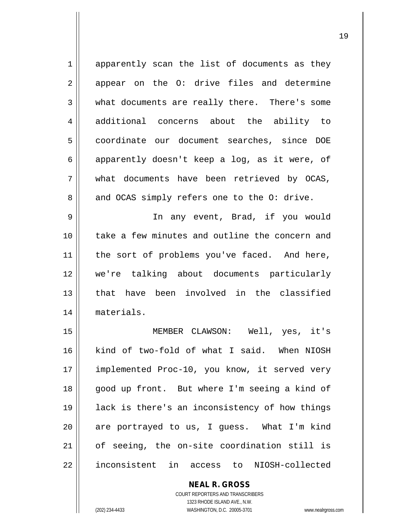| $\mathbf 1$ | apparently scan the list of documents as they  |
|-------------|------------------------------------------------|
| 2           | appear on the O: drive files and determine     |
| 3           | what documents are really there. There's some  |
| 4           | additional concerns about the ability to       |
| 5           | coordinate our document searches, since DOE    |
| 6           | apparently doesn't keep a log, as it were, of  |
| 7           | what documents have been retrieved by OCAS,    |
| 8           | and OCAS simply refers one to the O: drive.    |
| 9           | In any event, Brad, if you would               |
| 10          | take a few minutes and outline the concern and |
| 11          | the sort of problems you've faced. And here,   |
| 12          | we're talking about documents particularly     |
| 13          | have been involved in the classified<br>that   |
| 14          | materials.                                     |
| 15          | MEMBER CLAWSON: Well, yes, it's                |
| 16          | kind of two-fold of what I said. When NIOSH    |
| 17          | implemented Proc-10, you know, it served very  |
| 18          | good up front. But where I'm seeing a kind of  |
| 19          | lack is there's an inconsistency of how things |
| 20          | are portrayed to us, I guess. What I'm kind    |
| 21          | of seeing, the on-site coordination still is   |
| 22          | inconsistent in access to NIOSH-collected      |

**NEAL R. GROSS** COURT REPORTERS AND TRANSCRIBERS 1323 RHODE ISLAND AVE., N.W. (202) 234-4433 WASHINGTON, D.C. 20005-3701 www.nealrgross.com

 $\mathsf{II}$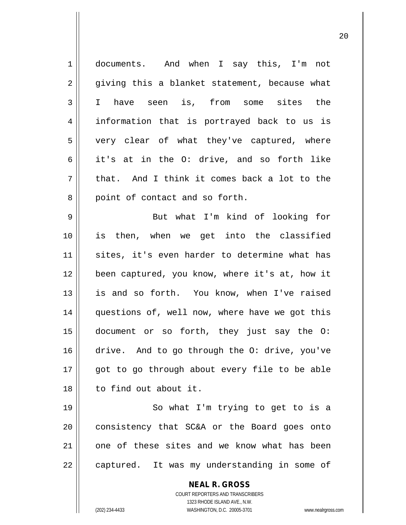| $\mathbf 1$    | documents. And when I say this, I'm not                                                  |
|----------------|------------------------------------------------------------------------------------------|
| 2              | giving this a blanket statement, because what                                            |
| 3              | have seen is, from some sites the<br>$\mathbf I$                                         |
| $\overline{4}$ | information that is portrayed back to us is                                              |
| 5              | very clear of what they've captured, where                                               |
| 6              | it's at in the O: drive, and so forth like                                               |
| 7              | that. And I think it comes back a lot to the                                             |
| 8              | point of contact and so forth.                                                           |
| 9              | But what I'm kind of looking for                                                         |
| 10             | is then, when we get into the classified                                                 |
| 11             | sites, it's even harder to determine what has                                            |
| 12             | been captured, you know, where it's at, how it                                           |
| 13             | is and so forth. You know, when I've raised                                              |
| 14             | questions of, well now, where have we got this                                           |
| 15             | document or so forth, they just say the O:                                               |
| 16             | drive. And to go through the O: drive, you've                                            |
| 17             | got to go through about every file to be able                                            |
| 18             | to find out about it.                                                                    |
| 19             | So what I'm trying to get to is a                                                        |
| 20             | consistency that SC&A or the Board goes onto                                             |
| 21             | one of these sites and we know what has been                                             |
| 22             | captured. It was my understanding in some of                                             |
|                | <b>NEAL R. GROSS</b><br>COURT REPORTERS AND TRANSCRIBERS<br>1323 RHODE ISLAND AVE., N.W. |
|                | (202) 234-4433<br>WASHINGTON, D.C. 20005-3701<br>www.nealrgross.                         |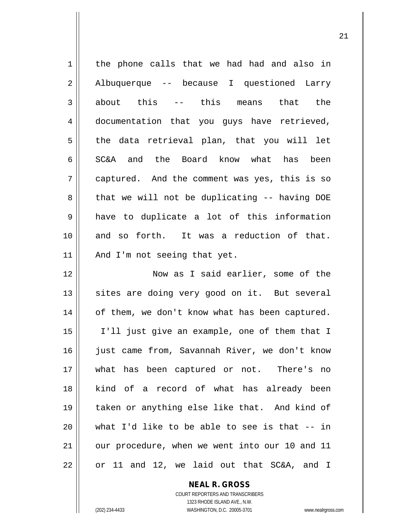| the phone calls that we had had and also in    |
|------------------------------------------------|
| Albuquerque -- because I questioned Larry      |
| about this -- this means<br>that the           |
| documentation that you guys have retrieved,    |
| the data retrieval plan, that you will let     |
| and the Board know what has been<br>SC&A       |
| captured. And the comment was yes, this is so  |
| that we will not be duplicating -- having DOE  |
| have to duplicate a lot of this information    |
| and so forth. It was a reduction of that.      |
| And I'm not seeing that yet.                   |
| Now as I said earlier, some of the             |
| sites are doing very good on it. But several   |
| of them, we don't know what has been captured. |
| I'll just give an example, one of them that I  |
| just came from, Savannah River, we don't know  |
| what has been captured or not. There's no      |
| kind of a record of what has already been      |
| taken or anything else like that. And kind of  |
| what I'd like to be able to see is that $-$ in |
|                                                |
| our procedure, when we went into our 10 and 11 |
|                                                |

**NEAL R. GROSS** COURT REPORTERS AND TRANSCRIBERS 1323 RHODE ISLAND AVE., N.W. (202) 234-4433 WASHINGTON, D.C. 20005-3701 www.nealrgross.com

 $\mathsf{II}$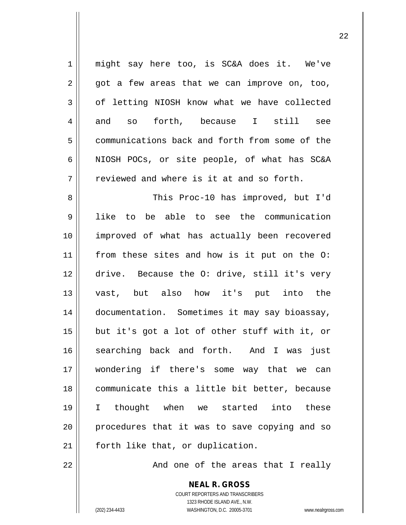1 || might say here too, is SC&A does it. We've  $2 \parallel$  got a few areas that we can improve on, too,  $3 \parallel$  of letting NIOSH know what we have collected  $4 \parallel$  and so forth, because I still see 5 communications back and forth from some of the 6 NIOSH POCs, or site people, of what has SC&A  $7 \parallel$  reviewed and where is it at and so forth. 8 || This Proc-10 has improved, but I'd 9 like to be able to see the communication 10 improved of what has actually been recovered 11 || from these sites and how is it put on the O: 12 drive. Because the O: drive, still it's very 13 vast, but also how it's put into the 14 documentation. Sometimes it may say bioassay, 15  $\parallel$  but it's got a lot of other stuff with it, or 16 || searching back and forth. And I was just 17 wondering if there's some way that we can 18 communicate this a little bit better, because 19 I thought when we started into these 20 || procedures that it was to save copying and so 21 || forth like that, or duplication.

22 || And one of the areas that I really

**NEAL R. GROSS** COURT REPORTERS AND TRANSCRIBERS 1323 RHODE ISLAND AVE., N.W. (202) 234-4433 WASHINGTON, D.C. 20005-3701 www.nealrgross.com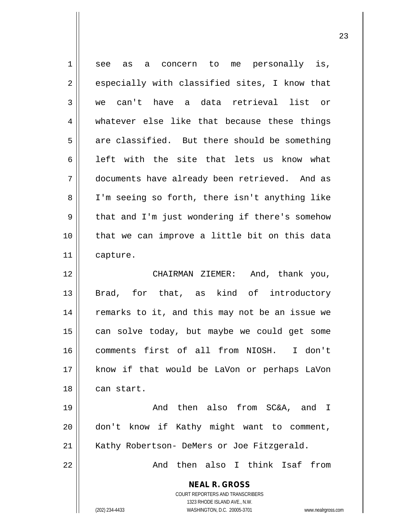**NEAL R. GROSS** COURT REPORTERS AND TRANSCRIBERS 1323 RHODE ISLAND AVE., N.W. (202) 234-4433 WASHINGTON, D.C. 20005-3701 www.nealrgross.com 1 see as a concern to me personally is,  $2 \parallel$  especially with classified sites, I know that 3 we can't have a data retrieval list or 4 || whatever else like that because these things  $5 \parallel$  are classified. But there should be something  $6 \parallel$  left with the site that lets us know what 7 documents have already been retrieved. And as 8 || I'm seeing so forth, there isn't anything like  $9 \parallel$  that and I'm just wondering if there's somehow 10 || that we can improve a little bit on this data 11 capture. 12 CHAIRMAN ZIEMER: And, thank you, 13 || Brad, for that, as kind of introductory 14 || remarks to it, and this may not be an issue we 15 || can solve today, but maybe we could get some 16 comments first of all from NIOSH. I don't 17 know if that would be LaVon or perhaps LaVon 18 can start. 19 And then also from SC&A, and I 20 || don't know if Kathy might want to comment, 21 || Kathy Robertson- DeMers or Joe Fitzgerald. 22 And then also I think Isaf from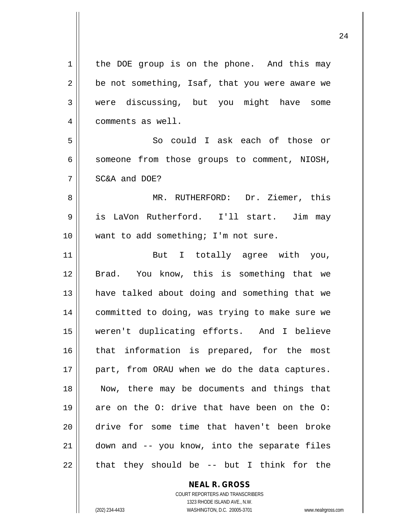| 1           | the DOE group is on the phone. And this may    |
|-------------|------------------------------------------------|
| 2           | be not something, Isaf, that you were aware we |
| 3           | were discussing, but you might have some       |
| 4           | comments as well.                              |
| 5           | So could I ask each of those or                |
| 6           | someone from those groups to comment, NIOSH,   |
| 7           | SC&A and DOE?                                  |
| 8           | MR. RUTHERFORD: Dr. Ziemer, this               |
| $\mathsf 9$ | is LaVon Rutherford. I'll start. Jim may       |
| 10          | want to add something; I'm not sure.           |
| 11          | But I totally agree with you,                  |
| 12          | Brad. You know, this is something that we      |
| 13          | have talked about doing and something that we  |
| 14          | committed to doing, was trying to make sure we |
| 15          | weren't duplicating efforts. And I believe     |
| 16          | that information is prepared, for the most     |
| 17          | part, from ORAU when we do the data captures.  |
| 18          | Now, there may be documents and things that    |
| 19          | are on the O: drive that have been on the O:   |
| 20          | drive for some time that haven't been broke    |
| 21          | down and -- you know, into the separate files  |
| 22          | that they should be $-$ but I think for the    |
|             | <b>NEAL R. GROSS</b>                           |

COURT REPORTERS AND TRANSCRIBERS 1323 RHODE ISLAND AVE., N.W.

 $\mathsf{II}$ 

(202) 234-4433 WASHINGTON, D.C. 20005-3701 www.nealrgross.com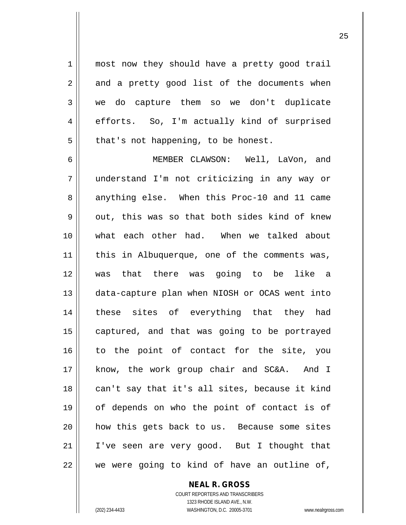1 || most now they should have a pretty good trail  $2 \parallel$  and a pretty good list of the documents when 3 we do capture them so we don't duplicate 4 efforts. So, I'm actually kind of surprised  $5 \parallel$  that's not happening, to be honest.

6 MEMBER CLAWSON: Well, LaVon, and 7 understand I'm not criticizing in any way or 8 anything else. When this Proc-10 and 11 came  $9 \parallel$  out, this was so that both sides kind of knew 10 what each other had. When we talked about 11 || this in Albuquerque, one of the comments was, 12 was that there was going to be like a 13 data-capture plan when NIOSH or OCAS went into 14 || these sites of everything that they had 15 || captured, and that was going to be portrayed 16 || to the point of contact for the site, you 17 || know, the work group chair and SC&A. And I 18 || can't say that it's all sites, because it kind 19 of depends on who the point of contact is of 20 || how this gets back to us. Because some sites 21 || I've seen are very good. But I thought that 22 || we were going to kind of have an outline of,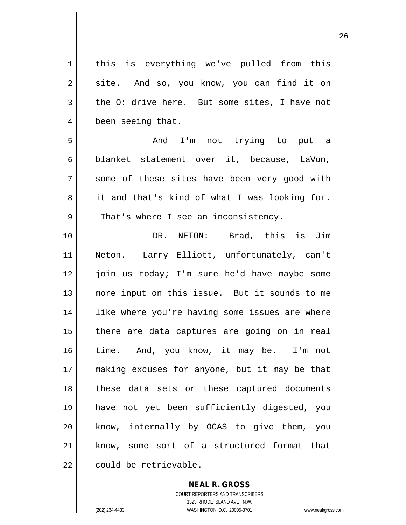1 || this is everything we've pulled from this 2 || site. And so, you know, you can find it on  $3 \parallel$  the O: drive here. But some sites, I have not 4 | been seeing that. 5 And I'm not trying to put a 6 blanket statement over it, because, LaVon, 7 || some of these sites have been very good with 8 it and that's kind of what I was looking for.  $9 \parallel$  That's where I see an inconsistency. 10 DR. NETON: Brad, this is Jim 11 Neton. Larry Elliott, unfortunately, can't 12 join us today; I'm sure he'd have maybe some 13 more input on this issue. But it sounds to me 14 || like where you're having some issues are where 15 || there are data captures are going on in real 16 time. And, you know, it may be. I'm not 17 making excuses for anyone, but it may be that 18 these data sets or these captured documents 19 have not yet been sufficiently digested, you 20 || know, internally by OCAS to give them, you 21 know, some sort of a structured format that  $22$   $\parallel$  could be retrievable.

> COURT REPORTERS AND TRANSCRIBERS 1323 RHODE ISLAND AVE., N.W. (202) 234-4433 WASHINGTON, D.C. 20005-3701 www.nealrgross.com

**NEAL R. GROSS**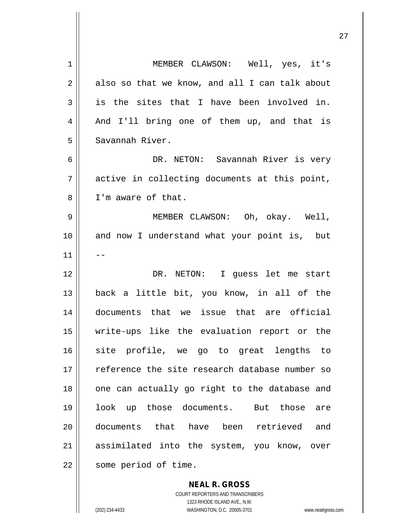| 1  | MEMBER CLAWSON: Well, yes, it's                |
|----|------------------------------------------------|
| 2  | also so that we know, and all I can talk about |
| 3  | is the sites that I have been involved in.     |
| 4  | And I'll bring one of them up, and that is     |
| 5  | Savannah River.                                |
| 6  | DR. NETON: Savannah River is very              |
| 7  | active in collecting documents at this point,  |
| 8  | I'm aware of that.                             |
| 9  | MEMBER CLAWSON: Oh, okay. Well,                |
| 10 | and now I understand what your point is, but   |
| 11 |                                                |
| 12 | DR. NETON: I guess let me start                |
| 13 | back a little bit, you know, in all of the     |
| 14 | documents that we issue that are official      |
| 15 | write-ups like the evaluation report or the    |
| 16 | site profile, we go to great lengths to        |
| 17 | reference the site research database number so |
| 18 | one can actually go right to the database and  |
| 19 | look up those documents. But those<br>are      |
| 20 | documents that have been retrieved and         |
| 21 | assimilated into the system, you know, over    |
| 22 | some period of time.                           |
|    |                                                |

**NEAL R. GROSS** COURT REPORTERS AND TRANSCRIBERS 1323 RHODE ISLAND AVE., N.W. (202) 234-4433 WASHINGTON, D.C. 20005-3701 www.nealrgross.com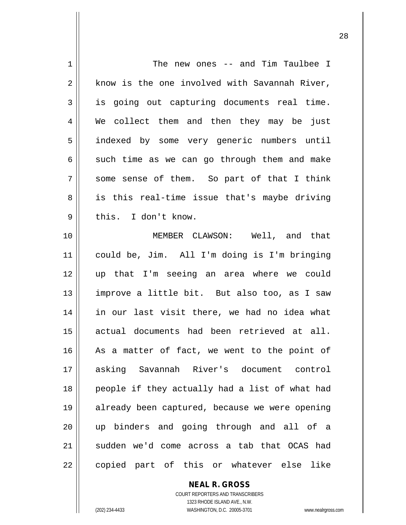| 1              | The new ones -- and Tim Taulbee I              |
|----------------|------------------------------------------------|
| 2              | know is the one involved with Savannah River,  |
| 3              | is going out capturing documents real time.    |
| $\overline{4}$ | We collect them and then they may be just      |
| 5              | indexed by some very generic numbers until     |
| 6              | such time as we can go through them and make   |
| 7              | some sense of them. So part of that I think    |
| 8              | is this real-time issue that's maybe driving   |
| $\mathsf 9$    | this. I don't know.                            |
| 10             | MEMBER CLAWSON: Well, and that                 |
| 11             | could be, Jim. All I'm doing is I'm bringing   |
| 12             | up that I'm seeing an area where we could      |
| 13             | improve a little bit. But also too, as I saw   |
| 14             | in our last visit there, we had no idea what   |
| 15             | actual documents had been retrieved at all.    |
| 16             | As a matter of fact, we went to the point of   |
| 17             | asking Savannah River's document control       |
| 18             | people if they actually had a list of what had |
| 19             | already been captured, because we were opening |
| 20             | up binders and going through and all of a      |
| 21             | sudden we'd come across a tab that OCAS had    |
| 22             | copied part of this or whatever else<br>like   |

**NEAL R. GROSS** COURT REPORTERS AND TRANSCRIBERS 1323 RHODE ISLAND AVE., N.W. (202) 234-4433 WASHINGTON, D.C. 20005-3701 www.nealrgross.com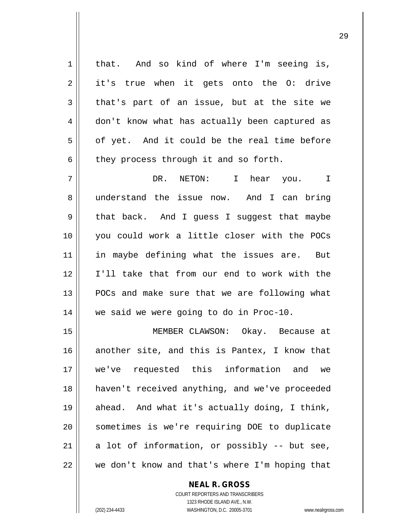$1 \parallel$  that. And so kind of where I'm seeing is, 2 it's true when it gets onto the O: drive  $3 \parallel$  that's part of an issue, but at the site we 4 don't know what has actually been captured as 5 | of yet. And it could be the real time before  $6 \parallel$  they process through it and so forth. 7 DR. NETON: I hear you. I 8 understand the issue now. And I can bring 9 || that back. And I guess I suggest that maybe 10 you could work a little closer with the POCs 11 || in maybe defining what the issues are. But 12 I'll take that from our end to work with the 13 || POCs and make sure that we are following what 14 | we said we were going to do in Proc-10. 15 MEMBER CLAWSON: Okay. Because at 16 another site, and this is Pantex, I know that 17 we've requested this information and we 18 haven't received anything, and we've proceeded 19 ahead. And what it's actually doing, I think, 20 || sometimes is we're requiring DOE to duplicate 21  $\parallel$  a lot of information, or possibly -- but see,  $22$   $\parallel$  we don't know and that's where I'm hoping that

> COURT REPORTERS AND TRANSCRIBERS 1323 RHODE ISLAND AVE., N.W. (202) 234-4433 WASHINGTON, D.C. 20005-3701 www.nealrgross.com

**NEAL R. GROSS**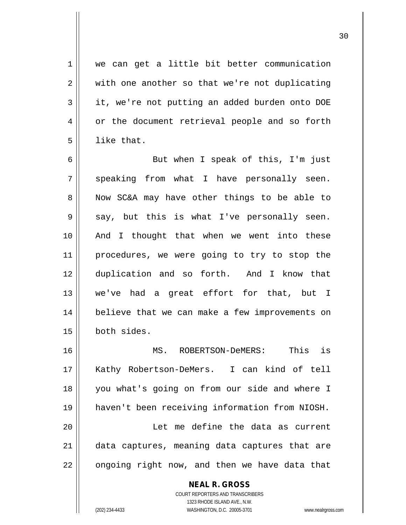1 | we can get a little bit better communication  $2 \parallel$  with one another so that we're not duplicating  $3 \parallel$  it, we're not putting an added burden onto DOE 4 | or the document retrieval people and so forth  $5$  || like that.

6 || But when I speak of this, I'm just  $7 \parallel$  speaking from what I have personally seen. 8 Now SC&A may have other things to be able to  $9 \parallel$  say, but this is what I've personally seen. 10 And I thought that when we went into these 11 || procedures, we were going to try to stop the 12 duplication and so forth. And I know that 13 we've had a great effort for that, but I 14 || believe that we can make a few improvements on 15 both sides.

 MS. ROBERTSON-DeMERS: This is Kathy Robertson-DeMers. I can kind of tell you what's going on from our side and where I haven't been receiving information from NIOSH. Let me define the data as current 21 || data captures, meaning data captures that are | ongoing right now, and then we have data that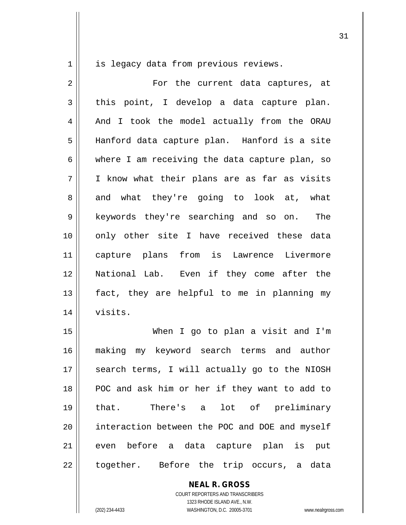1 || is legacy data from previous reviews.

2 For the current data captures, at  $3 \parallel$  this point, I develop a data capture plan. 4 | And I took the model actually from the ORAU 5 Hanford data capture plan. Hanford is a site  $6 \parallel$  where I am receiving the data capture plan, so  $7 \parallel$  I know what their plans are as far as visits 8 || and what they're going to look at, what 9 || keywords they're searching and so on. The 10 || only other site I have received these data 11 capture plans from is Lawrence Livermore 12 National Lab. Even if they come after the 13 || fact, they are helpful to me in planning my 14 visits.

15 When I go to plan a visit and I'm 16 making my keyword search terms and author 17 || search terms, I will actually go to the NIOSH 18 POC and ask him or her if they want to add to 19 that. There's a lot of preliminary 20 || interaction between the POC and DOE and myself 21 || even before a data capture plan is put 22 || together. Before the trip occurs, a data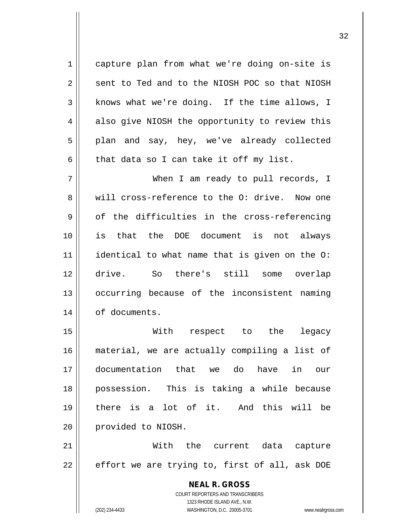1 | capture plan from what we're doing on-site is  $2 \parallel$  sent to Ted and to the NIOSH POC so that NIOSH  $3 \parallel$  knows what we're doing. If the time allows, I 4 also give NIOSH the opportunity to review this 5 || plan and say, hey, we've already collected  $6 \parallel$  that data so I can take it off my list.

7 When I am ready to pull records, I 8 We will cross-reference to the O: drive. Now one  $9 \parallel$  of the difficulties in the cross-referencing 10 is that the DOE document is not always 11 identical to what name that is given on the O: 12 drive. So there's still some overlap 13 || occurring because of the inconsistent naming 14 | of documents.

 With respect to the legacy material, we are actually compiling a list of documentation that we do have in our possession. This is taking a while because there is a lot of it. And this will be 20 | provided to NIOSH.

21 With the current data capture  $22$  | effort we are trying to, first of all, ask DOE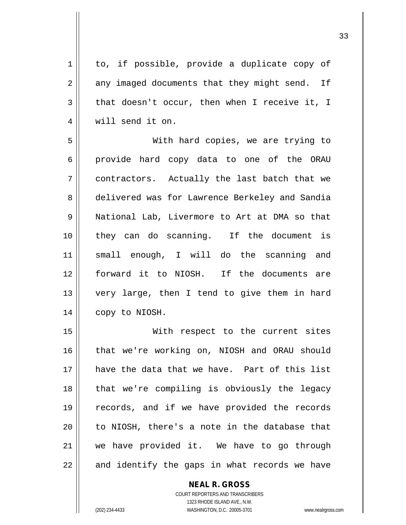$1 \parallel$  to, if possible, provide a duplicate copy of  $2 \parallel$  any imaged documents that they might send. If  $3 \parallel$  that doesn't occur, then when I receive it, I 4 || will send it on.

 With hard copies, we are trying to 6 provide hard copy data to one of the ORAU contractors. Actually the last batch that we 8 delivered was for Lawrence Berkeley and Sandia National Lab, Livermore to Art at DMA so that they can do scanning. If the document is small enough, I will do the scanning and forward it to NIOSH. If the documents are very large, then I tend to give them in hard 14 | copy to NIOSH.

15 || With respect to the current sites 16 || that we're working on, NIOSH and ORAU should have the data that we have. Part of this list 18 || that we're compiling is obviously the legacy records, and if we have provided the records || to NIOSH, there's a note in the database that we have provided it. We have to go through || and identify the gaps in what records we have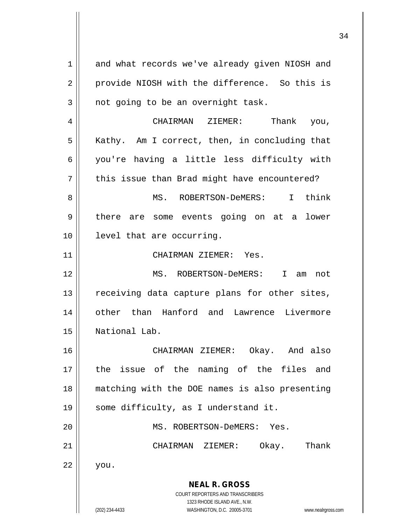**NEAL R. GROSS** COURT REPORTERS AND TRANSCRIBERS 1323 RHODE ISLAND AVE., N.W. 1 and what records we've already given NIOSH and 2 || provide NIOSH with the difference. So this is  $3$  | not going to be an overnight task. 4 CHAIRMAN ZIEMER: Thank you,  $5 \parallel$  Kathy. Am I correct, then, in concluding that 6 you're having a little less difficulty with  $7 \parallel$  this issue than Brad might have encountered? 8 MS. ROBERTSON-DeMERS: I think 9 || there are some events going on at a lower 10 level that are occurring. 11 || CHAIRMAN ZIEMER: Yes. 12 MS. ROBERTSON-DeMERS: I am not 13 || receiving data capture plans for other sites, 14 || other than Hanford and Lawrence Livermore 15 National Lab. 16 CHAIRMAN ZIEMER: Okay. And also 17 the issue of the naming of the files and 18 matching with the DOE names is also presenting 19 || some difficulty, as I understand it. 20 || MS. ROBERTSON-DeMERS: Yes. 21 CHAIRMAN ZIEMER: Okay. Thank  $22 \parallel$  you.

(202) 234-4433 WASHINGTON, D.C. 20005-3701 www.nealrgross.com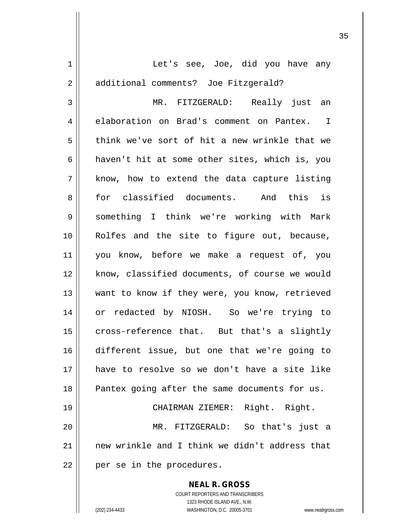| 1  | Let's see, Joe, did you have any               |
|----|------------------------------------------------|
| 2  | additional comments? Joe Fitzgerald?           |
| 3  | MR. FITZGERALD: Really just an                 |
| 4  | elaboration on Brad's comment on Pantex. I     |
| 5  | think we've sort of hit a new wrinkle that we  |
| 6  | haven't hit at some other sites, which is, you |
| 7  | know, how to extend the data capture listing   |
| 8  | for classified documents. And this is          |
| 9  | something I think we're working with Mark      |
| 10 | Rolfes and the site to figure out, because,    |
| 11 | you know, before we make a request of, you     |
| 12 | know, classified documents, of course we would |
| 13 | want to know if they were, you know, retrieved |
| 14 | or redacted by NIOSH. So we're trying to       |
| 15 | cross-reference that. But that's a slightly    |
| 16 | different issue, but one that we're going to   |
| 17 | have to resolve so we don't have a site like   |
| 18 | Pantex going after the same documents for us.  |
| 19 | CHAIRMAN ZIEMER: Right. Right.                 |
| 20 | MR. FITZGERALD: So that's just a               |
| 21 | new wrinkle and I think we didn't address that |
| 22 | per se in the procedures.                      |
|    | <b>NEAL R. GROSS</b>                           |

COURT REPORTERS AND TRANSCRIBERS 1323 RHODE ISLAND AVE., N.W. (202) 234-4433 WASHINGTON, D.C. 20005-3701 www.nealrgross.com

 $\prod$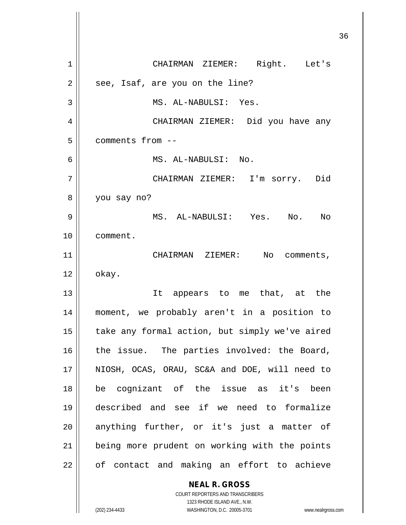**NEAL R. GROSS** COURT REPORTERS AND TRANSCRIBERS 36 1 CHAIRMAN ZIEMER: Right. Let's  $2 \parallel$  see, Isaf, are you on the line? 3 MS. AL-NABULSI: Yes. 4 CHAIRMAN ZIEMER: Did you have any 5 ll comments from --6 MS. AL-NABULSI: No. 7 CHAIRMAN ZIEMER: I'm sorry. Did 8 | you say no? 9 MS. AL-NABULSI: Yes. No. No 10 comment. 11 || CHAIRMAN ZIEMER: No comments,  $12 \parallel$  okay. 13 It appears to me that, at the 14 moment, we probably aren't in a position to 15 || take any formal action, but simply we've aired  $16$  the issue. The parties involved: the Board, 17 NIOSH, OCAS, ORAU, SC&A and DOE, will need to 18 be cognizant of the issue as it's been 19 described and see if we need to formalize 20 || anything further, or it's just a matter of 21 || being more prudent on working with the points  $22$  || of contact and making an effort to achieve

1323 RHODE ISLAND AVE., N.W.

(202) 234-4433 WASHINGTON, D.C. 20005-3701 www.nealrgross.com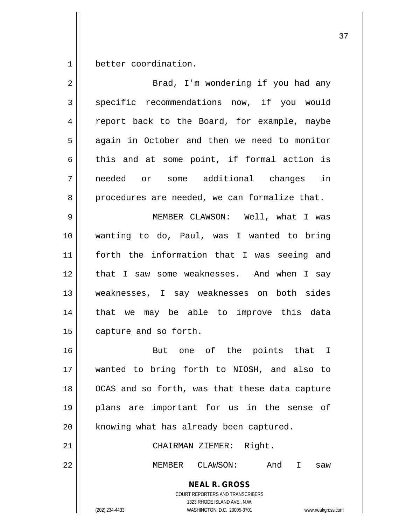1 | better coordination.

| $\overline{a}$ | Brad, I'm wondering if you had any                                                                                                                              |
|----------------|-----------------------------------------------------------------------------------------------------------------------------------------------------------------|
| 3              | specific recommendations now, if you would                                                                                                                      |
| 4              | report back to the Board, for example, maybe                                                                                                                    |
| 5              | again in October and then we need to monitor                                                                                                                    |
| 6              | this and at some point, if formal action is                                                                                                                     |
| 7              | needed or some additional changes in                                                                                                                            |
| 8              | procedures are needed, we can formalize that.                                                                                                                   |
| $\mathsf 9$    | MEMBER CLAWSON: Well, what I was                                                                                                                                |
| 10             | wanting to do, Paul, was I wanted to bring                                                                                                                      |
| 11             | forth the information that I was seeing and                                                                                                                     |
| 12             | that I saw some weaknesses. And when I say                                                                                                                      |
| 13             | weaknesses, I say weaknesses on both sides                                                                                                                      |
| 14             | that we may be able to improve this data                                                                                                                        |
| 15             | capture and so forth.                                                                                                                                           |
| 16             | But one of the points that I                                                                                                                                    |
| 17             | wanted to bring forth to NIOSH, and also to                                                                                                                     |
| 18             | OCAS and so forth, was that these data capture                                                                                                                  |
| 19             | plans are important for us in the sense of                                                                                                                      |
| 20             | knowing what has already been captured.                                                                                                                         |
| 21             | CHAIRMAN ZIEMER: Right.                                                                                                                                         |
| 22             | MEMBER CLAWSON:<br>And I<br>saw                                                                                                                                 |
|                | <b>NEAL R. GROSS</b><br>COURT REPORTERS AND TRANSCRIBERS<br>1323 RHODE ISLAND AVE., N.W.<br>(202) 234-4433<br>WASHINGTON, D.C. 20005-3701<br>www.nealrgross.com |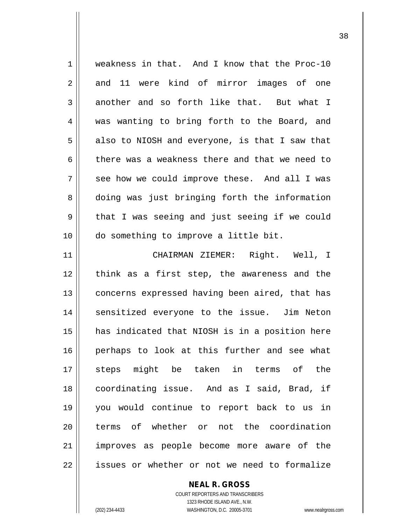1 weakness in that. And I know that the Proc-10 2 and 11 were kind of mirror images of one  $3 \parallel$  another and so forth like that. But what I 4 was wanting to bring forth to the Board, and  $5 \parallel$  also to NIOSH and everyone, is that I saw that 6 there was a weakness there and that we need to  $7 \parallel$  see how we could improve these. And all I was 8 doing was just bringing forth the information  $9 \parallel$  that I was seeing and just seeing if we could 10 do something to improve a little bit. 11 CHAIRMAN ZIEMER: Right. Well, I 12 || think as a first step, the awareness and the 13 || concerns expressed having been aired, that has 14 || sensitized everyone to the issue. Jim Neton 15 has indicated that NIOSH is in a position here 16 || perhaps to look at this further and see what 17 steps might be taken in terms of the 18 coordinating issue. And as I said, Brad, if 19 you would continue to report back to us in 20 lerms of whether or not the coordination 21 || improves as people become more aware of the 22 || issues or whether or not we need to formalize

> COURT REPORTERS AND TRANSCRIBERS 1323 RHODE ISLAND AVE., N.W. (202) 234-4433 WASHINGTON, D.C. 20005-3701 www.nealrgross.com

**NEAL R. GROSS**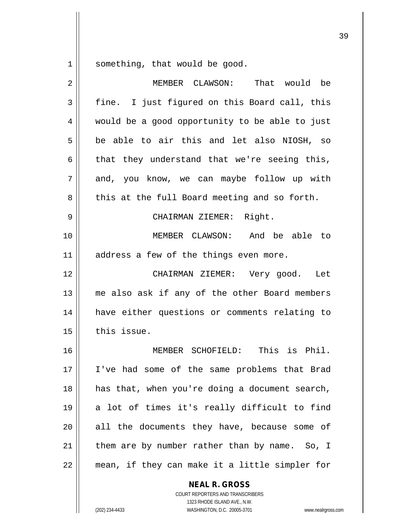something, that would be good.

| $\overline{2}$ | MEMBER CLAWSON:<br>That would be               |
|----------------|------------------------------------------------|
| 3              | fine. I just figured on this Board call, this  |
| 4              | would be a good opportunity to be able to just |
| 5              | be able to air this and let also NIOSH, so     |
| 6              | that they understand that we're seeing this,   |
| 7              | and, you know, we can maybe follow up with     |
| 8              | this at the full Board meeting and so forth.   |
| 9              | CHAIRMAN ZIEMER: Right.                        |
| 10             | MEMBER CLAWSON: And be able to                 |
| 11             | address a few of the things even more.         |
| 12             | CHAIRMAN ZIEMER: Very good.<br>Let             |
| 13             | me also ask if any of the other Board members  |
| 14             | have either questions or comments relating to  |
| 15             | this issue.                                    |
| 16             | MEMBER SCHOFIELD: This is Phil.                |
| 17             | I've had some of the same problems that Brad   |
| 18             | has that, when you're doing a document search, |
| 19             | a lot of times it's really difficult to find   |
| 20             | all the documents they have, because some of   |
| 21             | them are by number rather than by name. So, I  |
| 22             | mean, if they can make it a little simpler for |
|                |                                                |

**NEAL R. GROSS** COURT REPORTERS AND TRANSCRIBERS

1323 RHODE ISLAND AVE., N.W.

(202) 234-4433 WASHINGTON, D.C. 20005-3701 www.nealrgross.com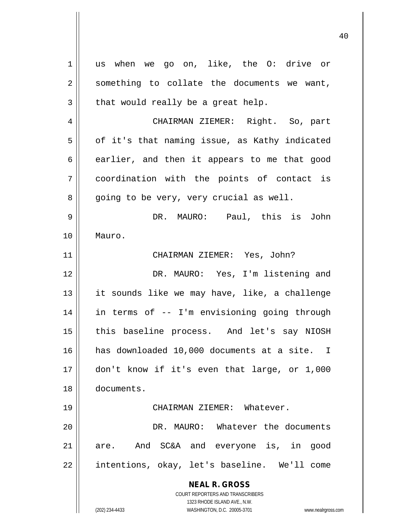**NEAL R. GROSS** COURT REPORTERS AND TRANSCRIBERS 1323 RHODE ISLAND AVE., N.W. (202) 234-4433 WASHINGTON, D.C. 20005-3701 www.nealrgross.com 1 || us when we go on, like, the 0: drive or  $2 \parallel$  something to collate the documents we want,  $3 \parallel$  that would really be a great help. 4 CHAIRMAN ZIEMER: Right. So, part  $5 \parallel$  of it's that naming issue, as Kathy indicated  $6 \parallel$  earlier, and then it appears to me that good 7 coordination with the points of contact is  $8 \parallel$  going to be very, very crucial as well. 9 DR. MAURO: Paul, this is John 10 Mauro. 11 CHAIRMAN ZIEMER: Yes, John? 12 DR. MAURO: Yes, I'm listening and 13 || it sounds like we may have, like, a challenge 14 in terms of -- I'm envisioning going through 15 || this baseline process. And let's say NIOSH 16 has downloaded 10,000 documents at a site. I 17 don't know if it's even that large, or 1,000 18 documents. 19 CHAIRMAN ZIEMER: Whatever. 20 DR. MAURO: Whatever the documents 21 are. And SC&A and everyone is, in good 22 || intentions, okay, let's baseline. We'll come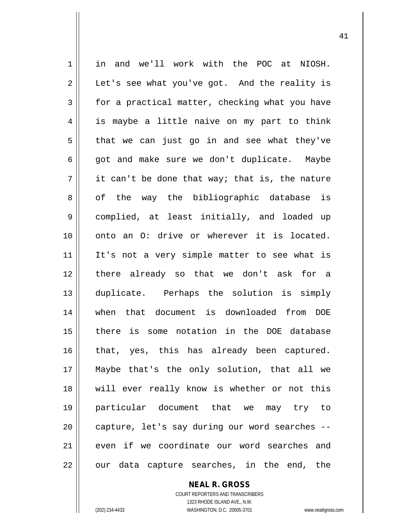1 in and we'll work with the POC at NIOSH.  $2 \parallel$  Let's see what you've got. And the reality is  $3 \parallel$  for a practical matter, checking what you have 4 || is maybe a little naive on my part to think  $5 \parallel$  that we can just go in and see what they've  $6 \parallel$  got and make sure we don't duplicate. Maybe  $7 \parallel$  it can't be done that way; that is, the nature 8 of the way the bibliographic database is 9 complied, at least initially, and loaded up 10 || onto an O: drive or wherever it is located. 11 || It's not a very simple matter to see what is 12 there already so that we don't ask for a 13 duplicate. Perhaps the solution is simply 14 when that document is downloaded from DOE 15 there is some notation in the DOE database 16 || that, yes, this has already been captured. 17 Maybe that's the only solution, that all we 18 || will ever really know is whether or not this 19 particular document that we may try to 20 || capture, let's say during our word searches --21 even if we coordinate our word searches and  $22 \parallel$  our data capture searches, in the end, the

> **NEAL R. GROSS** COURT REPORTERS AND TRANSCRIBERS 1323 RHODE ISLAND AVE., N.W.

(202) 234-4433 WASHINGTON, D.C. 20005-3701 www.nealrgross.com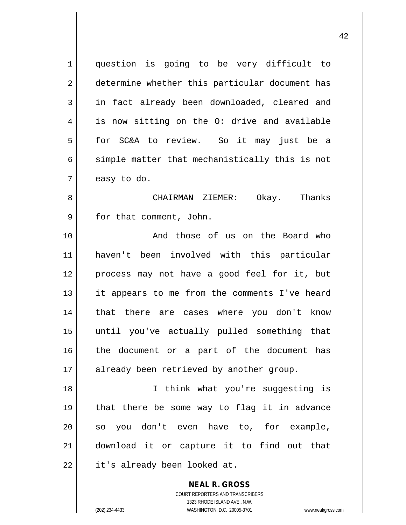**NEAL R. GROSS** 1 question is going to be very difficult to 2 | determine whether this particular document has 3 || in fact already been downloaded, cleared and  $4 \parallel$  is now sitting on the O: drive and available 5 || for SC&A to review. So it may just be a  $6 \parallel$  simple matter that mechanistically this is not  $7 \parallel$  easy to do. 8 CHAIRMAN ZIEMER: Okay. Thanks 9 || for that comment, John. 10 || The Board who contained those of us on the Board who 11 haven't been involved with this particular 12 process may not have a good feel for it, but 13 || it appears to me from the comments I've heard 14 || that there are cases where you don't know 15 until you've actually pulled something that 16 || the document or a part of the document has 17 || already been retrieved by another group. 18 I think what you're suggesting is 19 that there be some way to flag it in advance  $20 \parallel$  so you don't even have to, for example, 21 download it or capture it to find out that  $22$  | it's already been looked at.

> COURT REPORTERS AND TRANSCRIBERS 1323 RHODE ISLAND AVE., N.W. (202) 234-4433 WASHINGTON, D.C. 20005-3701 www.nealrgross.com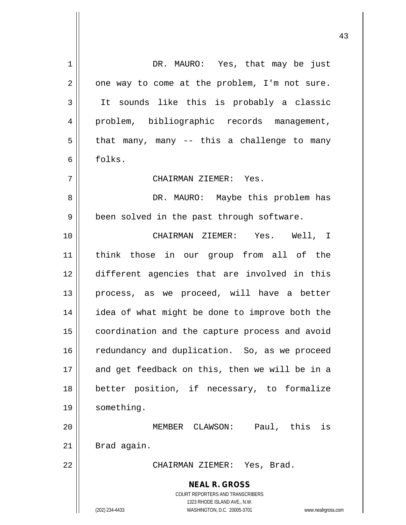**NEAL R. GROSS** COURT REPORTERS AND TRANSCRIBERS 1323 RHODE ISLAND AVE., N.W. (202) 234-4433 WASHINGTON, D.C. 20005-3701 www.nealrgross.com 1 DR. MAURO: Yes, that may be just  $2 \parallel$  one way to come at the problem, I'm not sure. 3 || It sounds like this is probably a classic 4 || problem, bibliographic records management,  $5 \parallel$  that many, many -- this a challenge to many 6 folks. 7 CHAIRMAN ZIEMER: Yes. 8 DR. MAURO: Maybe this problem has 9 | been solved in the past through software. 10 CHAIRMAN ZIEMER: Yes. Well, I 11 think those in our group from all of the 12 different agencies that are involved in this 13 || process, as we proceed, will have a better 14 || idea of what might be done to improve both the 15 | coordination and the capture process and avoid 16 | redundancy and duplication. So, as we proceed 17 || and get feedback on this, then we will be in a 18 better position, if necessary, to formalize 19 | something. 20 MEMBER CLAWSON: Paul, this is  $21$  Brad again. 22 CHAIRMAN ZIEMER: Yes, Brad.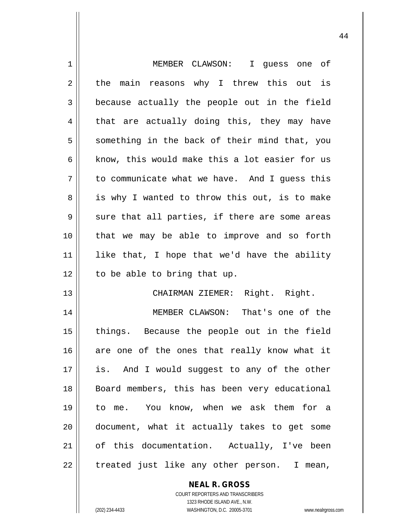| MEMBER CLAWSON: I guess one of                 |
|------------------------------------------------|
| the main reasons why I threw this out is       |
| because actually the people out in the field   |
| that are actually doing this, they may have    |
| something in the back of their mind that, you  |
| know, this would make this a lot easier for us |
| to communicate what we have. And I guess this  |
| is why I wanted to throw this out, is to make  |
| sure that all parties, if there are some areas |
| that we may be able to improve and so forth    |
| like that, I hope that we'd have the ability   |
| to be able to bring that up.                   |
| CHAIRMAN ZIEMER: Right. Right.                 |
| MEMBER CLAWSON: That's one of the              |
| things. Because the people out in the field    |
| are one of the ones that really know what it   |
|                                                |
| is. And I would suggest to any of the other    |
| Board members, this has been very educational  |
| to me. You know, when we ask them for a        |
| document, what it actually takes to get some   |
| of this documentation. Actually, I've been     |
|                                                |

COURT REPORTERS AND TRANSCRIBERS 1323 RHODE ISLAND AVE., N.W. (202) 234-4433 WASHINGTON, D.C. 20005-3701 www.nealrgross.com

**NEAL R. GROSS**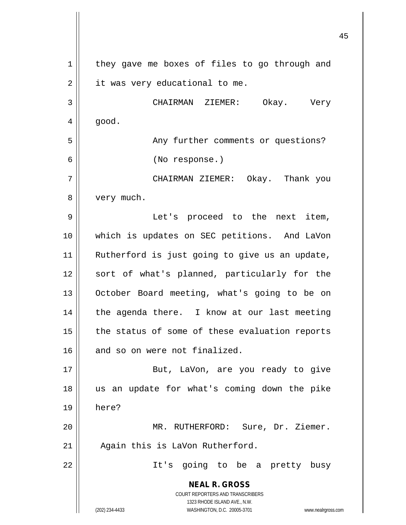**NEAL R. GROSS** COURT REPORTERS AND TRANSCRIBERS 1323 RHODE ISLAND AVE., N.W. (202) 234-4433 WASHINGTON, D.C. 20005-3701 www.nealrgross.com 1 | they gave me boxes of files to go through and  $2 \parallel$  it was very educational to me. 3 CHAIRMAN ZIEMER: Okay. Very  $4 \parallel$  good. 5 || Any further comments or questions? 6 (No response.) 7 CHAIRMAN ZIEMER: Okay. Thank you 8 | very much. 9 || Let's proceed to the next item, 10 which is updates on SEC petitions. And LaVon 11 || Rutherford is just going to give us an update, 12 || sort of what's planned, particularly for the 13 || October Board meeting, what's going to be on  $14$  | the agenda there. I know at our last meeting  $15$  | the status of some of these evaluation reports 16 || and so on were not finalized. 17 || But, LaVon, are you ready to give 18 us an update for what's coming down the pike 19 here? 20 MR. RUTHERFORD: Sure, Dr. Ziemer. 21 | Again this is LaVon Rutherford. 22 || It's going to be a pretty busy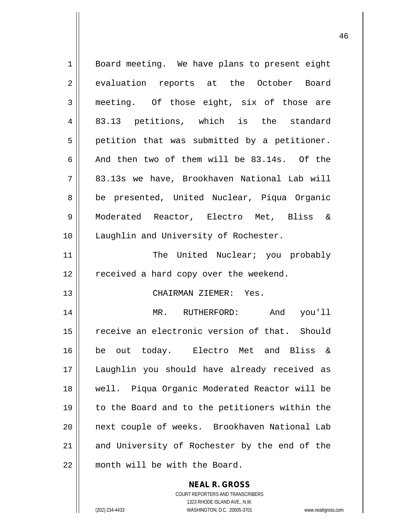| 1           | Board meeting. We have plans to present eight  |
|-------------|------------------------------------------------|
| 2           | evaluation reports at the October Board        |
| 3           | meeting. Of those eight, six of those are      |
| 4           | 83.13 petitions, which is the standard         |
| 5           | petition that was submitted by a petitioner.   |
| 6           | And then two of them will be 83.14s. Of the    |
| 7           | 83.13s we have, Brookhaven National Lab will   |
| 8           | be presented, United Nuclear, Piqua Organic    |
| $\mathsf 9$ | Moderated Reactor, Electro Met, Bliss &        |
| 10          | Laughlin and University of Rochester.          |
| 11          | The United Nuclear; you probably               |
| 12          | received a hard copy over the weekend.         |
| 13          | CHAIRMAN ZIEMER: Yes.                          |
| 14          | MR. RUTHERFORD:<br>And you'll                  |
| 15          | receive an electronic version of that. Should  |
| 16          | be out today. Electro Met and Bliss &          |
| 17          | Laughlin you should have already received as   |
| 18          | well. Piqua Organic Moderated Reactor will be  |
| 19          | to the Board and to the petitioners within the |
| 20          | next couple of weeks. Brookhaven National Lab  |
| 21          | and University of Rochester by the end of the  |
| 22          | month will be with the Board.                  |

**NEAL R. GROSS** COURT REPORTERS AND TRANSCRIBERS 1323 RHODE ISLAND AVE., N.W. (202) 234-4433 WASHINGTON, D.C. 20005-3701 www.nealrgross.com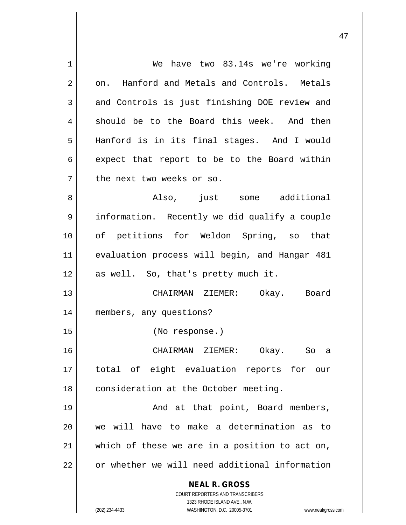| $\mathbf 1$    | have two 83.14s we're working<br>We                                 |
|----------------|---------------------------------------------------------------------|
| $\overline{2}$ | on. Hanford and Metals and Controls. Metals                         |
| 3              | and Controls is just finishing DOE review and                       |
| 4              | should be to the Board this week. And then                          |
| 5              | Hanford is in its final stages. And I would                         |
| 6              | expect that report to be to the Board within                        |
| 7              | the next two weeks or so.                                           |
| 8              | Also, just some additional                                          |
| 9              | information. Recently we did qualify a couple                       |
| 10             | of petitions for Weldon Spring, so that                             |
| 11             | evaluation process will begin, and Hangar 481                       |
| 12             | as well. So, that's pretty much it.                                 |
| 13             | CHAIRMAN ZIEMER: Okay. Board                                        |
| 14             | members, any questions?                                             |
| 15             | (No response.)                                                      |
| 16             | CHAIRMAN ZIEMER: Okay. So a                                         |
| 17             | total of eight evaluation reports for our                           |
| 18             | consideration at the October meeting.                               |
| 19             | And at that point, Board members,                                   |
| 20             | we will have to make a determination as to                          |
| 21             | which of these we are in a position to act on,                      |
| 22             | or whether we will need additional information                      |
|                | <b>NEAL R. GROSS</b><br><b>COURT REPORTERS AND TRANSCRIBERS</b>     |
|                | 1323 RHODE ISLAND AVE., N.W.                                        |
|                | (202) 234-4433<br>WASHINGTON, D.C. 20005-3701<br>www.nealrgross.com |
|                |                                                                     |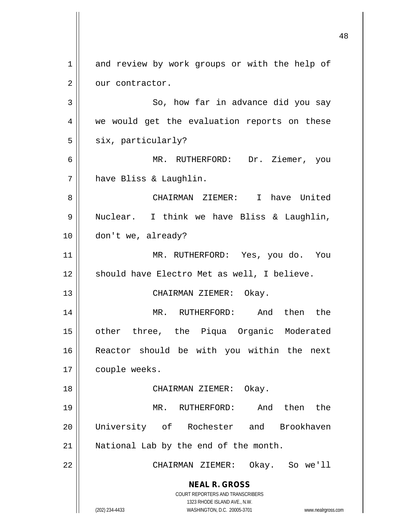**NEAL R. GROSS** COURT REPORTERS AND TRANSCRIBERS 1323 RHODE ISLAND AVE., N.W. (202) 234-4433 WASHINGTON, D.C. 20005-3701 www.nealrgross.com 1 and review by work groups or with the help of  $2 \parallel$  our contractor.  $3 \parallel$  So, how far in advance did you say 4 || we would get the evaluation reports on these  $5 \parallel$  six, particularly? 6 MR. RUTHERFORD: Dr. Ziemer, you 7 have Bliss & Laughlin. 8 CHAIRMAN ZIEMER: I have United 9 || Nuclear. I think we have Bliss & Laughlin, 10 | don't we, already? 11 || MR. RUTHERFORD: Yes, you do. You 12 || should have Electro Met as well, I believe. 13 || CHAIRMAN ZIEMER: Okay. 14 MR. RUTHERFORD: And then the 15 other three, the Piqua Organic Moderated 16 Reactor should be with you within the next 17 | couple weeks. 18 || CHAIRMAN ZIEMER: Okay. 19 MR. RUTHERFORD: And then the 20 University of Rochester and Brookhaven 21 || National Lab by the end of the month. 22 CHAIRMAN ZIEMER: Okay. So we'll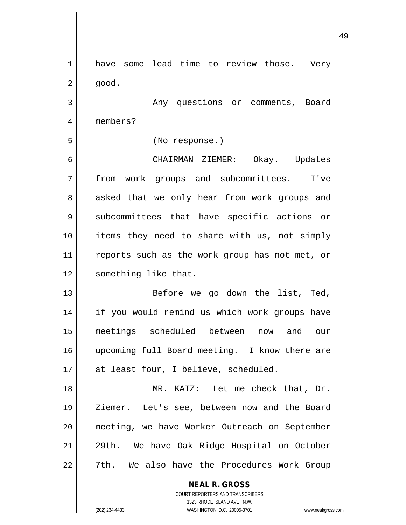**NEAL R. GROSS** 1 have some lead time to review those. Very  $2 \parallel$  good. 3 | Rhy questions or comments, Board 4 members? 5 (No response.) 6 CHAIRMAN ZIEMER: Okay. Updates 7 from work groups and subcommittees. I've 8 asked that we only hear from work groups and 9 || subcommittees that have specific actions or 10 || items they need to share with us, not simply 11 || reports such as the work group has not met, or 12 | something like that. 13 || Before we go down the list, Ted, 14 || if you would remind us which work groups have 15 meetings scheduled between now and our 16 upcoming full Board meeting. I know there are 17 || at least four, I believe, scheduled. 18 || MR. KATZ: Let me check that, Dr. 19 || Ziemer. Let's see, between now and the Board 20 meeting, we have Worker Outreach on September 21 || 29th. We have Oak Ridge Hospital on October 22 || 7th. We also have the Procedures Work Group

> COURT REPORTERS AND TRANSCRIBERS 1323 RHODE ISLAND AVE., N.W. (202) 234-4433 WASHINGTON, D.C. 20005-3701 www.nealrgross.com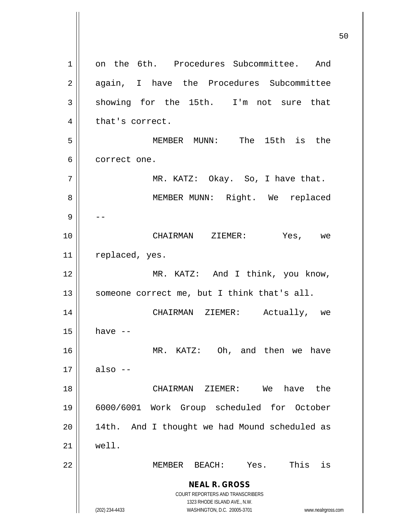**NEAL R. GROSS** COURT REPORTERS AND TRANSCRIBERS 1323 RHODE ISLAND AVE., N.W. (202) 234-4433 WASHINGTON, D.C. 20005-3701 www.nealrgross.com 1 || on the 6th. Procedures Subcommittee. And 2 || again, I have the Procedures Subcommittee  $3 \parallel$  showing for the 15th. I'm not sure that  $4 \parallel$  that's correct. 5 MEMBER MUNN: The 15th is the 6 | correct one.  $7 \parallel$  MR. KATZ: Okay. So, I have that. 8 || MEMBER MUNN: Right. We replaced 9 -- 10 CHAIRMAN ZIEMER: Yes, we 11 || replaced, yes. 12 || MR. KATZ: And I think, you know, 13  $\parallel$  someone correct me, but I think that's all. 14 CHAIRMAN ZIEMER: Actually, we  $15$  have  $-$ 16 MR. KATZ: Oh, and then we have  $17 \parallel$  also  $-$ 18 CHAIRMAN ZIEMER: We have the 19 6000/6001 Work Group scheduled for October  $20$  || 14th. And I thought we had Mound scheduled as  $21 \parallel$  well. 22 MEMBER BEACH: Yes. This is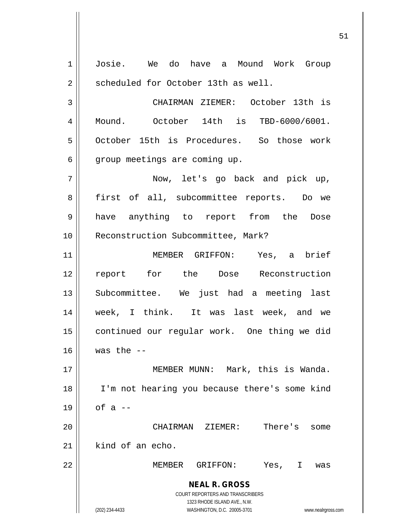**NEAL R. GROSS** COURT REPORTERS AND TRANSCRIBERS 1323 RHODE ISLAND AVE., N.W. (202) 234-4433 WASHINGTON, D.C. 20005-3701 www.nealrgross.com 1 Josie. We do have a Mound Work Group 2 | scheduled for October 13th as well. 3 CHAIRMAN ZIEMER: October 13th is 4 Mound. October 14th is TBD-6000/6001. 5 | October 15th is Procedures. So those work  $6 \parallel$  group meetings are coming up. 7 Now, let's go back and pick up, 8 || first of all, subcommittee reports. Do we 9 have anything to report from the Dose 10 || Reconstruction Subcommittee, Mark? 11 MEMBER GRIFFON: Yes, a brief 12 report for the Dose Reconstruction 13 Subcommittee. We just had a meeting last 14 week, I think. It was last week, and we 15 | continued our regular work. One thing we did  $16$  | was the  $-$ 17 MEMBER MUNN: Mark, this is Wanda. 18 I'm not hearing you because there's some kind  $19 \parallel$  of a --20 CHAIRMAN ZIEMER: There's some  $21$  kind of an echo. 22 MEMBER GRIFFON: Yes, I was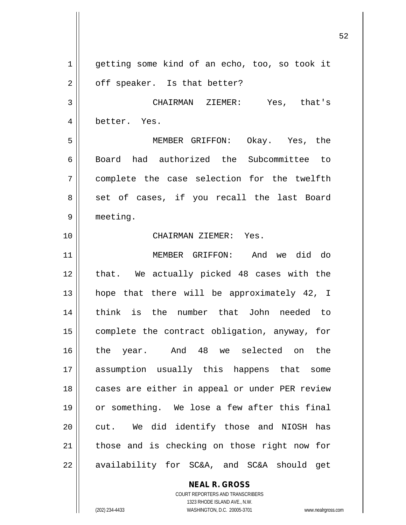1 getting some kind of an echo, too, so took it  $2 \parallel$  off speaker. Is that better? 3 CHAIRMAN ZIEMER: Yes, that's 4 || better. Yes. 5 MEMBER GRIFFON: Okay. Yes, the 6 Board had authorized the Subcommittee to 7 complete the case selection for the twelfth 8 || set of cases, if you recall the last Board 9 meeting. 10 CHAIRMAN ZIEMER: Yes. 11 MEMBER GRIFFON: And we did do 12 || that. We actually picked 48 cases with the 13 hope that there will be approximately 42, I 14 think is the number that John needed to 15 complete the contract obligation, anyway, for 16 the year. And 48 we selected on the 17 assumption usually this happens that some 18 || cases are either in appeal or under PER review 19 or something. We lose a few after this final 20 || cut. We did identify those and NIOSH has  $21$  those and is checking on those right now for  $22$  || availability for SC&A, and SC&A should get

> COURT REPORTERS AND TRANSCRIBERS 1323 RHODE ISLAND AVE., N.W. (202) 234-4433 WASHINGTON, D.C. 20005-3701 www.nealrgross.com

**NEAL R. GROSS**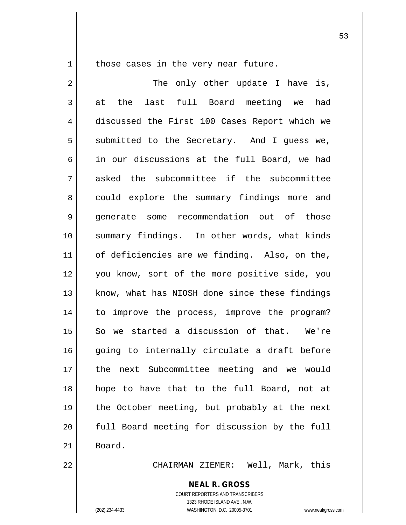1 || those cases in the very near future.

2 || The only other update I have is,  $3 \parallel$  at the last full Board meeting we had 4 discussed the First 100 Cases Report which we  $5$  submitted to the Secretary. And I guess we,  $6 \parallel$  in our discussions at the full Board, we had 7 asked the subcommittee if the subcommittee 8 could explore the summary findings more and 9 || generate some recommendation out of those 10 summary findings. In other words, what kinds 11 || of deficiencies are we finding. Also, on the, 12 you know, sort of the more positive side, you 13 || know, what has NIOSH done since these findings 14 || to improve the process, improve the program? 15 || So we started a discussion of that. We're 16 going to internally circulate a draft before 17 the next Subcommittee meeting and we would 18 hope to have that to the full Board, not at 19 the October meeting, but probably at the next  $20$   $\parallel$  full Board meeting for discussion by the full 21 | Board.

22 CHAIRMAN ZIEMER: Well, Mark, this

**NEAL R. GROSS** COURT REPORTERS AND TRANSCRIBERS 1323 RHODE ISLAND AVE., N.W. (202) 234-4433 WASHINGTON, D.C. 20005-3701 www.nealrgross.com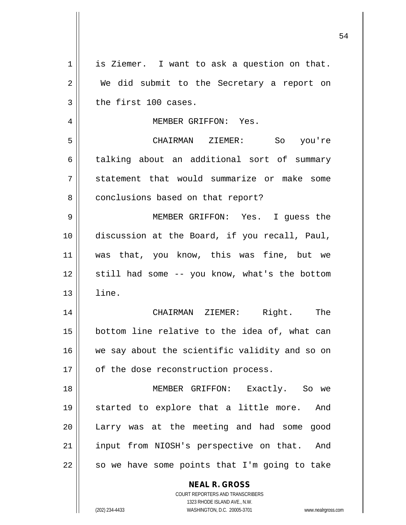| 1  | is Ziemer. I want to ask a question on that.                      |
|----|-------------------------------------------------------------------|
| 2  | We did submit to the Secretary a report on                        |
| 3  | the first 100 cases.                                              |
| 4  | MEMBER GRIFFON: Yes.                                              |
| 5  | CHAIRMAN ZIEMER: So you're                                        |
| 6  | talking about an additional sort of summary                       |
| 7  | statement that would summarize or make some                       |
| 8  | conclusions based on that report?                                 |
| 9  | MEMBER GRIFFON: Yes. I guess the                                  |
| 10 | discussion at the Board, if you recall, Paul,                     |
| 11 | was that, you know, this was fine, but we                         |
| 12 | still had some -- you know, what's the bottom                     |
| 13 | line.                                                             |
| 14 | CHAIRMAN ZIEMER: Right. The                                       |
| 15 | bottom line relative to the idea of, what can                     |
| 16 | we say about the scientific validity and so on                    |
| 17 | of the dose reconstruction process.                               |
| 18 | MEMBER GRIFFON: Exactly. So we                                    |
| 19 | started to explore that a little more. And                        |
| 20 | Larry was at the meeting and had some<br>good                     |
| 21 | input from NIOSH's perspective on that. And                       |
| 22 | so we have some points that I'm going to take                     |
|    | <b>NEAL R. GROSS</b>                                              |
|    | COURT REPORTERS AND TRANSCRIBERS                                  |
|    | 1323 RHODE ISLAND AVE., N.W.                                      |
|    | (202) 234-4433<br>WASHINGTON, D.C. 20005-3701<br>www.nealrgross.c |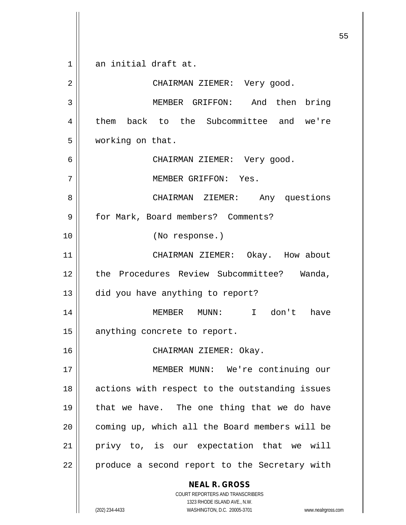**NEAL R. GROSS** COURT REPORTERS AND TRANSCRIBERS 1323 RHODE ISLAND AVE., N.W. 1 an initial draft at. 2 || CHAIRMAN ZIEMER: Very good. 3 MEMBER GRIFFON: And then bring 4 them back to the Subcommittee and we're 5 working on that. 6 CHAIRMAN ZIEMER: Very good. 7 MEMBER GRIFFON: Yes. 8 CHAIRMAN ZIEMER: Any questions 9 | for Mark, Board members? Comments? 10 (No response.) 11 || CHAIRMAN ZIEMER: Okay. How about 12 the Procedures Review Subcommittee? Wanda, 13 did you have anything to report? 14 MEMBER MUNN: I don't have 15 | anything concrete to report. 16 CHAIRMAN ZIEMER: Okay. 17 || MEMBER MUNN: We're continuing our 18 || actions with respect to the outstanding issues 19  $\parallel$  that we have. The one thing that we do have  $20$  | coming up, which all the Board members will be  $21$  privy to, is our expectation that we will 22 || produce a second report to the Secretary with

(202) 234-4433 WASHINGTON, D.C. 20005-3701 www.nealrgross.com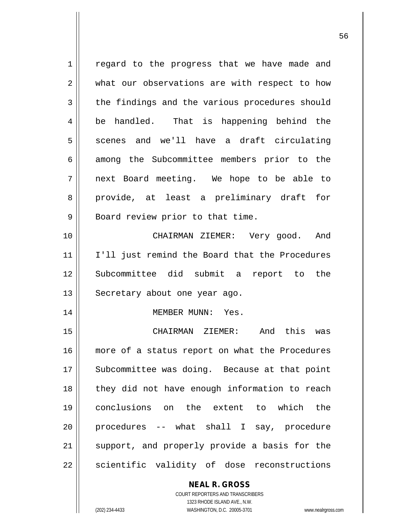1 || regard to the progress that we have made and 2 what our observations are with respect to how 3 the findings and the various procedures should 4 be handled. That is happening behind the  $5 \parallel$  scenes and we'll have a draft circulating 6 among the Subcommittee members prior to the 7 next Board meeting. We hope to be able to 8 || provide, at least a preliminary draft for  $9 \parallel$  Board review prior to that time. 10 CHAIRMAN ZIEMER: Very good. And 11 || I'll just remind the Board that the Procedures 12 Subcommittee did submit a report to the 13 || Secretary about one year ago. 14 MEMBER MUNN: Yes. 15 CHAIRMAN ZIEMER: And this was 16 || more of a status report on what the Procedures 17 || Subcommittee was doing. Because at that point  $18$  || they did not have enough information to reach 19 conclusions on the extent to which the 20 procedures -- what shall I say, procedure 21 || support, and properly provide a basis for the  $22$  || scientific validity of dose reconstructions

> COURT REPORTERS AND TRANSCRIBERS 1323 RHODE ISLAND AVE., N.W. (202) 234-4433 WASHINGTON, D.C. 20005-3701 www.nealrgross.com

**NEAL R. GROSS**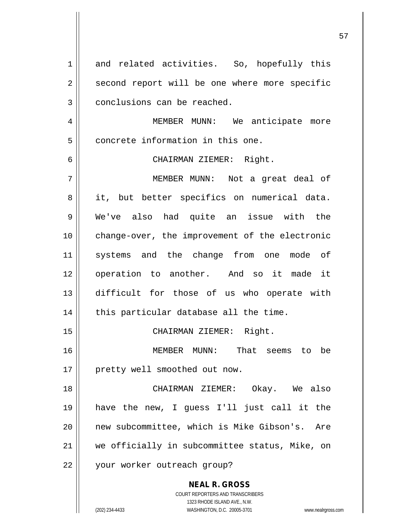**NEAL R. GROSS** COURT REPORTERS AND TRANSCRIBERS 1 and related activities. So, hopefully this  $2 \parallel$  second report will be one where more specific 3 | conclusions can be reached. 4 | MEMBER MUNN: We anticipate more 5 || concrete information in this one. 6 CHAIRMAN ZIEMER: Right. 7 MEMBER MUNN: Not a great deal of 8 || it, but better specifics on numerical data. 9 We've also had quite an issue with the 10 change-over, the improvement of the electronic 11 systems and the change from one mode of 12 || operation to another. And so it made it 13 difficult for those of us who operate with  $14$  | this particular database all the time. 15 || CHAIRMAN ZIEMER: Right. 16 MEMBER MUNN: That seems to be 17 || pretty well smoothed out now. 18 CHAIRMAN ZIEMER: Okay. We also 19 have the new, I guess I'll just call it the 20 || new subcommittee, which is Mike Gibson's. Are 21 we officially in subcommittee status, Mike, on 22 || your worker outreach group?

1323 RHODE ISLAND AVE., N.W.

(202) 234-4433 WASHINGTON, D.C. 20005-3701 www.nealrgross.com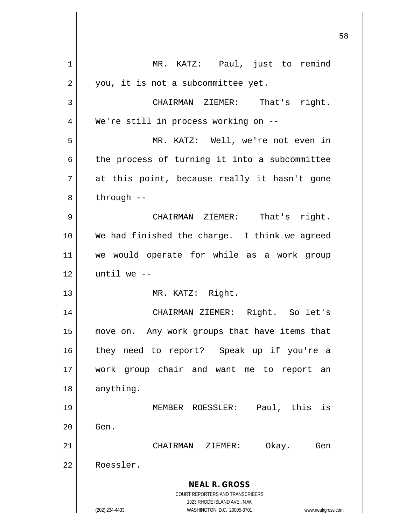|    |                                                                                                     | 58 |
|----|-----------------------------------------------------------------------------------------------------|----|
| 1  | MR. KATZ: Paul, just to remind                                                                      |    |
| 2  | you, it is not a subcommittee yet.                                                                  |    |
| 3  | CHAIRMAN ZIEMER: That's right.                                                                      |    |
| 4  | We're still in process working on --                                                                |    |
| 5  | MR. KATZ: Well, we're not even in                                                                   |    |
| 6  | the process of turning it into a subcommittee                                                       |    |
| 7  | at this point, because really it hasn't gone                                                        |    |
| 8  | through --                                                                                          |    |
| 9  | CHAIRMAN ZIEMER: That's right.                                                                      |    |
| 10 | We had finished the charge. I think we agreed                                                       |    |
| 11 | we would operate for while as a work group                                                          |    |
| 12 | until we $-$                                                                                        |    |
| 13 | MR. KATZ: Right.                                                                                    |    |
| 14 | CHAIRMAN ZIEMER: Right. So let's                                                                    |    |
| 15 | move on. Any work groups that have items that                                                       |    |
| 16 | they need to report? Speak up if you're a                                                           |    |
| 17 | work group chair and want me to report<br>an                                                        |    |
| 18 | anything.                                                                                           |    |
| 19 | MEMBER ROESSLER: Paul, this<br>is                                                                   |    |
| 20 | Gen.                                                                                                |    |
| 21 | Okay.<br>CHAIRMAN ZIEMER:<br>Gen                                                                    |    |
| 22 | Roessler.                                                                                           |    |
|    | <b>NEAL R. GROSS</b>                                                                                |    |
|    | COURT REPORTERS AND TRANSCRIBERS                                                                    |    |
|    | 1323 RHODE ISLAND AVE., N.W.<br>WASHINGTON, D.C. 20005-3701<br>(202) 234-4433<br>www.nealrgross.com |    |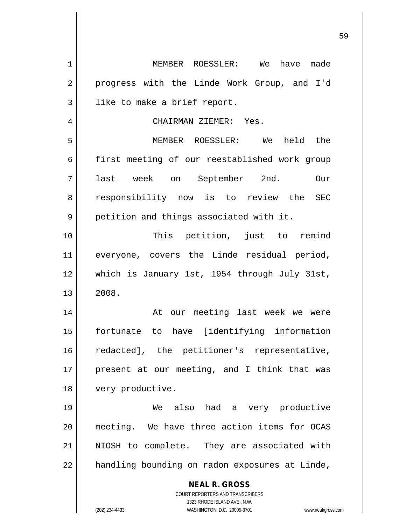| $\mathbf 1$ | MEMBER ROESSLER: We have made                                                                       |
|-------------|-----------------------------------------------------------------------------------------------------|
| 2           | progress with the Linde Work Group, and I'd                                                         |
| 3           | like to make a brief report.                                                                        |
| 4           | CHAIRMAN ZIEMER: Yes.                                                                               |
| 5           | MEMBER ROESSLER: We held the                                                                        |
| 6           | first meeting of our reestablished work group                                                       |
| 7           | last week on September 2nd.<br>Our                                                                  |
| 8           | responsibility now is to review the SEC                                                             |
| 9           | petition and things associated with it.                                                             |
| 10          | This petition, just to remind                                                                       |
| 11          | everyone, covers the Linde residual period,                                                         |
| 12          | which is January 1st, 1954 through July 31st,                                                       |
| 13          | 2008.                                                                                               |
| 14          | At our meeting last week we were                                                                    |
| 15          | have [identifying information<br>fortunate to                                                       |
| 16          | redacted], the petitioner's representative,                                                         |
| 17          | present at our meeting, and I think that was                                                        |
| 18          | very productive.                                                                                    |
| 19          | We also had a very productive                                                                       |
| 20          | meeting. We have three action items for OCAS                                                        |
| 21          | NIOSH to complete. They are associated with                                                         |
| 22          | handling bounding on radon exposures at Linde,                                                      |
|             | <b>NEAL R. GROSS</b>                                                                                |
|             | COURT REPORTERS AND TRANSCRIBERS                                                                    |
|             | 1323 RHODE ISLAND AVE., N.W.<br>(202) 234-4433<br>WASHINGTON, D.C. 20005-3701<br>www.nealrgross.com |
|             |                                                                                                     |

 $\mathsf{I}$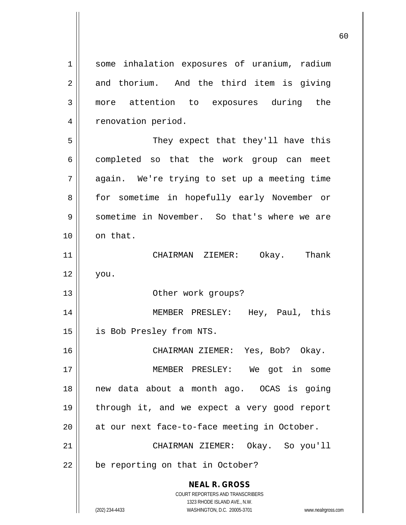**NEAL R. GROSS** COURT REPORTERS AND TRANSCRIBERS 1323 RHODE ISLAND AVE., N.W. (202) 234-4433 WASHINGTON, D.C. 20005-3701 www.nealrgross.com 1 || some inhalation exposures of uranium, radium  $2 \parallel$  and thorium. And the third item is giving 3 more attention to exposures during the 4 | renovation period. 5 They expect that they'll have this 6 completed so that the work group can meet 7 || again. We're trying to set up a meeting time 8 || for sometime in hopefully early November or 9 Sometime in November. So that's where we are  $10 \parallel$  on that. 11 CHAIRMAN ZIEMER: Okay. Thank  $12 \parallel$  you. 13 || Other work groups? 14 MEMBER PRESLEY: Hey, Paul, this 15 is Bob Presley from NTS. 16 CHAIRMAN ZIEMER: Yes, Bob? Okay. 17 MEMBER PRESLEY: We got in some 18 new data about a month ago. OCAS is going 19 || through it, and we expect a very good report  $20$  || at our next face-to-face meeting in October. 21 CHAIRMAN ZIEMER: Okay. So you'll  $22$  | be reporting on that in October?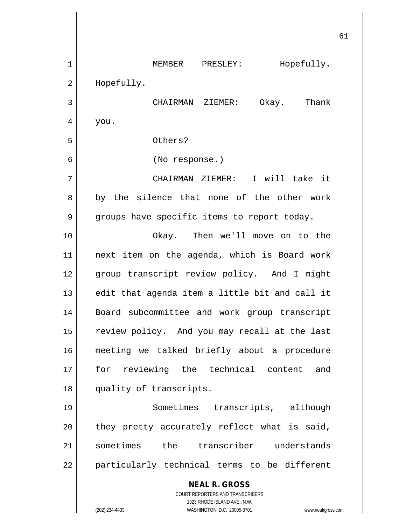**NEAL R. GROSS** COURT REPORTERS AND TRANSCRIBERS 1323 RHODE ISLAND AVE., N.W. (202) 234-4433 WASHINGTON, D.C. 20005-3701 www.nealrgross.com 1 || MEMBER PRESLEY: Hopefully. 2 || Hopefully. 3 CHAIRMAN ZIEMER: Okay. Thank  $4 \mid$  you. 5 Others? 6 (No response.) 7 CHAIRMAN ZIEMER: I will take it 8 by the silence that none of the other work 9 | groups have specific items to report today. 10 Okay. Then we'll move on to the 11 next item on the agenda, which is Board work 12 || group transcript review policy. And I might  $13$  || edit that agenda item a little bit and call it 14 Board subcommittee and work group transcript 15 || review policy. And you may recall at the last 16 meeting we talked briefly about a procedure 17 for reviewing the technical content and 18 quality of transcripts. 19 Sometimes transcripts, although  $20$  || they pretty accurately reflect what is said, 21 || sometimes the transcriber understands  $22$  || particularly technical terms to be different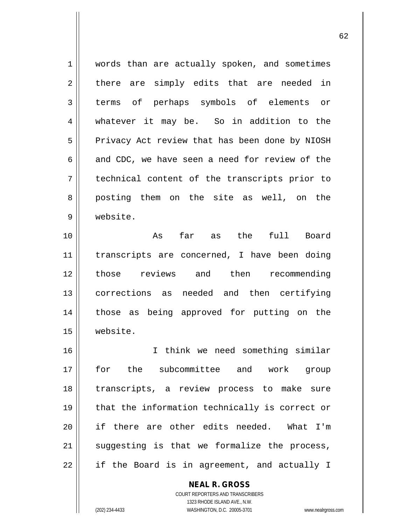| $\mathbf 1$ | words than are actually spoken, and sometimes  |
|-------------|------------------------------------------------|
| 2           | there are simply edits that are needed in      |
| 3           | terms of perhaps symbols of elements or        |
| 4           | whatever it may be. So in addition to the      |
| 5           | Privacy Act review that has been done by NIOSH |
| 6           | and CDC, we have seen a need for review of the |
| 7           | technical content of the transcripts prior to  |
| 8           | posting them on the site as well, on the       |
| 9           | website.                                       |
| 10          | As far as the full Board                       |
| 11          | transcripts are concerned, I have been doing   |
| 12          | those reviews and then recommending            |
| 13          | corrections as needed and then certifying      |
| 14          | those as being approved for putting on the     |
| 15          | website.                                       |
| 16          | I think we need something similar              |
| 17          | for the subcommittee and work group            |
| 18          | transcripts, a review process to make sure     |
| 19          | that the information technically is correct or |
| 20          | if there are other edits needed. What I'm      |
| 21          | suggesting is that we formalize the process,   |
| 22          | if the Board is in agreement, and actually I   |

**NEAL R. GROSS** COURT REPORTERS AND TRANSCRIBERS 1323 RHODE ISLAND AVE., N.W.

(202) 234-4433 WASHINGTON, D.C. 20005-3701 www.nealrgross.com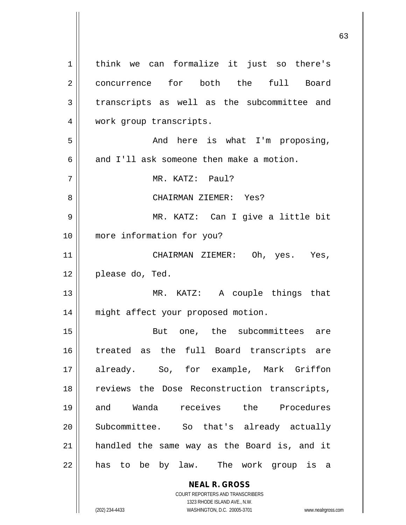**NEAL R. GROSS** COURT REPORTERS AND TRANSCRIBERS 1 | think we can formalize it just so there's 2 concurrence for both the full Board  $3$  transcripts as well as the subcommittee and 4 | work group transcripts. 5 And here is what I'm proposing, 6 and I'll ask someone then make a motion. 7 MR. KATZ: Paul? 8 CHAIRMAN ZIEMER: Yes? 9 MR. KATZ: Can I give a little bit 10 more information for you? 11 || CHAIRMAN ZIEMER: Oh, yes. Yes, 12 || please do, Ted. 13 MR. KATZ: A couple things that 14 || might affect your proposed motion. 15 || But one, the subcommittees are 16 treated as the full Board transcripts are 17 already. So, for example, Mark Griffon 18 || reviews the Dose Reconstruction transcripts, 19 and Wanda receives the Procedures 20 || Subcommittee. So that's already actually 21 handled the same way as the Board is, and it 22 || has to be by law. The work group is a

1323 RHODE ISLAND AVE., N.W.

(202) 234-4433 WASHINGTON, D.C. 20005-3701 www.nealrgross.com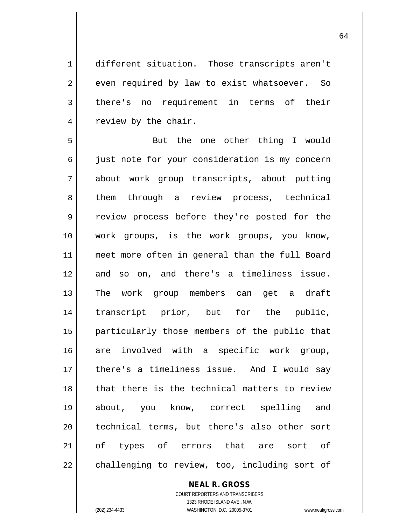1 different situation. Those transcripts aren't  $2 \parallel$  even required by law to exist whatsoever. So 3 there's no requirement in terms of their 4 | review by the chair.

5 || But the one other thing I would 6 || just note for your consideration is my concern about work group transcripts, about putting 8 them through a review process, technical 9 Teview process before they're posted for the work groups, is the work groups, you know, meet more often in general than the full Board and so on, and there's a timeliness issue. The work group members can get a draft transcript prior, but for the public, particularly those members of the public that are involved with a specific work group, there's a timeliness issue. And I would say 18 || that there is the technical matters to review about, you know, correct spelling and 20 || technical terms, but there's also other sort of types of errors that are sort of || challenging to review, too, including sort of

> **NEAL R. GROSS** COURT REPORTERS AND TRANSCRIBERS 1323 RHODE ISLAND AVE., N.W. (202) 234-4433 WASHINGTON, D.C. 20005-3701 www.nealrgross.com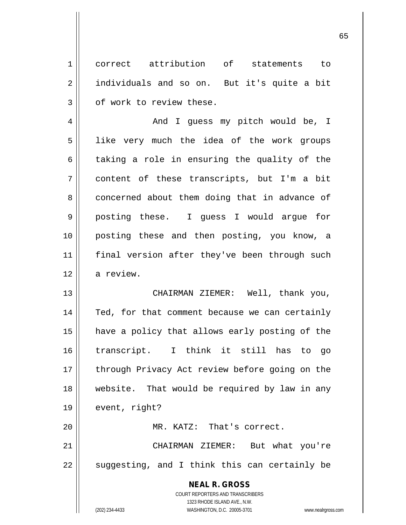1 correct attribution of statements to 2 individuals and so on. But it's quite a bit  $3 \parallel$  of work to review these.

4 And I guess my pitch would be, I 5 || like very much the idea of the work groups  $6 \parallel$  taking a role in ensuring the quality of the 7 content of these transcripts, but I'm a bit 8 concerned about them doing that in advance of 9 posting these. I guess I would argue for 10 posting these and then posting, you know, a 11 || final version after they've been through such 12 a review.

13 CHAIRMAN ZIEMER: Well, thank you, 14 || Ted, for that comment because we can certainly 15 have a policy that allows early posting of the 16 transcript. I think it still has to go 17 || through Privacy Act review before going on the 18 website. That would be required by law in any 19 | event, right? 20 || MR. KATZ: That's correct. 21 CHAIRMAN ZIEMER: But what you're

 $22 \parallel$  suggesting, and I think this can certainly be

**NEAL R. GROSS** COURT REPORTERS AND TRANSCRIBERS 1323 RHODE ISLAND AVE., N.W. (202) 234-4433 WASHINGTON, D.C. 20005-3701 www.nealrgross.com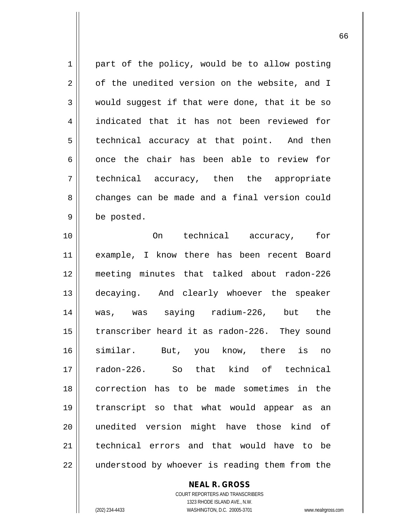$1 \parallel$  part of the policy, would be to allow posting  $2 \parallel$  of the unedited version on the website, and I  $3 \parallel$  would suggest if that were done, that it be so 4 || indicated that it has not been reviewed for  $5 \parallel$  technical accuracy at that point. And then  $6$  || once the chair has been able to review for 7 technical accuracy, then the appropriate 8 changes can be made and a final version could 9 | be posted.

 On technical accuracy, for example, I know there has been recent Board meeting minutes that talked about radon-226 decaying. And clearly whoever the speaker was, was saying radium-226, but the 15 || transcriber heard it as radon-226. They sound similar. But, you know, there is no radon-226. So that kind of technical correction has to be made sometimes in the transcript so that what would appear as an unedited version might have those kind of technical errors and that would have to be 22 || understood by whoever is reading them from the

> COURT REPORTERS AND TRANSCRIBERS 1323 RHODE ISLAND AVE., N.W. (202) 234-4433 WASHINGTON, D.C. 20005-3701 www.nealrgross.com

**NEAL R. GROSS**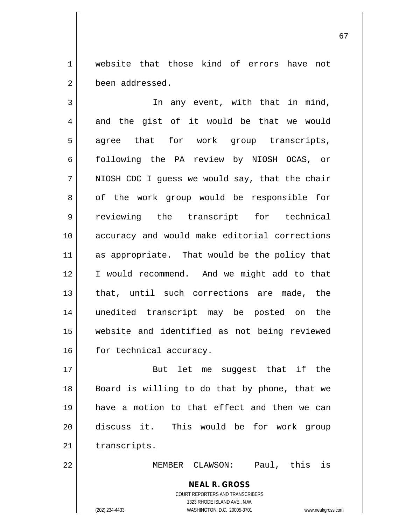1 || website that those kind of errors have not 2 been addressed.

3 || In any event, with that in mind,  $4 \parallel$  and the gist of it would be that we would 5 agree that for work group transcripts, 6 following the PA review by NIOSH OCAS, or  $7 \parallel$  NIOSH CDC I quess we would say, that the chair 8 || of the work group would be responsible for 9 reviewing the transcript for technical 10 accuracy and would make editorial corrections 11 as appropriate. That would be the policy that 12 I would recommend. And we might add to that 13 || that, until such corrections are made, the 14 unedited transcript may be posted on the 15 website and identified as not being reviewed 16 | for technical accuracy.

17 || But let me suqqest that if the 18 || Board is willing to do that by phone, that we 19 have a motion to that effect and then we can 20 discuss it. This would be for work group  $21$   $\parallel$  transcripts.

22 MEMBER CLAWSON: Paul, this is

**NEAL R. GROSS** COURT REPORTERS AND TRANSCRIBERS 1323 RHODE ISLAND AVE., N.W. (202) 234-4433 WASHINGTON, D.C. 20005-3701 www.nealrgross.com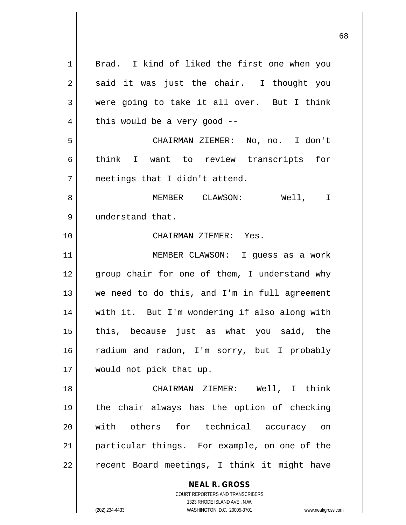| $\mathbf 1$    | Brad. I kind of liked the first one when you                        |
|----------------|---------------------------------------------------------------------|
| $\overline{2}$ | said it was just the chair. I thought you                           |
| 3              | were going to take it all over. But I think                         |
| 4              | this would be a very good $-$ -                                     |
| 5              | CHAIRMAN ZIEMER: No, no. I don't                                    |
| 6              | think I want to review transcripts for                              |
| 7              | meetings that I didn't attend.                                      |
| 8              | MEMBER CLAWSON: Well, I                                             |
| 9              | understand that.                                                    |
| 10             | CHAIRMAN ZIEMER: Yes.                                               |
| 11             | MEMBER CLAWSON: I guess as a work                                   |
| 12             | group chair for one of them, I understand why                       |
| 13             | we need to do this, and I'm in full agreement                       |
| 14             | with it. But I'm wondering if also along with                       |
| 15             | this, because just as what you said, the                            |
| 16             | radium and radon, I'm sorry, but I probably                         |
| 17             | would not pick that up.                                             |
| 18             | CHAIRMAN ZIEMER: Well, I think                                      |
| 19             | the chair always has the option of checking                         |
| 20             | with others for technical accuracy on                               |
| 21             | particular things. For example, on one of the                       |
| 22             | recent Board meetings, I think it might have                        |
|                |                                                                     |
|                | <b>NEAL R. GROSS</b><br>COURT REPORTERS AND TRANSCRIBERS            |
|                | 1323 RHODE ISLAND AVE., N.W.                                        |
|                | WASHINGTON, D.C. 20005-3701<br>(202) 234-4433<br>www.nealrgross.com |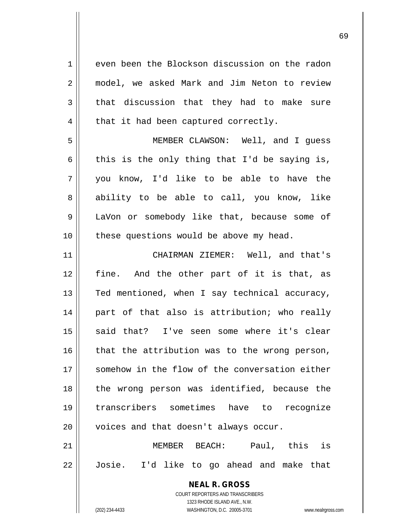1 even been the Blockson discussion on the radon 2 model, we asked Mark and Jim Neton to review  $3 \parallel$  that discussion that they had to make sure  $4 \parallel$  that it had been captured correctly. 5 MEMBER CLAWSON: Well, and I guess 6 this is the only thing that I'd be saying is, 7 you know, I'd like to be able to have the 8 ability to be able to call, you know, like 9 | LaVon or somebody like that, because some of 10 || these questions would be above my head. 11 CHAIRMAN ZIEMER: Well, and that's 12 fine. And the other part of it is that, as 13  $\parallel$  Ted mentioned, when I say technical accuracy, 14 || part of that also is attribution; who really 15 || said that? I've seen some where it's clear  $16$  that the attribution was to the wrong person, 17 Somehow in the flow of the conversation either 18 || the wrong person was identified, because the 19 transcribers sometimes have to recognize  $20$  | voices and that doesn't always occur. 21 MEMBER BEACH: Paul, this is 22 Josie. I'd like to go ahead and make that

> COURT REPORTERS AND TRANSCRIBERS 1323 RHODE ISLAND AVE., N.W. (202) 234-4433 WASHINGTON, D.C. 20005-3701 www.nealrgross.com

**NEAL R. GROSS**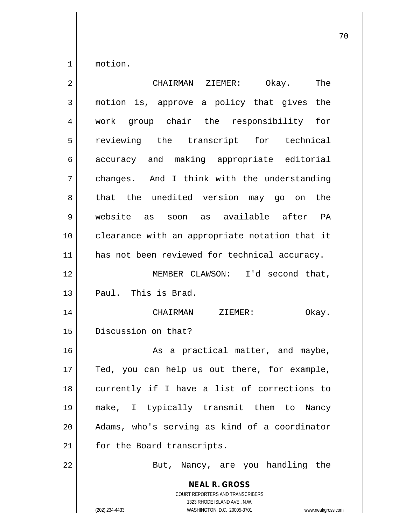1 motion.

| 2  | The<br>CHAIRMAN ZIEMER:<br>Okay.                                                                                                                                |
|----|-----------------------------------------------------------------------------------------------------------------------------------------------------------------|
| 3  | motion is, approve a policy that gives the                                                                                                                      |
| 4  | work group chair the responsibility for                                                                                                                         |
| 5  | reviewing the transcript for technical                                                                                                                          |
| 6  | accuracy and making appropriate editorial                                                                                                                       |
| 7  | changes. And I think with the understanding                                                                                                                     |
| 8  | that the unedited version may go on<br>the                                                                                                                      |
| 9  | website as soon as available after PA                                                                                                                           |
| 10 | clearance with an appropriate notation that it                                                                                                                  |
| 11 | has not been reviewed for technical accuracy.                                                                                                                   |
| 12 | MEMBER CLAWSON: I'd second that,                                                                                                                                |
| 13 | Paul. This is Brad.                                                                                                                                             |
| 14 | CHAIRMAN<br>ZIEMER:<br>Okay.                                                                                                                                    |
| 15 | Discussion on that?                                                                                                                                             |
| 16 | As a practical matter, and maybe,                                                                                                                               |
| 17 | Ted, you can help us out there, for example,                                                                                                                    |
| 18 | currently if I have a list of corrections to                                                                                                                    |
| 19 | make, I typically transmit them to Nancy                                                                                                                        |
| 20 | Adams, who's serving as kind of a coordinator                                                                                                                   |
| 21 | for the Board transcripts.                                                                                                                                      |
| 22 | But, Nancy, are you handling the                                                                                                                                |
|    | <b>NEAL R. GROSS</b><br>COURT REPORTERS AND TRANSCRIBERS<br>1323 RHODE ISLAND AVE., N.W.<br>WASHINGTON, D.C. 20005-3701<br>(202) 234-4433<br>www.nealrgross.com |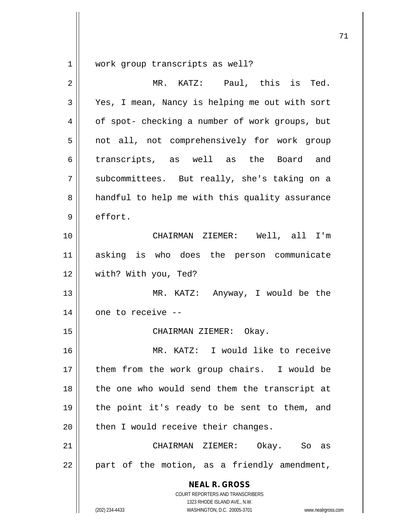1 | work group transcripts as well?

| $\overline{2}$ | MR. KATZ: Paul, this is Ted.                                                                                                                                    |
|----------------|-----------------------------------------------------------------------------------------------------------------------------------------------------------------|
| 3              | Yes, I mean, Nancy is helping me out with sort                                                                                                                  |
| 4              | of spot- checking a number of work groups, but                                                                                                                  |
| 5              | not all, not comprehensively for work group                                                                                                                     |
| 6              | transcripts, as well as the Board and                                                                                                                           |
| 7              | subcommittees. But really, she's taking on a                                                                                                                    |
| 8              | handful to help me with this quality assurance                                                                                                                  |
| 9              | effort.                                                                                                                                                         |
| 10             | CHAIRMAN ZIEMER: Well, all I'm                                                                                                                                  |
| 11             | asking is who does the person communicate                                                                                                                       |
| 12             | with? With you, Ted?                                                                                                                                            |
| 13             | MR. KATZ: Anyway, I would be the                                                                                                                                |
| 14             | one to receive --                                                                                                                                               |
| 15             | CHAIRMAN ZIEMER: Okay.                                                                                                                                          |
| 16             | MR. KATZ: I would like to receive                                                                                                                               |
| 17             | them from the work group chairs. I would be                                                                                                                     |
| 18             | the one who would send them the transcript at                                                                                                                   |
| 19             | the point it's ready to be sent to them, and                                                                                                                    |
| 20             | then I would receive their changes.                                                                                                                             |
| 21             | CHAIRMAN ZIEMER: Okay. So as                                                                                                                                    |
| 22             | part of the motion, as a friendly amendment,                                                                                                                    |
|                | <b>NEAL R. GROSS</b><br>COURT REPORTERS AND TRANSCRIBERS<br>1323 RHODE ISLAND AVE., N.W.<br>(202) 234-4433<br>WASHINGTON, D.C. 20005-3701<br>www.nealrgross.com |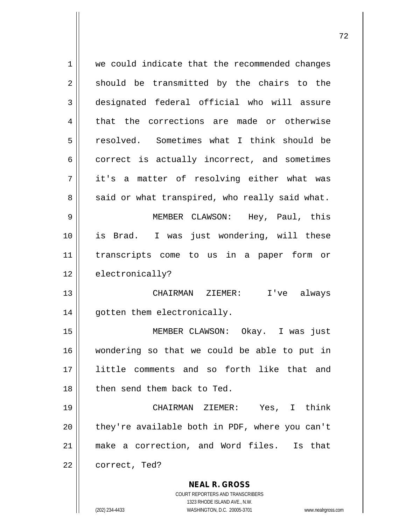| 1  | we could indicate that the recommended changes                                                   |
|----|--------------------------------------------------------------------------------------------------|
| 2  | should be transmitted by the chairs to the                                                       |
| 3  | designated federal official who will assure                                                      |
| 4  | that the corrections are made or otherwise                                                       |
| 5  | resolved. Sometimes what I think should be                                                       |
| 6  | correct is actually incorrect, and sometimes                                                     |
| 7  | it's a matter of resolving either what was                                                       |
| 8  | said or what transpired, who really said what.                                                   |
| 9  | MEMBER CLAWSON: Hey, Paul, this                                                                  |
| 10 | is Brad. I was just wondering, will these                                                        |
| 11 | transcripts come to us in a paper form or                                                        |
| 12 | electronically?                                                                                  |
| 13 | I've always<br>CHAIRMAN ZIEMER:                                                                  |
| 14 | gotten them electronically.                                                                      |
| 15 | MEMBER CLAWSON: Okay. I was just                                                                 |
| 16 | wondering so that we could be able to put in                                                     |
| 17 | little comments and so forth like that and                                                       |
| 18 | then send them back to Ted.                                                                      |
| 19 | CHAIRMAN ZIEMER: Yes, I think                                                                    |
| 20 | they're available both in PDF, where you can't                                                   |
| 21 | make a correction, and Word files. Is that                                                       |
| 22 | correct, Ted?                                                                                    |
|    | <b>NEAL R. GROSS</b>                                                                             |
|    | COURT REPORTERS AND TRANSCRIBERS                                                                 |
|    | 1323 RHODE ISLAND AVE., N.W.<br>(202) 234-4433<br>WASHINGTON, D.C. 20005-3701<br>www.nealrgross. |
|    |                                                                                                  |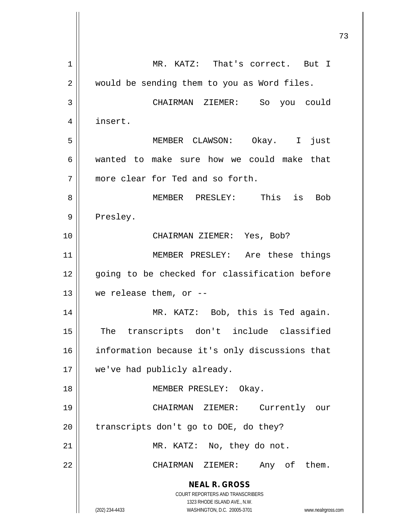**NEAL R. GROSS** COURT REPORTERS AND TRANSCRIBERS 1323 RHODE ISLAND AVE., N.W. (202) 234-4433 WASHINGTON, D.C. 20005-3701 www.nealrgross.com 1 || MR. KATZ: That's correct. But I 2 | would be sending them to you as Word files. 3 CHAIRMAN ZIEMER: So you could 4 insert. 5 MEMBER CLAWSON: Okay. I just 6 wanted to make sure how we could make that 7 more clear for Ted and so forth. 8 MEMBER PRESLEY: This is Bob 9 | Presley. 10 CHAIRMAN ZIEMER: Yes, Bob? 11 || MEMBER PRESLEY: Are these things 12 || going to be checked for classification before 13  $\parallel$  we release them, or --14 MR. KATZ: Bob, this is Ted again. 15 || The transcripts don't include classified 16 || information because it's only discussions that 17 || we've had publicly already. 18 || MEMBER PRESLEY: Okay. 19 CHAIRMAN ZIEMER: Currently our  $20$  | transcripts don't go to DOE, do they? 21 || MR. KATZ: No, they do not. 22 CHAIRMAN ZIEMER: Any of them.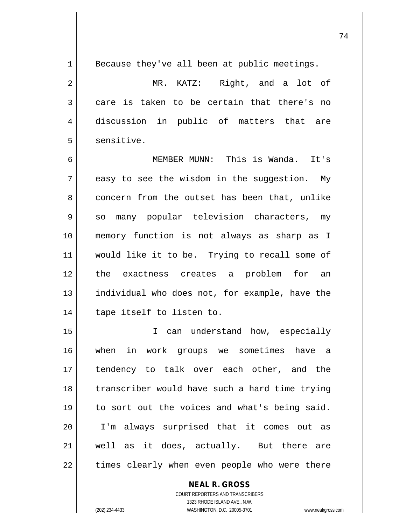$1 \parallel$  Because they've all been at public meetings. 2 || MR. KATZ: Right, and a lot of  $3 \parallel$  care is taken to be certain that there's no 4 discussion in public of matters that are  $5$   $\parallel$  sensitive. 6 MEMBER MUNN: This is Wanda. It's  $7 \parallel$  easy to see the wisdom in the suggestion. My 8 concern from the outset has been that, unlike 9 || so many popular television characters, my 10 memory function is not always as sharp as I 11 would like it to be. Trying to recall some of 12 || the exactness creates a problem for an 13 || individual who does not, for example, have the 14 || tape itself to listen to. 15 I can understand how, especially 16 when in work groups we sometimes have a 17 tendency to talk over each other, and the 18 || transcriber would have such a hard time trying 19 to sort out the voices and what's being said. 20 I'm always surprised that it comes out as 21 well as it does, actually. But there are

 $22$  || times clearly when even people who were there

COURT REPORTERS AND TRANSCRIBERS 1323 RHODE ISLAND AVE., N.W. (202) 234-4433 WASHINGTON, D.C. 20005-3701 www.nealrgross.com

**NEAL R. GROSS**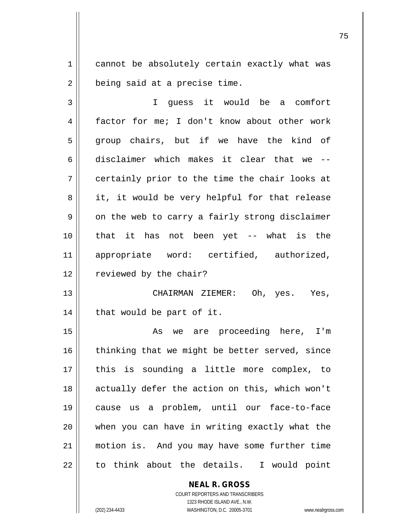1 | cannot be absolutely certain exactly what was  $2 \parallel$  being said at a precise time.

3 I guess it would be a comfort 4 factor for me; I don't know about other work 5 group chairs, but if we have the kind of 6 disclaimer which makes it clear that we --  $7 \parallel$  certainly prior to the time the chair looks at  $8 \parallel$  it, it would be very helpful for that release  $9 \parallel$  on the web to carry a fairly strong disclaimer 10 that it has not been yet -- what is the 11 appropriate word: certified, authorized, 12 | reviewed by the chair?

13 CHAIRMAN ZIEMER: Oh, yes. Yes,  $14$  | that would be part of it.

15 || The Reare proceeding here, I'm thinking that we might be better served, since this is sounding a little more complex, to 18 || actually defer the action on this, which won't cause us a problem, until our face-to-face when you can have in writing exactly what the motion is. And you may have some further time  $22 \parallel$  to think about the details. I would point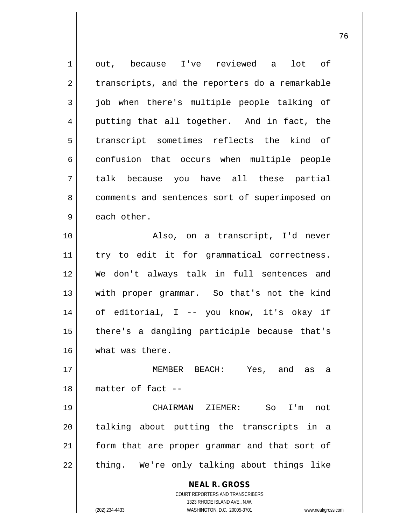| $\mathbf 1$    | out, because I've reviewed a lot of                                 |
|----------------|---------------------------------------------------------------------|
| $\overline{2}$ | transcripts, and the reporters do a remarkable                      |
| 3              | job when there's multiple people talking of                         |
| 4              | putting that all together. And in fact, the                         |
| 5              | transcript sometimes reflects the kind of                           |
| 6              | confusion that occurs when multiple people                          |
| 7              | talk because you have all these partial                             |
| 8              | comments and sentences sort of superimposed on                      |
| 9              | each other.                                                         |
| 10             | Also, on a transcript, I'd never                                    |
| 11             | try to edit it for grammatical correctness.                         |
| 12             | We don't always talk in full sentences and                          |
| 13             | with proper grammar. So that's not the kind                         |
| 14             | of editorial, I -- you know, it's okay if                           |
| 15             | there's a dangling participle because that's                        |
| 16             | what was there.                                                     |
| 17             | MEMBER BEACH: Yes, and as a                                         |
| 18             | matter of fact --                                                   |
| 19             | CHAIRMAN ZIEMER:<br>So<br>$I'$ m<br>not                             |
| 20             | talking about putting the transcripts in a                          |
| 21             | form that are proper grammar and that sort of                       |
| 22             | thing. We're only talking about things like                         |
|                | <b>NEAL R. GROSS</b><br><b>COURT REPORTERS AND TRANSCRIBERS</b>     |
|                |                                                                     |
|                | 1323 RHODE ISLAND AVE., N.W.                                        |
|                | (202) 234-4433<br>WASHINGTON, D.C. 20005-3701<br>www.nealrgross.com |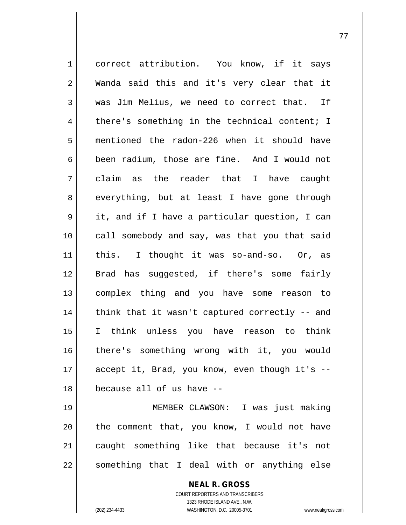**NEAL R. GROSS** COURT REPORTERS AND TRANSCRIBERS 1 correct attribution. You know, if it says 2 Wanda said this and it's very clear that it  $3 \parallel$  was Jim Melius, we need to correct that. If  $4 \parallel$  there's something in the technical content; I 5 mentioned the radon-226 when it should have 6 been radium, those are fine. And I would not 7 claim as the reader that I have caught 8 everything, but at least I have gone through 9 it, and if I have a particular question, I can 10 || call somebody and say, was that you that said 11 || this. I thought it was so-and-so. Or, as 12 || Brad has suggested, if there's some fairly 13 complex thing and you have some reason to 14 || think that it wasn't captured correctly -- and 15 I think unless you have reason to think 16 there's something wrong with it, you would 17 || accept it, Brad, you know, even though it's --18 because all of us have -- 19 MEMBER CLAWSON: I was just making  $20$  | the comment that, you know, I would not have 21 caught something like that because it's not  $22$  something that I deal with or anything else

1323 RHODE ISLAND AVE., N.W.

(202) 234-4433 WASHINGTON, D.C. 20005-3701 www.nealrgross.com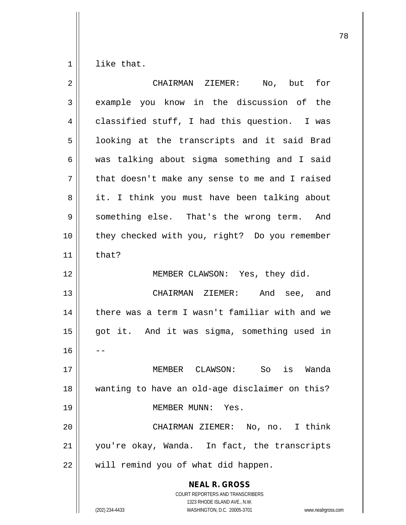$1 \parallel$  like that.

| $\overline{2}$ | CHAIRMAN ZIEMER: No, but<br>for                                                                                                                                 |
|----------------|-----------------------------------------------------------------------------------------------------------------------------------------------------------------|
| 3              | example you know in the discussion of the                                                                                                                       |
| $\overline{4}$ | classified stuff, I had this question. I was                                                                                                                    |
| 5              | looking at the transcripts and it said Brad                                                                                                                     |
| 6              | was talking about sigma something and I said                                                                                                                    |
| 7              | that doesn't make any sense to me and I raised                                                                                                                  |
| 8              | it. I think you must have been talking about                                                                                                                    |
| 9              | something else. That's the wrong term. And                                                                                                                      |
| 10             | they checked with you, right? Do you remember                                                                                                                   |
| 11             | that?                                                                                                                                                           |
| 12             | MEMBER CLAWSON: Yes, they did.                                                                                                                                  |
| 13             | CHAIRMAN ZIEMER: And see, and                                                                                                                                   |
| 14             | there was a term I wasn't familiar with and we                                                                                                                  |
| 15             | got it. And it was sigma, something used in                                                                                                                     |
| 16             |                                                                                                                                                                 |
| 17             | MEMBER CLAWSON: So is Wanda                                                                                                                                     |
| 18             | wanting to have an old-age disclaimer on this?                                                                                                                  |
| 19             | MEMBER MUNN: Yes.                                                                                                                                               |
| 20             | CHAIRMAN ZIEMER: No, no. I think                                                                                                                                |
| 21             | you're okay, Wanda. In fact, the transcripts                                                                                                                    |
| 22             | will remind you of what did happen.                                                                                                                             |
|                | <b>NEAL R. GROSS</b><br>COURT REPORTERS AND TRANSCRIBERS<br>1323 RHODE ISLAND AVE., N.W.<br>(202) 234-4433<br>WASHINGTON, D.C. 20005-3701<br>www.nealrgross.com |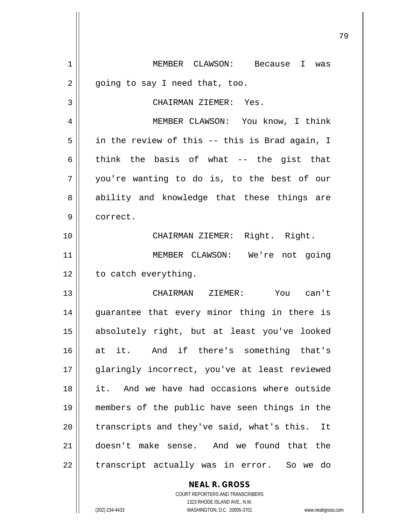**NEAL R. GROSS** 1 MEMBER CLAWSON: Because I was  $2 \parallel$  going to say I need that, too. 3 CHAIRMAN ZIEMER: Yes. 4 | MEMBER CLAWSON: You know, I think  $5 \parallel$  in the review of this -- this is Brad again, I 6 think the basis of what -- the gist that 7 you're wanting to do is, to the best of our 8 ability and knowledge that these things are 9 || correct. 10 || CHAIRMAN ZIEMER: Right. Right. 11 || MEMBER CLAWSON: We're not going  $12$  | to catch everything. 13 CHAIRMAN ZIEMER: You can't 14 || guarantee that every minor thing in there is 15 absolutely right, but at least you've looked 16 at it. And if there's something that's 17 glaringly incorrect, you've at least reviewed 18 it. And we have had occasions where outside 19 members of the public have seen things in the  $20$  || transcripts and they've said, what's this. It 21 doesn't make sense. And we found that the  $22$  || transcript actually was in error. So we do

> COURT REPORTERS AND TRANSCRIBERS 1323 RHODE ISLAND AVE., N.W. (202) 234-4433 WASHINGTON, D.C. 20005-3701 www.nealrgross.com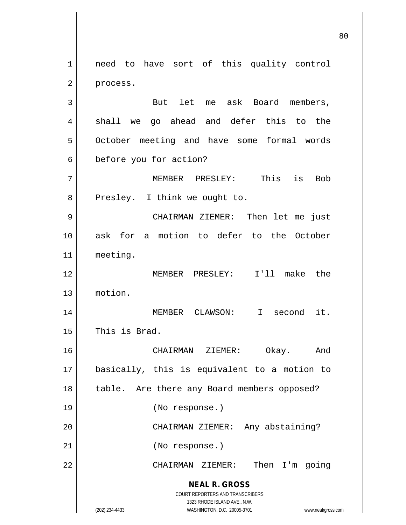**NEAL R. GROSS** COURT REPORTERS AND TRANSCRIBERS 1323 RHODE ISLAND AVE., N.W. 1 || need to have sort of this quality control 2 | process. 3 || But let me ask Board members,  $4 \parallel$  shall we go ahead and defer this to the 5 | October meeting and have some formal words 6 before you for action? 7 MEMBER PRESLEY: This is Bob 8 || Presley. I think we ought to. 9 CHAIRMAN ZIEMER: Then let me just 10 ask for a motion to defer to the October 11 meeting. 12 MEMBER PRESLEY: I'll make the 13 motion. 14 MEMBER CLAWSON: I second it. 15 This is Brad. 16 CHAIRMAN ZIEMER: Okay. And 17 basically, this is equivalent to a motion to 18 || table. Are there any Board members opposed? 19 (No response.) 20 CHAIRMAN ZIEMER: Any abstaining? 21 || (No response.) 22 CHAIRMAN ZIEMER: Then I'm going

(202) 234-4433 WASHINGTON, D.C. 20005-3701 www.nealrgross.com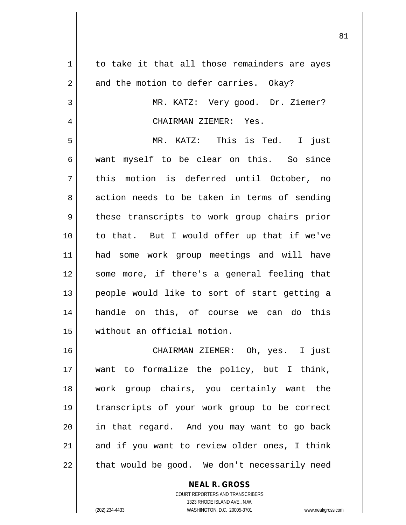| $\mathbf 1$ | to take it that all those remainders are ayes |
|-------------|-----------------------------------------------|
| 2           | and the motion to defer carries. Okay?        |
| 3           | MR. KATZ: Very good. Dr. Ziemer?              |
| 4           | CHAIRMAN ZIEMER: Yes.                         |
| 5           | MR. KATZ: This is Ted. I just                 |
| 6           | want myself to be clear on this. So since     |
| 7           | this motion is deferred until October, no     |
| 8           | action needs to be taken in terms of sending  |
| 9           | these transcripts to work group chairs prior  |
| 10          | to that. But I would offer up that if we've   |
| 11          | had some work group meetings and will have    |
| 12          | some more, if there's a general feeling that  |
| 13          | people would like to sort of start getting a  |
| 14          | handle on this, of course we can do this      |
| 15          | without an official motion.                   |
| 16          | CHAIRMAN ZIEMER: Oh, yes. I just              |
| 17          | want to formalize the policy, but I think,    |
| 18          | work group chairs, you certainly want the     |
| 19          | transcripts of your work group to be correct  |
| 20          | in that regard. And you may want to go back   |
| 21          | and if you want to review older ones, I think |
| 22          | that would be good. We don't necessarily need |

COURT REPORTERS AND TRANSCRIBERS 1323 RHODE ISLAND AVE., N.W. (202) 234-4433 WASHINGTON, D.C. 20005-3701 www.nealrgross.com

**NEAL R. GROSS**

 $\mathsf{II}$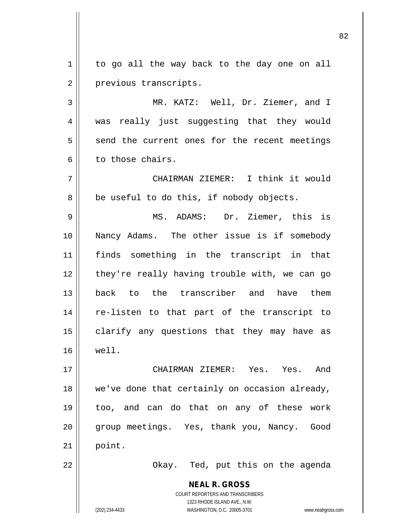$1 \parallel$  to go all the way back to the day one on all 2 | previous transcripts.

3 MR. KATZ: Well, Dr. Ziemer, and I 4 || was really just suggesting that they would  $5 \parallel$  send the current ones for the recent meetings 6 l to those chairs.

7 CHAIRMAN ZIEMER: I think it would  $8 \parallel$  be useful to do this, if nobody objects.

9 MS. ADAMS: Dr. Ziemer, this is 10 Nancy Adams. The other issue is if somebody 11 finds something in the transcript in that 12 || they're really having trouble with, we can go 13 back to the transcriber and have them 14 || re-listen to that part of the transcript to 15 || clarify any questions that they may have as 16 well.

17 CHAIRMAN ZIEMER: Yes. Yes. And 18 we've done that certainly on occasion already, 19 too, and can do that on any of these work 20 || group meetings. Yes, thank you, Nancy. Good  $21$  point.

22 Okay. Ted, put this on the agenda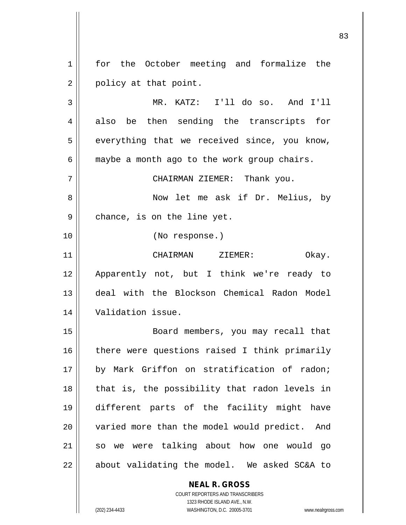1 || for the October meeting and formalize the  $2 \parallel$  policy at that point.

 MR. KATZ: I'll do so. And I'll 4 also be then sending the transcripts for  $5 \parallel$  everything that we received since, you know,  $6 \parallel$  maybe a month ago to the work group chairs. CHAIRMAN ZIEMER: Thank you. Now let me ask if Dr. Melius, by  $9 \parallel$  chance, is on the line yet. (No response.) CHAIRMAN ZIEMER: Okay. Apparently not, but I think we're ready to deal with the Blockson Chemical Radon Model Validation issue. Board members, you may recall that

16 || there were questions raised I think primarily by Mark Griffon on stratification of radon; || that is, the possibility that radon levels in different parts of the facility might have 20 || varied more than the model would predict. And so we were talking about how one would go || about validating the model. We asked SC&A to

## **NEAL R. GROSS**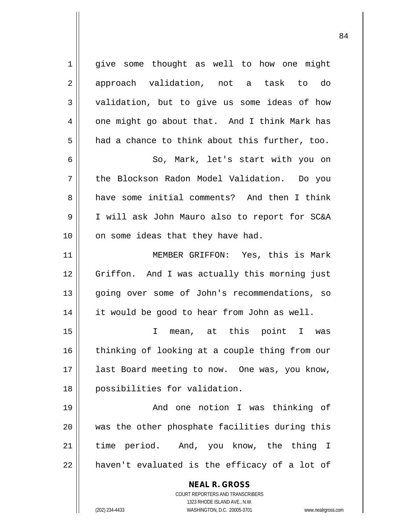**NEAL R. GROSS** COURT REPORTERS AND TRANSCRIBERS 1 || give some thought as well to how one might 2 approach validation, not a task to do 3 validation, but to give us some ideas of how  $4 \parallel$  one might go about that. And I think Mark has  $5 \parallel$  had a chance to think about this further, too. 6 || So, Mark, let's start with you on 7 the Blockson Radon Model Validation. Do you 8 and have some initial comments? And then I think 9 I will ask John Mauro also to report for SC&A 10 || on some ideas that they have had. 11 MEMBER GRIFFON: Yes, this is Mark 12 Griffon. And I was actually this morning just 13 || going over some of John's recommendations, so 14 it would be good to hear from John as well. 15 I mean, at this point I was 16 || thinking of looking at a couple thing from our 17 || last Board meeting to now. One was, you know, 18 || possibilities for validation. 19 And one notion I was thinking of 20 was the other phosphate facilities during this 21 time period. And, you know, the thing I  $22$  | haven't evaluated is the efficacy of a lot of

1323 RHODE ISLAND AVE., N.W.

(202) 234-4433 WASHINGTON, D.C. 20005-3701 www.nealrgross.com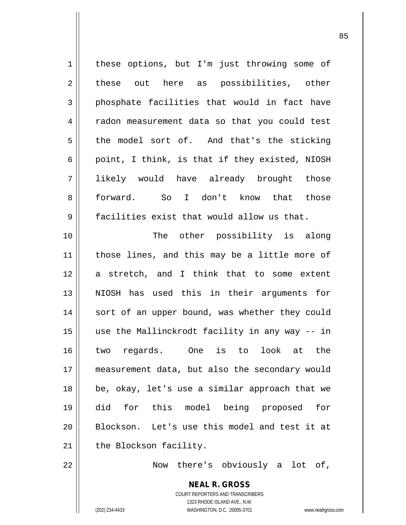| $\mathbf 1$    | these options, but I'm just throwing some of   |
|----------------|------------------------------------------------|
| $\sqrt{2}$     | these out here as possibilities, other         |
| $\mathsf{3}$   | phosphate facilities that would in fact have   |
| $\overline{4}$ | radon measurement data so that you could test  |
| 5              | the model sort of. And that's the sticking     |
| 6              | point, I think, is that if they existed, NIOSH |
| 7              | likely would have already brought those        |
| 8              | forward. So I don't know that those            |
| 9              | facilities exist that would allow us that.     |
| 10             | The other possibility is along                 |
| 11             | those lines, and this may be a little more of  |
| 12             | a stretch, and I think that to some extent     |
| 13             | NIOSH has used this in their arguments for     |
| 14             | sort of an upper bound, was whether they could |
| 15             | use the Mallinckrodt facility in any way -- in |
| 16             | two regards. One is to look at the             |
| 17             | measurement data, but also the secondary would |
| 18             | be, okay, let's use a similar approach that we |
| 19             | for this model being proposed<br>did<br>for    |
| 20             | Blockson. Let's use this model and test it at  |
| 21             | the Blockson facility.                         |
| 22             | there's obviously a lot of,<br>Now             |

**NEAL R. GROSS** COURT REPORTERS AND TRANSCRIBERS 1323 RHODE ISLAND AVE., N.W. (202) 234-4433 WASHINGTON, D.C. 20005-3701 www.nealrgross.com

 $\mathbf{\mathsf{I}}$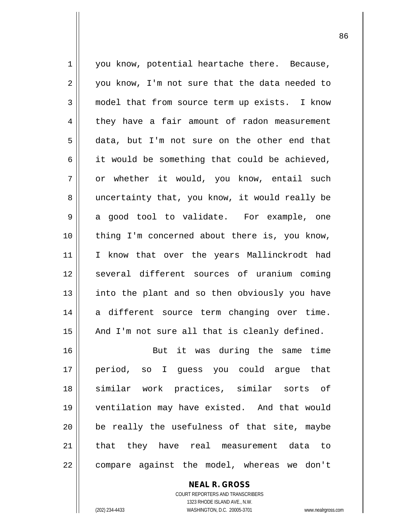1 || you know, potential heartache there. Because, 2 || you know, I'm not sure that the data needed to 3 model that from source term up exists. I know 4 they have a fair amount of radon measurement 5 data, but I'm not sure on the other end that  $6 \parallel$  it would be something that could be achieved, 7 | or whether it would, you know, entail such 8 || uncertainty that, you know, it would really be  $9 \parallel$  a good tool to validate. For example, one 10 thing I'm concerned about there is, you know, 11 || I know that over the years Mallinckrodt had 12 || several different sources of uranium coming 13 || into the plant and so then obviously you have 14 a different source term changing over time.  $15$  || And I'm not sure all that is cleanly defined. 16 But it was during the same time 17 period, so I guess you could argue that 18 similar work practices, similar sorts of 19 ventilation may have existed. And that would  $20$  || be really the usefulness of that site, maybe 21 || that they have real measurement data to 22 | compare against the model, whereas we don't

> COURT REPORTERS AND TRANSCRIBERS 1323 RHODE ISLAND AVE., N.W. (202) 234-4433 WASHINGTON, D.C. 20005-3701 www.nealrgross.com

**NEAL R. GROSS**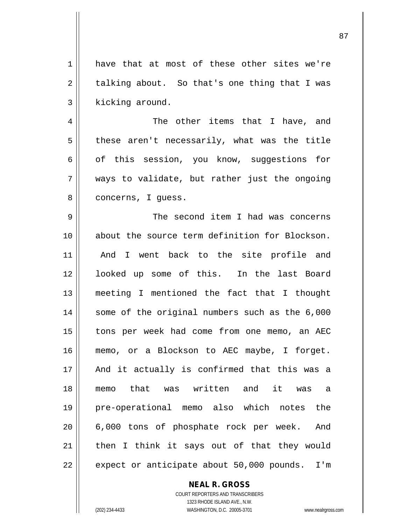1 have that at most of these other sites we're  $2 \parallel$  talking about. So that's one thing that I was  $3$  | kicking around.

4 The other items that I have, and  $5 \parallel$  these aren't necessarily, what was the title  $6 \parallel$  of this session, you know, suggestions for 7 ways to validate, but rather just the ongoing 8 | concerns, I guess.

 The second item I had was concerns about the source term definition for Blockson. 11 || And I went back to the site profile and 12 || looked up some of this. In the last Board meeting I mentioned the fact that I thought 14 || some of the original numbers such as the 6,000 tons per week had come from one memo, an AEC memo, or a Blockson to AEC maybe, I forget. And it actually is confirmed that this was a memo that was written and it was a pre-operational memo also which notes the 20 || 6,000 tons of phosphate rock per week. And then I think it says out of that they would || expect or anticipate about 50,000 pounds. I'm

> **NEAL R. GROSS** COURT REPORTERS AND TRANSCRIBERS 1323 RHODE ISLAND AVE., N.W.

(202) 234-4433 WASHINGTON, D.C. 20005-3701 www.nealrgross.com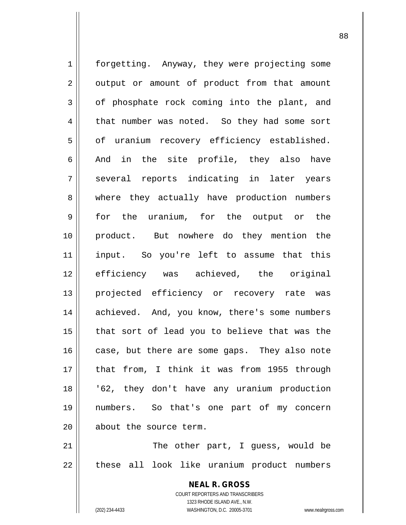1 | forgetting. Anyway, they were projecting some  $2 \parallel$  output or amount of product from that amount  $3 \parallel$  of phosphate rock coming into the plant, and 4 | that number was noted. So they had some sort 5 | of uranium recovery efficiency established.  $6 \parallel$  And in the site profile, they also have 7 || several reports indicating in later years 8 || where they actually have production numbers 9 for the uranium, for the output or the 10 product. But nowhere do they mention the 11 input. So you're left to assume that this 12 efficiency was achieved, the original 13 || projected efficiency or recovery rate was 14 || achieved. And, you know, there's some numbers  $15$  | that sort of lead you to believe that was the 16 case, but there are some gaps. They also note 17 that from, I think it was from 1955 through 18 '62, they don't have any uranium production 19 numbers. So that's one part of my concern 20 | about the source term.  $21$   $\parallel$  The other part, I quess, would be

22 || these all look like uranium product numbers

COURT REPORTERS AND TRANSCRIBERS 1323 RHODE ISLAND AVE., N.W. (202) 234-4433 WASHINGTON, D.C. 20005-3701 www.nealrgross.com

**NEAL R. GROSS**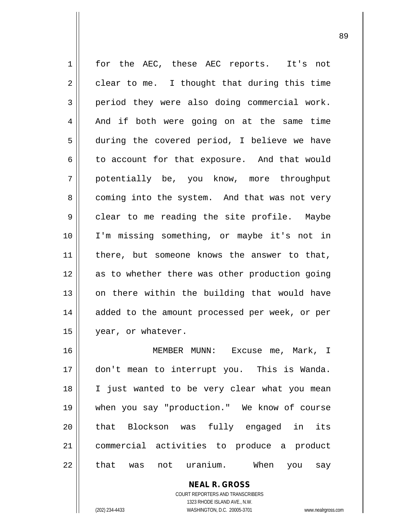| $\mathbf 1$ | for the AEC, these AEC reports.<br>It's not    |
|-------------|------------------------------------------------|
| 2           | clear to me. I thought that during this time   |
| 3           | period they were also doing commercial work.   |
| 4           | And if both were going on at the same time     |
| 5           | during the covered period, I believe we have   |
| 6           | to account for that exposure. And that would   |
| 7           | potentially be, you know, more throughput      |
| 8           | coming into the system. And that was not very  |
| 9           | clear to me reading the site profile. Maybe    |
| 10          | I'm missing something, or maybe it's not in    |
| 11          | there, but someone knows the answer to that,   |
| 12          | as to whether there was other production going |
| 13          | on there within the building that would have   |
| 14          | added to the amount processed per week, or per |
| 15          | year, or whatever.                             |
| 16          | MEMBER MUNN:<br>Excuse me, Mark, I             |
| 17          | don't mean to interrupt you. This is Wanda.    |
| 18          | I just wanted to be very clear what you mean   |
| 19          | when you say "production." We know of course   |
| 20          | that Blockson was fully engaged in<br>its      |
| 21          | commercial activities to produce a product     |
| 22          | not uranium. When<br>that<br>was<br>you<br>say |

**NEAL R. GROSS** COURT REPORTERS AND TRANSCRIBERS 1323 RHODE ISLAND AVE., N.W. (202) 234-4433 WASHINGTON, D.C. 20005-3701 www.nealrgross.com

 $\mathbf{I}$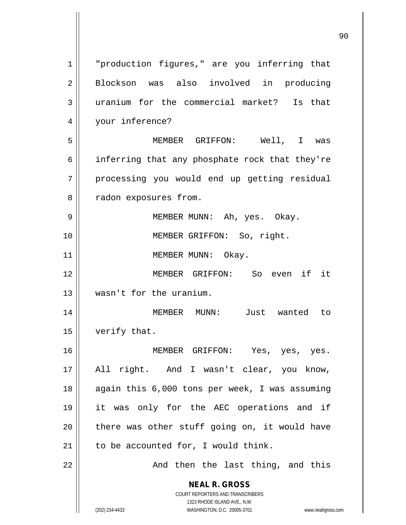**NEAL R. GROSS** COURT REPORTERS AND TRANSCRIBERS 1323 RHODE ISLAND AVE., N.W. (202) 234-4433 WASHINGTON, D.C. 20005-3701 www.nealrgross.com 1 || "production figures," are you inferring that 2 Blockson was also involved in producing 3 uranium for the commercial market? Is that 4 || your inference? 5 MEMBER GRIFFON: Well, I was 6 | inferring that any phosphate rock that they're 7 || processing you would end up getting residual 8 | radon exposures from. 9 MEMBER MUNN: Ah, yes. Okay. 10 || **MEMBER GRIFFON:** So, right. 11 || MEMBER MUNN: Okay. 12 MEMBER GRIFFON: So even if it 13 wasn't for the uranium. 14 MEMBER MUNN: Just wanted to 15 | verify that. 16 MEMBER GRIFFON: Yes, yes, yes. 17 All right. And I wasn't clear, you know, 18 || again this 6,000 tons per week, I was assuming 19 it was only for the AEC operations and if  $20$  | there was other stuff going on, it would have  $21$  to be accounted for, I would think. 22 || And then the last thing, and this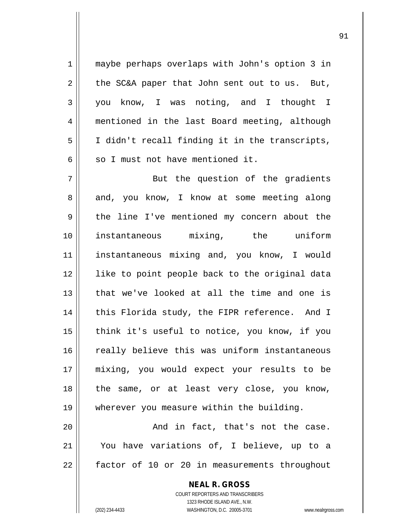1 || maybe perhaps overlaps with John's option 3 in  $2 \parallel$  the SC&A paper that John sent out to us. But, 3 you know, I was noting, and I thought I 4 mentioned in the last Board meeting, although  $5 \parallel$  I didn't recall finding it in the transcripts,  $6 \parallel$  so I must not have mentioned it.

7 || But the question of the gradients 8 and, you know, I know at some meeting along 9 the line I've mentioned my concern about the 10 instantaneous mixing, the uniform 11 || instantaneous mixing and, you know, I would 12 like to point people back to the original data 13 that we've looked at all the time and one is 14 || this Florida study, the FIPR reference. And I  $15$  think it's useful to notice, you know, if you 16 || really believe this was uniform instantaneous 17 mixing, you would expect your results to be 18 || the same, or at least very close, you know, 19 wherever you measure within the building.

 $20$   $\parallel$  and in fact, that's not the case. 21 You have variations of, I believe, up to a 22 factor of 10 or 20 in measurements throughout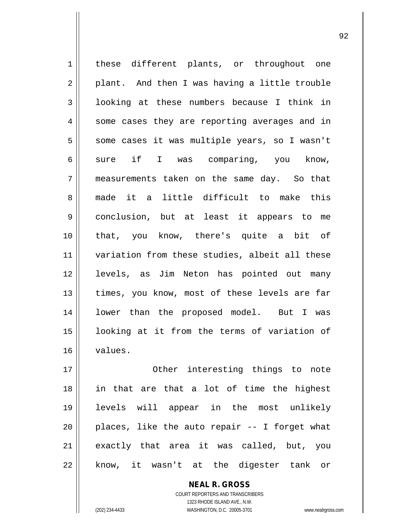1 || these different plants, or throughout one  $2 \parallel$  plant. And then I was having a little trouble 3 | looking at these numbers because I think in  $4 \parallel$  some cases they are reporting averages and in 5 | some cases it was multiple years, so I wasn't 6 sure if I was comparing, you know, 7 measurements taken on the same day. So that 8 made it a little difficult to make this 9 | conclusion, but at least it appears to me 10 that, you know, there's quite a bit of 11 || variation from these studies, albeit all these 12 levels, as Jim Neton has pointed out many 13 || times, you know, most of these levels are far 14 || lower than the proposed model. But I was 15 looking at it from the terms of variation of 16 values. 17 || **Other** interesting things to note 18 in that are that a lot of time the highest

> COURT REPORTERS AND TRANSCRIBERS 1323 RHODE ISLAND AVE., N.W. (202) 234-4433 WASHINGTON, D.C. 20005-3701 www.nealrgross.com

**NEAL R. GROSS**

19 levels will appear in the most unlikely

 $20$  || places, like the auto repair -- I forget what

21 || exactly that area it was called, but, you

22 || know, it wasn't at the digester tank or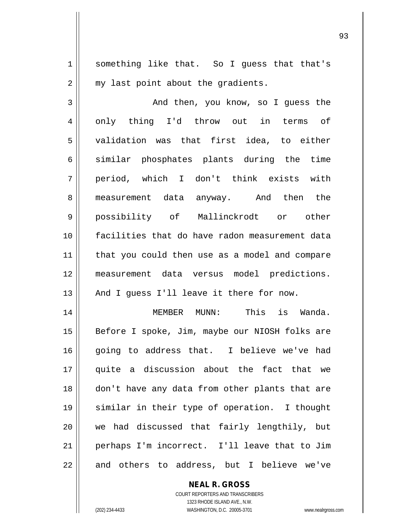1 || something like that. So I guess that that's  $2 \parallel$  my last point about the gradients.

 And then, you know, so I guess the 4 || only thing I'd throw out in terms of validation was that first idea, to either 6 similar phosphates plants during the time period, which I don't think exists with measurement data anyway. And then the possibility of Mallinckrodt or other facilities that do have radon measurement data 11 || that you could then use as a model and compare measurement data versus model predictions. || And I guess I'll leave it there for now.

 MEMBER MUNN: This is Wanda. 15 || Before I spoke, Jim, maybe our NIOSH folks are 16 going to address that. I believe we've had quite a discussion about the fact that we don't have any data from other plants that are similar in their type of operation. I thought 20 || we had discussed that fairly lengthily, but perhaps I'm incorrect. I'll leave that to Jim || and others to address, but I believe we've

> COURT REPORTERS AND TRANSCRIBERS 1323 RHODE ISLAND AVE., N.W. (202) 234-4433 WASHINGTON, D.C. 20005-3701 www.nealrgross.com

**NEAL R. GROSS**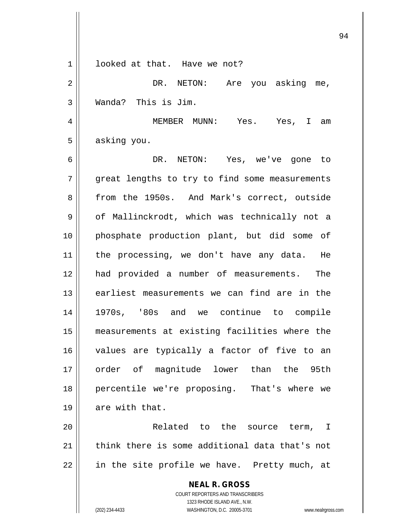| 1  | looked at that. Have we not?                                        |
|----|---------------------------------------------------------------------|
| 2  | DR. NETON: Are you asking me,                                       |
| 3  | Wanda? This is Jim.                                                 |
| 4  | MEMBER MUNN: Yes. Yes, I am                                         |
| 5  | asking you.                                                         |
| 6  | DR. NETON: Yes, we've gone to                                       |
| 7  | great lengths to try to find some measurements                      |
| 8  | from the 1950s. And Mark's correct, outside                         |
| 9  | of Mallinckrodt, which was technically not a                        |
| 10 | phosphate production plant, but did some of                         |
| 11 | the processing, we don't have any data. He                          |
| 12 | had provided a number of measurements. The                          |
| 13 | earliest measurements we can find are in the                        |
| 14 | 1970s, '80s and we continue to compile                              |
| 15 | measurements at existing facilities where the                       |
| 16 | values are typically a factor of five to an                         |
| 17 | order of magnitude lower than the 95th                              |
| 18 | percentile we're proposing. That's where we                         |
| 19 | are with that.                                                      |
| 20 | Related to the source term,<br>T.                                   |
| 21 | think there is some additional data that's not                      |
| 22 | in the site profile we have. Pretty much, at                        |
|    | <b>NEAL R. GROSS</b>                                                |
|    | COURT REPORTERS AND TRANSCRIBERS<br>1323 RHODE ISLAND AVE., N.W.    |
|    | (202) 234-4433<br>WASHINGTON, D.C. 20005-3701<br>www.nealrgross.com |

 $\overline{\phantom{a}}$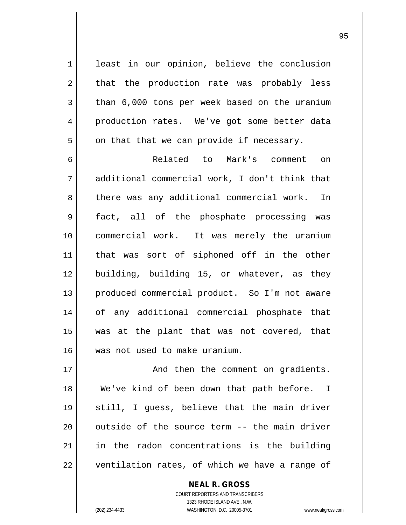1 least in our opinion, believe the conclusion  $2 \parallel$  that the production rate was probably less  $3 \parallel$  than 6,000 tons per week based on the uranium 4 production rates. We've got some better data  $5 \parallel$  on that that we can provide if necessary.

 Related to Mark's comment on additional commercial work, I don't think that 8 | there was any additional commercial work. In 9 || fact, all of the phosphate processing was commercial work. It was merely the uranium that was sort of siphoned off in the other 12 building, building 15, or whatever, as they 13 || produced commercial product. So I'm not aware of any additional commercial phosphate that was at the plant that was not covered, that was not used to make uranium.

17 || **And then the comment on gradients.**  We've kind of been down that path before. I still, I guess, believe that the main driver  $\vert$  outside of the source term  $-$  the main driver in the radon concentrations is the building | ventilation rates, of which we have a range of

> COURT REPORTERS AND TRANSCRIBERS 1323 RHODE ISLAND AVE., N.W. (202) 234-4433 WASHINGTON, D.C. 20005-3701 www.nealrgross.com

**NEAL R. GROSS**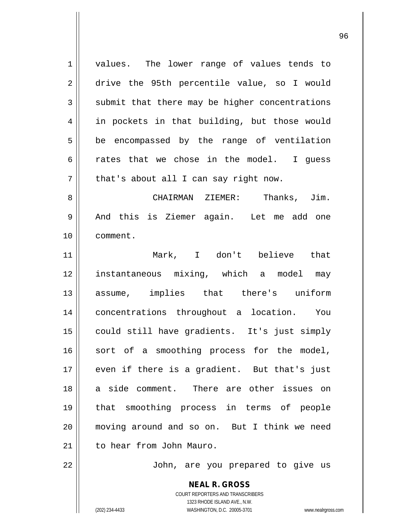**NEAL R. GROSS** 1 || values. The lower range of values tends to 2 drive the 95th percentile value, so I would  $3$  submit that there may be higher concentrations 4 || in pockets in that building, but those would  $5 \parallel$  be encompassed by the range of ventilation 6  $\parallel$  rates that we chose in the model. I quess  $7 \parallel$  that's about all I can say right now. 8 CHAIRMAN ZIEMER: Thanks, Jim. 9 And this is Ziemer again. Let me add one 10 comment. 11 Mark, I don't believe that 12 instantaneous mixing, which a model may 13 assume, implies that there's uniform 14 concentrations throughout a location. You 15 could still have gradients. It's just simply 16 || sort of a smoothing process for the model, 17 || even if there is a gradient. But that's just 18 a side comment. There are other issues on 19 that smoothing process in terms of people 20 moving around and so on. But I think we need 21 | to hear from John Mauro. 22 || John, are you prepared to give us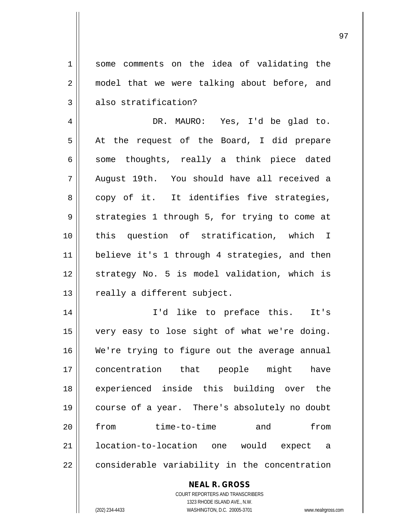1 some comments on the idea of validating the 2 || model that we were talking about before, and  $3 \parallel$  also stratification?

4 DR. MAURO: Yes, I'd be glad to.  $5 \parallel$  At the request of the Board, I did prepare  $6 \parallel$  some thoughts, really a think piece dated 7 August 19th. You should have all received a  $8 \parallel$  copy of it. It identifies five strategies, 9 || strategies 1 through 5, for trying to come at 10 this question of stratification, which I 11 believe it's 1 through 4 strategies, and then 12 || strategy No. 5 is model validation, which is 13 | really a different subject.

 I'd like to preface this. It's very easy to lose sight of what we're doing. 16 We're trying to figure out the average annual concentration that people might have experienced inside this building over the course of a year. There's absolutely no doubt from time-to-time and from location-to-location one would expect a | considerable variability in the concentration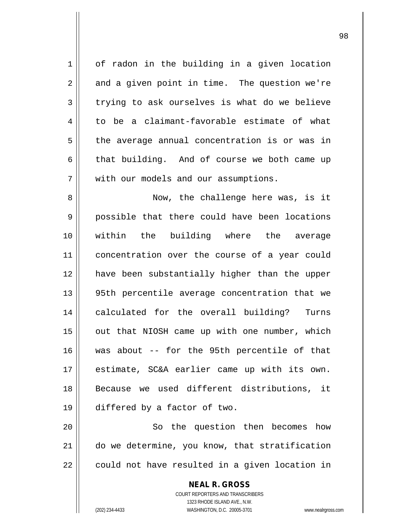1 | of radon in the building in a given location  $2 \parallel$  and a given point in time. The question we're  $3 \parallel$  trying to ask ourselves is what do we believe  $4 \parallel$  to be a claimant-favorable estimate of what  $5 \parallel$  the average annual concentration is or was in  $6 \parallel$  that building. And of course we both came up 7 | with our models and our assumptions. 8 || Now, the challenge here was, is it 9 possible that there could have been locations 10 within the building where the average 11 || concentration over the course of a year could 12 have been substantially higher than the upper 13 95th percentile average concentration that we 14 || calculated for the overall building? Turns  $15$  || out that NIOSH came up with one number, which 16 was about -- for the 95th percentile of that 17 estimate, SC&A earlier came up with its own. 18 Because we used different distributions, it 19 differed by a factor of two. 20 || So the question then becomes how 21 do we determine, you know, that stratification

 $22$  | could not have resulted in a given location in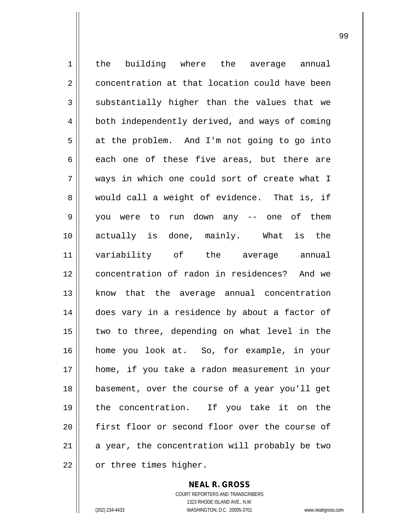1 | the building where the average annual 2 concentration at that location could have been  $3 \parallel$  substantially higher than the values that we 4 | both independently derived, and ways of coming  $5 \parallel$  at the problem. And I'm not going to go into  $6 \parallel$  each one of these five areas, but there are 7 ways in which one could sort of create what I 8 would call a weight of evidence. That is, if 9 you were to run down any -- one of them 10 actually is done, mainly. What is the 11 variability of the average annual 12 concentration of radon in residences? And we 13 know that the average annual concentration 14 does vary in a residence by about a factor of 15 || two to three, depending on what level in the 16 home you look at. So, for example, in your 17 home, if you take a radon measurement in your 18 basement, over the course of a year you'll get 19 the concentration. If you take it on the 20 || first floor or second floor over the course of 21  $\parallel$  a year, the concentration will probably be two 22 | or three times higher.

> COURT REPORTERS AND TRANSCRIBERS 1323 RHODE ISLAND AVE., N.W. (202) 234-4433 WASHINGTON, D.C. 20005-3701 www.nealrgross.com

**NEAL R. GROSS**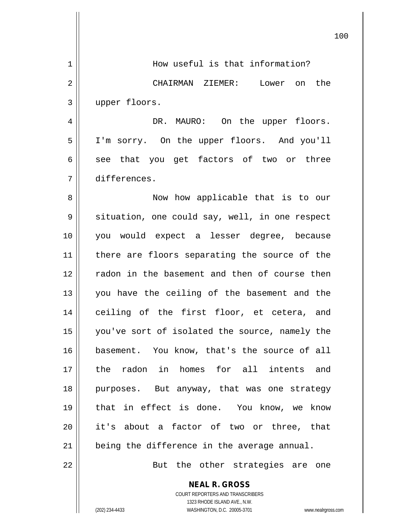|    | 100                                                      |
|----|----------------------------------------------------------|
| 1  | How useful is that information?                          |
| 2  | CHAIRMAN ZIEMER: Lower on the                            |
| 3  | upper floors.                                            |
| 4  | DR. MAURO: On the upper floors.                          |
| 5  | I'm sorry. On the upper floors. And you'll               |
| 6  | see that you get factors of two or three                 |
| 7  | differences.                                             |
| 8  | Now how applicable that is to our                        |
| 9  | situation, one could say, well, in one respect           |
| 10 | you would expect a lesser degree, because                |
| 11 | there are floors separating the source of the            |
| 12 | radon in the basement and then of course then            |
| 13 | you have the ceiling of the basement and the             |
| 14 | ceiling of the first floor, et cetera, and               |
| 15 | you've sort of isolated the source, namely the           |
| 16 | basement. You know, that's the source of all             |
| 17 | the radon in homes for all intents and                   |
| 18 | purposes. But anyway, that was one strategy              |
| 19 | that in effect is done. You know, we know                |
| 20 | it's about a factor of two or three, that                |
| 21 | being the difference in the average annual.              |
| 22 | But the other strategies are one                         |
|    | <b>NEAL R. GROSS</b><br>COURT REPORTERS AND TRANSCRIBERS |

1323 RHODE ISLAND AVE., N.W.

 $\prod$ 

 $\mathsf{I}$ 

(202) 234-4433 WASHINGTON, D.C. 20005-3701 www.nealrgross.com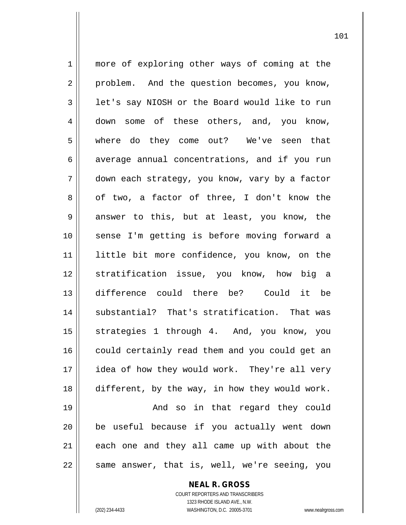1 || more of exploring other ways of coming at the 2 || problem. And the question becomes, you know, 3 | let's say NIOSH or the Board would like to run 4 down some of these others, and, you know, 5 where do they come out? We've seen that 6 average annual concentrations, and if you run 7 down each strategy, you know, vary by a factor  $8 \parallel$  of two, a factor of three, I don't know the  $9 \parallel$  answer to this, but at least, you know, the 10 sense I'm getting is before moving forward a 11 little bit more confidence, you know, on the 12 stratification issue, you know, how big a 13 difference could there be? Could it be 14 || substantial? That's stratification. That was 15 strategies 1 through 4. And, you know, you 16 | could certainly read them and you could get an 17 idea of how they would work. They're all very 18 || different, by the way, in how they would work. 19 And so in that regard they could 20 be useful because if you actually went down  $21$  each one and they all came up with about the  $22$  || same answer, that is, well, we're seeing, you

> **NEAL R. GROSS** COURT REPORTERS AND TRANSCRIBERS 1323 RHODE ISLAND AVE., N.W.

(202) 234-4433 WASHINGTON, D.C. 20005-3701 www.nealrgross.com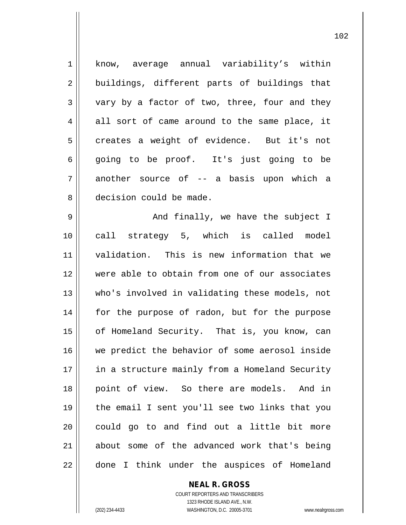1 know, average annual variability's within 2 buildings, different parts of buildings that  $3 \parallel$  vary by a factor of two, three, four and they  $4 \parallel$  all sort of came around to the same place, it  $5 \parallel$  creates a weight of evidence. But it's not 6 going to be proof. It's just going to be  $7 \parallel$  another source of -- a basis upon which a 8 decision could be made. 9 And finally, we have the subject I 10 call strategy 5, which is called model 11 validation. This is new information that we 12 were able to obtain from one of our associates 13 who's involved in validating these models, not 14 || for the purpose of radon, but for the purpose 15 | of Homeland Security. That is, you know, can 16 we predict the behavior of some aerosol inside 17 || in a structure mainly from a Homeland Security 18 point of view. So there are models. And in 19 the email I sent you'll see two links that you  $20$  could go to and find out a little bit more 21 about some of the advanced work that's being  $22$  || done I think under the auspices of Homeland

> COURT REPORTERS AND TRANSCRIBERS 1323 RHODE ISLAND AVE., N.W. (202) 234-4433 WASHINGTON, D.C. 20005-3701 www.nealrgross.com

**NEAL R. GROSS**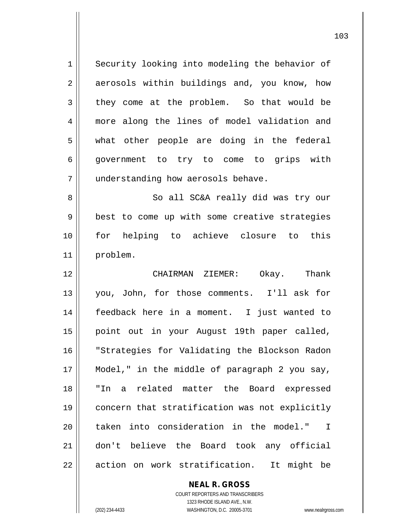1 || Security looking into modeling the behavior of 2 aerosols within buildings and, you know, how  $3 \parallel$  they come at the problem. So that would be 4 more along the lines of model validation and 5 what other people are doing in the federal 6 || government to try to come to grips with 7 | understanding how aerosols behave. 8 || So all SC&A really did was try our 9 || best to come up with some creative strategies 10 for helping to achieve closure to this 11 problem. 12 CHAIRMAN ZIEMER: Okay. Thank 13 you, John, for those comments. I'll ask for 14 feedback here in a moment. I just wanted to 15 point out in your August 19th paper called, 16 "Strategies for Validating the Blockson Radon

17 || Model," in the middle of paragraph 2 you say, 18 "In a related matter the Board expressed 19 concern that stratification was not explicitly 20 || taken into consideration in the model." I 21 don't believe the Board took any official 22 || action on work stratification. It might be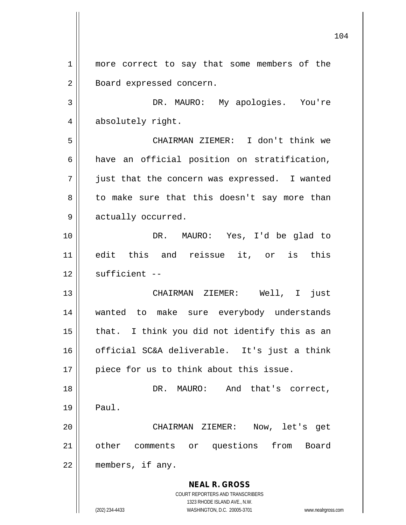**NEAL R. GROSS** COURT REPORTERS AND TRANSCRIBERS 1323 RHODE ISLAND AVE., N.W. 1 || more correct to say that some members of the 2 | Board expressed concern. 3 DR. MAURO: My apologies. You're 4 absolutely right. 5 CHAIRMAN ZIEMER: I don't think we  $6$  have an official position on stratification,  $7 \parallel$  just that the concern was expressed. I wanted  $8 \parallel$  to make sure that this doesn't say more than 9 | actually occurred. 10 DR. MAURO: Yes, I'd be glad to 11 edit this and reissue it, or is this  $12$   $\parallel$  sufficient --13 CHAIRMAN ZIEMER: Well, I just 14 wanted to make sure everybody understands  $15$  || that. I think you did not identify this as an 16 official SC&A deliverable. It's just a think 17 || piece for us to think about this issue. 18 DR. MAURO: And that's correct,  $19 \parallel$  Paul. 20 CHAIRMAN ZIEMER: Now, let's get 21 other comments or questions from Board 22 members, if any.

(202) 234-4433 WASHINGTON, D.C. 20005-3701 www.nealrgross.com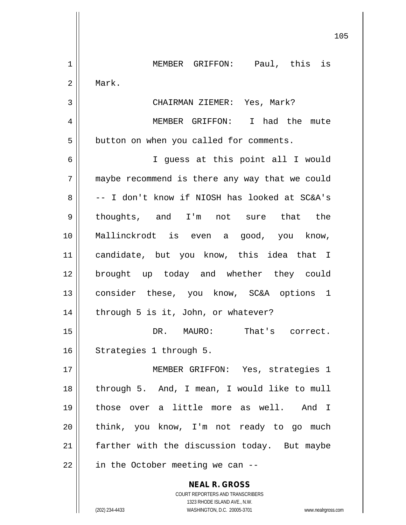**NEAL R. GROSS** COURT REPORTERS AND TRANSCRIBERS 1 || MEMBER GRIFFON: Paul, this is 2 Mark. 3 CHAIRMAN ZIEMER: Yes, Mark? 4 MEMBER GRIFFON: I had the mute 5 | button on when you called for comments. 6 I guess at this point all I would 7 maybe recommend is there any way that we could  $8 \parallel$  -- I don't know if NIOSH has looked at SC&A's 9 || thoughts, and I'm not sure that the 10 Mallinckrodt is even a good, you know, 11 candidate, but you know, this idea that I 12 brought up today and whether they could 13 || consider these, you know, SC&A options 1 14 || through 5 is it, John, or whatever? 15 DR. MAURO: That's correct. 16 | Strategies 1 through 5. 17 MEMBER GRIFFON: Yes, strategies 1 18 || through 5. And, I mean, I would like to mull 19 those over a little more as well. And I 20 || think, you know, I'm not ready to go much 21 || farther with the discussion today. But maybe  $22$  | in the October meeting we can --

1323 RHODE ISLAND AVE., N.W.

(202) 234-4433 WASHINGTON, D.C. 20005-3701 www.nealrgross.com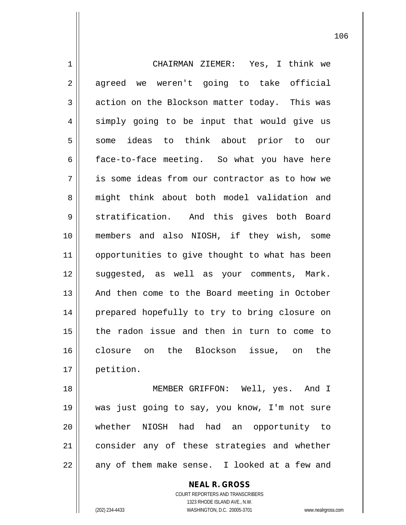1 CHAIRMAN ZIEMER: Yes, I think we 2 agreed we weren't going to take official  $3 \parallel$  action on the Blockson matter today. This was  $4 \parallel$  simply going to be input that would give us 5 some ideas to think about prior to our  $6 \parallel$  face-to-face meeting. So what you have here 7 is some ideas from our contractor as to how we 8 might think about both model validation and 9 Stratification. And this gives both Board 10 members and also NIOSH, if they wish, some 11 || opportunities to give thought to what has been 12 suggested, as well as your comments, Mark. 13 || And then come to the Board meeting in October 14 || prepared hopefully to try to bring closure on 15 the radon issue and then in turn to come to 16 closure on the Blockson issue, on the 17 petition.

 MEMBER GRIFFON: Well, yes. And I was just going to say, you know, I'm not sure whether NIOSH had had an opportunity to 21 consider any of these strategies and whether || any of them make sense. I looked at a few and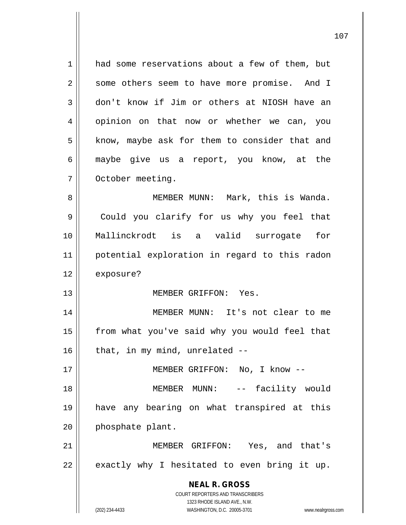1 had some reservations about a few of them, but 2 | some others seem to have more promise. And I 3 don't know if Jim or others at NIOSH have an 4 || opinion on that now or whether we can, you  $5$  | know, maybe ask for them to consider that and 6 maybe give us a report, you know, at the 7 | October meeting. 8 || MEMBER MUNN: Mark, this is Wanda. 9 Could you clarify for us why you feel that 10 Mallinckrodt is a valid surrogate for

11 potential exploration in regard to this radon 12 exposure?

13 MEMBER GRIFFON: Yes.

14 || MEMBER MUNN: It's not clear to me 15 || from what you've said why you would feel that  $16$  | that, in my mind, unrelated  $-$ 

17 || MEMBER GRIFFON: No, I know --

18 MEMBER MUNN: -- facility would 19 have any bearing on what transpired at this  $20$  | phosphate plant.

21 MEMBER GRIFFON: Yes, and that's  $22 \parallel$  exactly why I hesitated to even bring it up.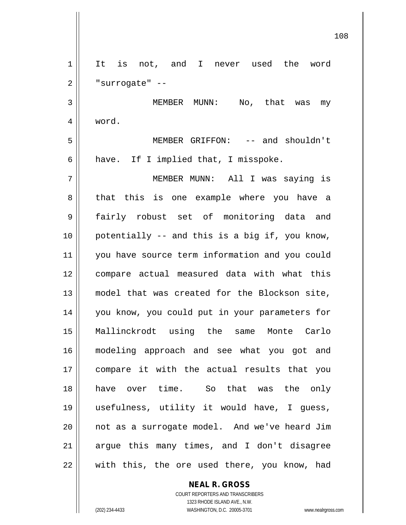1 || It is not, and I never used the word  $2 \parallel$  "surrogate" -- MEMBER MUNN: No, that was my 4 word. MEMBER GRIFFON: -- and shouldn't  $6 \parallel$  have. If I implied that, I misspoke. MEMBER MUNN: All I was saying is 8 that this is one example where you have a fairly robust set of monitoring data and potentially -- and this is a big if, you know, 11 || you have source term information and you could 12 || compare actual measured data with what this model that was created for the Blockson site, you know, you could put in your parameters for Mallinckrodt using the same Monte Carlo modeling approach and see what you got and compare it with the actual results that you have over time. So that was the only usefulness, utility it would have, I guess, not as a surrogate model. And we've heard Jim || argue this many times, and I don't disagree 22 || with this, the ore used there, you know, had

> COURT REPORTERS AND TRANSCRIBERS 1323 RHODE ISLAND AVE., N.W. (202) 234-4433 WASHINGTON, D.C. 20005-3701 www.nealrgross.com

**NEAL R. GROSS**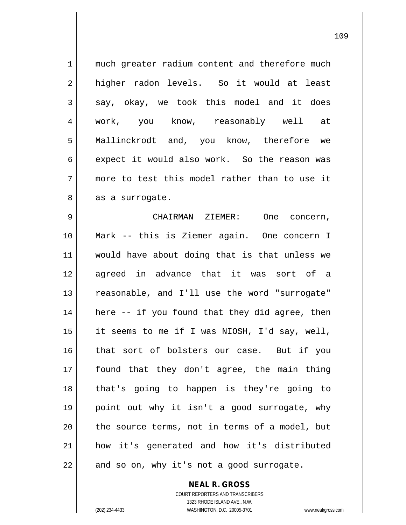| $\mathbf 1$ | much greater radium content and therefore much |
|-------------|------------------------------------------------|
| 2           | higher radon levels. So it would at least      |
| 3           | say, okay, we took this model and it does      |
| 4           | work, you know, reasonably well<br>at          |
| 5           | Mallinckrodt and, you know, therefore we       |
| 6           | expect it would also work. So the reason was   |
| 7           | more to test this model rather than to use it  |
| 8           | as a surrogate.                                |
| 9           | CHAIRMAN ZIEMER:<br>One concern,               |
| 10          | Mark -- this is Ziemer again. One concern I    |
| 11          | would have about doing that is that unless we  |
| 12          | agreed in advance that it was sort of a        |
| 13          | reasonable, and I'll use the word "surrogate"  |
| 14          | here -- if you found that they did agree, then |
| 15          | it seems to me if I was NIOSH, I'd say, well,  |
| 16          | that sort of bolsters our case. But if you     |
| 17          | found that they don't agree, the main thing    |
| 18          | that's going to happen is they're going to     |
| 19          | point out why it isn't a good surrogate, why   |
| 20          | the source terms, not in terms of a model, but |
| 21          | how it's generated and how it's distributed    |
| 22          | and so on, why it's not a good surrogate.      |

COURT REPORTERS AND TRANSCRIBERS 1323 RHODE ISLAND AVE., N.W. (202) 234-4433 WASHINGTON, D.C. 20005-3701 www.nealrgross.com

**NEAL R. GROSS**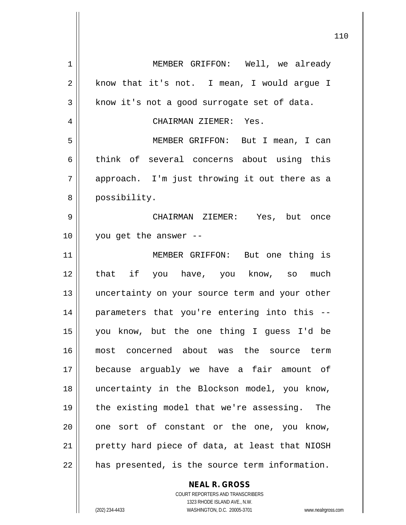| $\mathbf 1$ | MEMBER GRIFFON: Well, we already               |
|-------------|------------------------------------------------|
| 2           | know that it's not. I mean, I would argue I    |
| 3           | know it's not a good surrogate set of data.    |
| 4           | CHAIRMAN ZIEMER: Yes.                          |
| 5           | MEMBER GRIFFON: But I mean, I can              |
| 6           | think of several concerns about using this     |
| 7           | approach. I'm just throwing it out there as a  |
| 8           | possibility.                                   |
| 9           | CHAIRMAN ZIEMER: Yes, but once                 |
| 10          | you get the answer --                          |
| 11          | MEMBER GRIFFON: But one thing is               |
| 12          | that if you have, you know, so much            |
| 13          | uncertainty on your source term and your other |
| 14          | parameters that you're entering into this --   |
| 15          | you know, but the one thing I guess I'd be     |
| 16          | most concerned about was the source term       |
| 17          | because arguably we have a fair amount of      |
| 18          | uncertainty in the Blockson model, you know,   |
| 19          | the existing model that we're assessing. The   |
| 20          | one sort of constant or the one, you know,     |
| 21          | pretty hard piece of data, at least that NIOSH |
| 22          | has presented, is the source term information. |
|             | <b>NEAL R. GROSS</b>                           |

COURT REPORTERS AND TRANSCRIBERS 1323 RHODE ISLAND AVE., N.W. (202) 234-4433 WASHINGTON, D.C. 20005-3701 www.nealrgross.com

 $\mathbf{I}$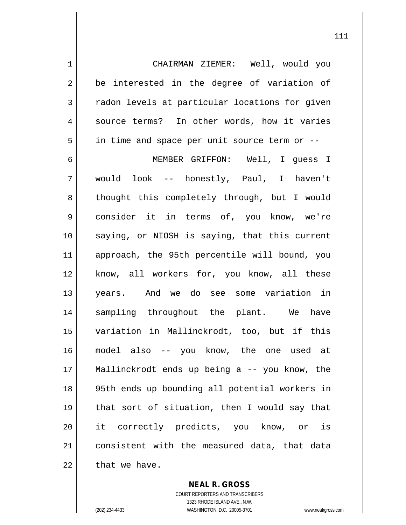1 CHAIRMAN ZIEMER: Well, would you  $2 \parallel$  be interested in the degree of variation of 3 | radon levels at particular locations for given 4 || source terms? In other words, how it varies  $5 \parallel$  in time and space per unit source term or  $-$ 

 MEMBER GRIFFON: Well, I guess I would look -- honestly, Paul, I haven't 8 || thought this completely through, but I would consider it in terms of, you know, we're 10 || saying, or NIOSH is saying, that this current approach, the 95th percentile will bound, you 12 || know, all workers for, you know, all these years. And we do see some variation in sampling throughout the plant. We have variation in Mallinckrodt, too, but if this model also -- you know, the one used at Mallinckrodt ends up being a -- you know, the 95th ends up bounding all potential workers in that sort of situation, then I would say that it correctly predicts, you know, or is 21 | consistent with the measured data, that data that we have.

> **NEAL R. GROSS** COURT REPORTERS AND TRANSCRIBERS 1323 RHODE ISLAND AVE., N.W. (202) 234-4433 WASHINGTON, D.C. 20005-3701 www.nealrgross.com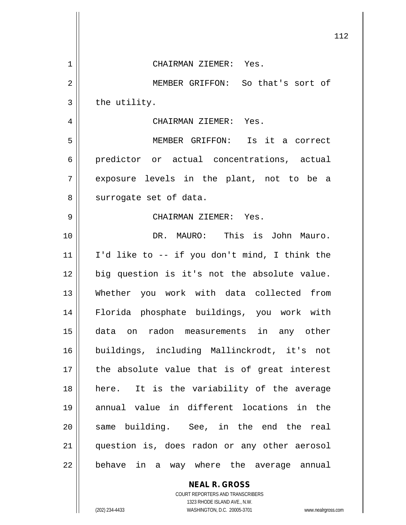|             | 112                                           |
|-------------|-----------------------------------------------|
| $\mathbf 1$ | CHAIRMAN ZIEMER: Yes.                         |
| 2           | MEMBER GRIFFON: So that's sort of             |
| 3           | the utility.                                  |
| 4           | CHAIRMAN ZIEMER: Yes.                         |
| 5           | MEMBER GRIFFON: Is it a correct               |
| 6           | predictor or actual concentrations, actual    |
| 7           | exposure levels in the plant, not to be a     |
| 8           | surrogate set of data.                        |
| 9           | CHAIRMAN ZIEMER: Yes.                         |
| 10          | DR. MAURO: This is John Mauro.                |
| 11          | I'd like to -- if you don't mind, I think the |
| 12          | big question is it's not the absolute value.  |
| 13          | Whether you work with data collected from     |
| 14          | Florida phosphate buildings, you work with    |
| 15          | data on radon measurements in any other       |
| 16          | buildings, including Mallinckrodt, it's not   |
| 17          | the absolute value that is of great interest  |
| 18          | here. It is the variability of the average    |
| 19          | annual value in different locations in the    |
| 20          | same building. See, in the end the real       |
| 21          | question is, does radon or any other aerosol  |
| 22          | behave in a way where the average annual      |
|             | <b>NEAL R. GROSS</b>                          |

COURT REPORTERS AND TRANSCRIBERS 1323 RHODE ISLAND AVE., N.W.

(202) 234-4433 WASHINGTON, D.C. 20005-3701 www.nealrgross.com

 $\mathsf{II}$ 

 $\overline{\mathsf{I}}$  $\mathbf{\mathcal{L}}$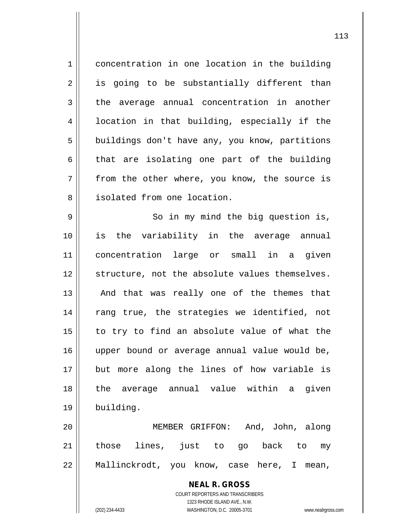1 concentration in one location in the building 2 || is going to be substantially different than  $3 \parallel$  the average annual concentration in another  $4 \parallel$  location in that building, especially if the 5 | buildings don't have any, you know, partitions  $6 \parallel$  that are isolating one part of the building  $7 \parallel$  from the other where, you know, the source is 8 || isolated from one location.

9 || So in my mind the big question is, is the variability in the average annual concentration large or small in a given 12 Structure, not the absolute values themselves. 13 || And that was really one of the themes that 14 || rang true, the strategies we identified, not to try to find an absolute value of what the upper bound or average annual value would be, but more along the lines of how variable is the average annual value within a given building.

20 MEMBER GRIFFON: And, John, along 21 || those lines, just to go back to my 22 Mallinckrodt, you know, case here, I mean,

> **NEAL R. GROSS** COURT REPORTERS AND TRANSCRIBERS 1323 RHODE ISLAND AVE., N.W. (202) 234-4433 WASHINGTON, D.C. 20005-3701 www.nealrgross.com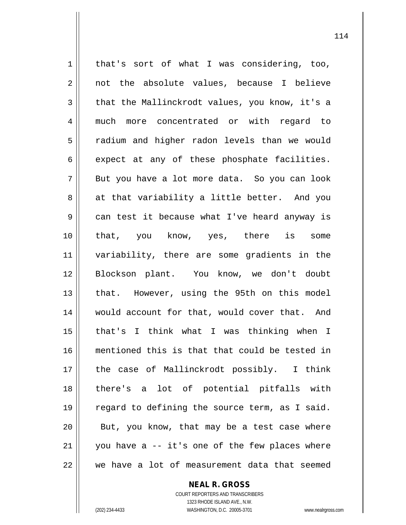1 || that's sort of what I was considering, too, 2 || not the absolute values, because I believe  $3 \parallel$  that the Mallinckrodt values, you know, it's a 4 || much more concentrated or with regard to 5 | radium and higher radon levels than we would  $6 \parallel$  expect at any of these phosphate facilities.  $7 \parallel$  But you have a lot more data. So you can look  $8 \parallel$  at that variability a little better. And you 9 can test it because what I've heard anyway is 10 that, you know, yes, there is some 11 variability, there are some gradients in the 12 || Blockson plant. You know, we don't doubt 13 || that. However, using the 95th on this model 14 would account for that, would cover that. And 15 that's I think what I was thinking when I 16 mentioned this is that that could be tested in 17 the case of Mallinckrodt possibly. I think 18 there's a lot of potential pitfalls with 19 || regard to defining the source term, as I said.  $20$  || But, you know, that may be a test case where  $21$  | you have a -- it's one of the few places where 22 we have a lot of measurement data that seemed

**NEAL R. GROSS**

COURT REPORTERS AND TRANSCRIBERS 1323 RHODE ISLAND AVE., N.W. (202) 234-4433 WASHINGTON, D.C. 20005-3701 www.nealrgross.com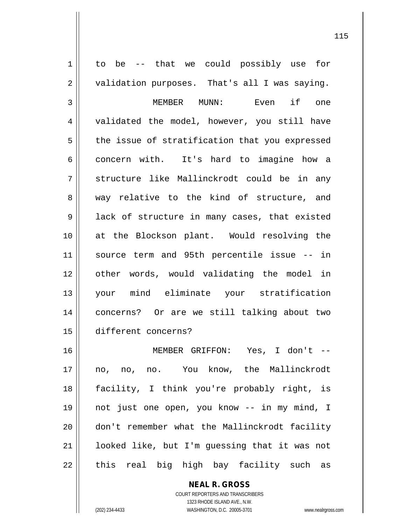1 || to be -- that we could possibly use for  $2 \parallel$  validation purposes. That's all I was saying. MEMBER MUNN: Even if one 4 || validated the model, however, you still have | the issue of stratification that you expressed 6 concern with. It's hard to imagine how a 7 || structure like Mallinckrodt could be in any 8 way relative to the kind of structure, and 9 || lack of structure in many cases, that existed at the Blockson plant. Would resolving the source term and 95th percentile issue -- in other words, would validating the model in your mind eliminate your stratification concerns? Or are we still talking about two different concerns? MEMBER GRIFFON: Yes, I don't -- no, no, no. You know, the Mallinckrodt facility, I think you're probably right, is not just one open, you know -- in my mind, I don't remember what the Mallinckrodt facility looked like, but I'm guessing that it was not || this real big high bay facility such as

> COURT REPORTERS AND TRANSCRIBERS 1323 RHODE ISLAND AVE., N.W. (202) 234-4433 WASHINGTON, D.C. 20005-3701 www.nealrgross.com

**NEAL R. GROSS**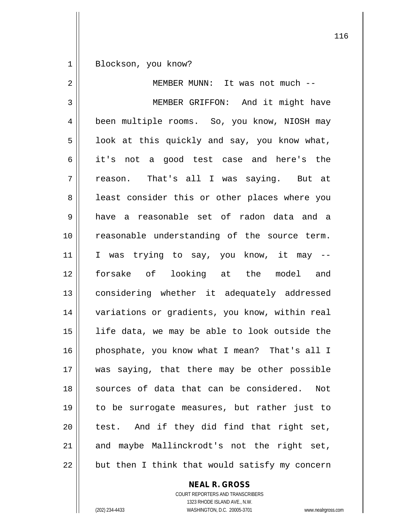1 || Blockson, you know?

| 2           | MEMBER MUNN: It was not much --                |
|-------------|------------------------------------------------|
| 3           | MEMBER GRIFFON: And it might have              |
| 4           | been multiple rooms. So, you know, NIOSH may   |
| 5           | look at this quickly and say, you know what,   |
| 6           | not a good test case and here's the<br>it's    |
| 7           | reason. That's all I was saying. But at        |
| 8           | least consider this or other places where you  |
| $\mathsf 9$ | have a reasonable set of radon data and a      |
| 10          | reasonable understanding of the source term.   |
| 11          | I was trying to say, you know, it may --       |
| 12          | forsake of looking at the model and            |
| 13          | considering whether it adequately addressed    |
| 14          | variations or gradients, you know, within real |
| 15          | life data, we may be able to look outside the  |
| 16          | phosphate, you know what I mean? That's all I  |
| 17          | was saying, that there may be other possible   |
| 18          | sources of data that can be considered.<br>Not |
| 19          | to be surrogate measures, but rather just to   |
| 20          | test. And if they did find that right set,     |
| 21          | and maybe Mallinckrodt's not the right set,    |
| 22          | but then I think that would satisfy my concern |

## **NEAL R. GROSS**

COURT REPORTERS AND TRANSCRIBERS 1323 RHODE ISLAND AVE., N.W. (202) 234-4433 WASHINGTON, D.C. 20005-3701 www.nealrgross.com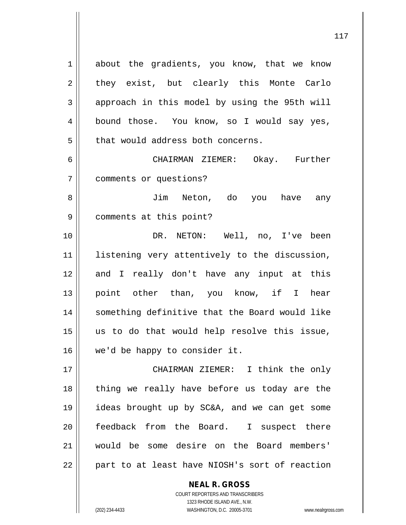1 about the gradients, you know, that we know  $2 \parallel$  they exist, but clearly this Monte Carlo  $3 \parallel$  approach in this model by using the 95th will 4 bound those. You know, so I would say yes,  $5$   $\parallel$  that would address both concerns.

6 CHAIRMAN ZIEMER: Okay. Further 7 comments or questions?

8 || Jim Neton, do you have any 9 comments at this point?

 DR. NETON: Well, no, I've been 11 || listening very attentively to the discussion, 12 and I really don't have any input at this point other than, you know, if I hear something definitive that the Board would like us to do that would help resolve this issue, we'd be happy to consider it.

 CHAIRMAN ZIEMER: I think the only 18 || thing we really have before us today are the ideas brought up by SC&A, and we can get some 20 || feedback from the Board. I suspect there would be some desire on the Board members' | part to at least have NIOSH's sort of reaction

> COURT REPORTERS AND TRANSCRIBERS 1323 RHODE ISLAND AVE., N.W. (202) 234-4433 WASHINGTON, D.C. 20005-3701 www.nealrgross.com

**NEAL R. GROSS**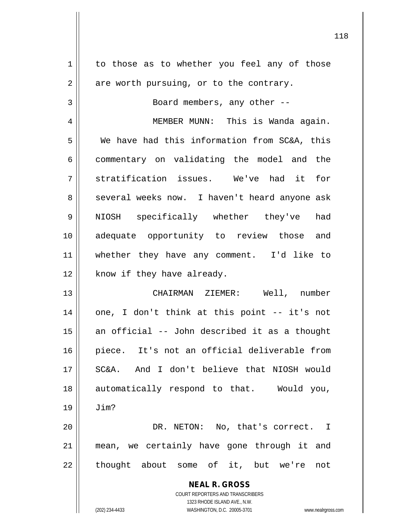| 1          | to those as to whether you feel any of those                     |
|------------|------------------------------------------------------------------|
| $\sqrt{2}$ | are worth pursuing, or to the contrary.                          |
| 3          | Board members, any other --                                      |
| 4          | MEMBER MUNN: This is Wanda again.                                |
| 5          | We have had this information from SC&A, this                     |
| 6          | commentary on validating the model and the                       |
| 7          | stratification issues. We've had it for                          |
| 8          | several weeks now. I haven't heard anyone ask                    |
| 9          | NIOSH specifically whether they've<br>had                        |
| 10         | adequate opportunity to review those and                         |
| 11         | whether they have any comment. I'd like to                       |
| 12         | know if they have already.                                       |
| 13         | CHAIRMAN ZIEMER: Well, number                                    |
| 14         | one, I don't think at this point -- it's not                     |
| 15         | an official -- John described it as a thought                    |
| 16         | piece. It's not an official deliverable from                     |
| 17         | And I don't believe that NIOSH would<br>SC&A.                    |
| 18         | automatically respond to that. Would you,                        |
| 19         | Jim?                                                             |
| 20         | DR. NETON: No, that's correct. I                                 |
| 21         | mean, we certainly have gone through it and                      |
| 22         | thought about some of it, but we're<br>not                       |
|            | <b>NEAL R. GROSS</b>                                             |
|            | <b>COURT REPORTERS AND TRANSCRIBERS</b>                          |
|            | 1323 RHODE ISLAND AVE., N.W.                                     |
|            | WASHINGTON, D.C. 20005-3701<br>(202) 234-4433<br>www.nealrgross. |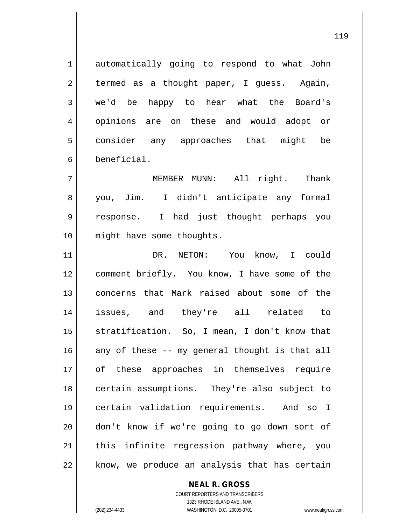1 automatically going to respond to what John  $2 \parallel$  termed as a thought paper, I guess. Again, 3 we'd be happy to hear what the Board's 4 || opinions are on these and would adopt or 5 consider any approaches that might be 6 beneficial.

 MEMBER MUNN: All right. Thank 8 you, Jim. I didn't anticipate any formal response. I had just thought perhaps you might have some thoughts.

11 DR. NETON: You know, I could 12 || comment briefly. You know, I have some of the 13 concerns that Mark raised about some of the 14 issues, and they're all related to 15 || stratification. So, I mean, I don't know that  $16$  any of these -- my general thought is that all 17 || of these approaches in themselves require 18 || certain assumptions. They're also subject to 19 certain validation requirements. And so I 20 || don't know if we're going to go down sort of  $21$  this infinite regression pathway where, you  $22$  || know, we produce an analysis that has certain

> COURT REPORTERS AND TRANSCRIBERS 1323 RHODE ISLAND AVE., N.W. (202) 234-4433 WASHINGTON, D.C. 20005-3701 www.nealrgross.com

**NEAL R. GROSS**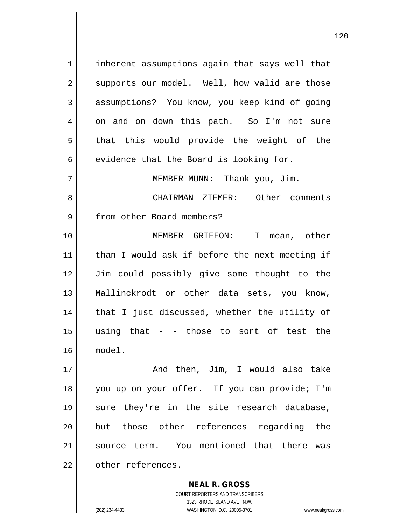1 || inherent assumptions again that says well that  $2 \parallel$  supports our model. Well, how valid are those 3 | assumptions? You know, you keep kind of going 4 on and on down this path. So I'm not sure  $5 \parallel$  that this would provide the weight of the  $6 \parallel$  evidence that the Board is looking for. 7 || MEMBER MUNN: Thank you, Jim. 8 CHAIRMAN ZIEMER: Other comments 9 || from other Board members? 10 MEMBER GRIFFON: I mean, other  $11$  | than I would ask if before the next meeting if 12 Jim could possibly give some thought to the 13 Mallinckrodt or other data sets, you know, 14 || that I just discussed, whether the utility of  $15$  using that - - those to sort of test the 16 model. 17 And then, Jim, I would also take 18 you up on your offer. If you can provide; I'm 19 || sure they're in the site research database, 20 || but those other references regarding the 21 Source term. You mentioned that there was 22 | other references.

> COURT REPORTERS AND TRANSCRIBERS 1323 RHODE ISLAND AVE., N.W. (202) 234-4433 WASHINGTON, D.C. 20005-3701 www.nealrgross.com

**NEAL R. GROSS**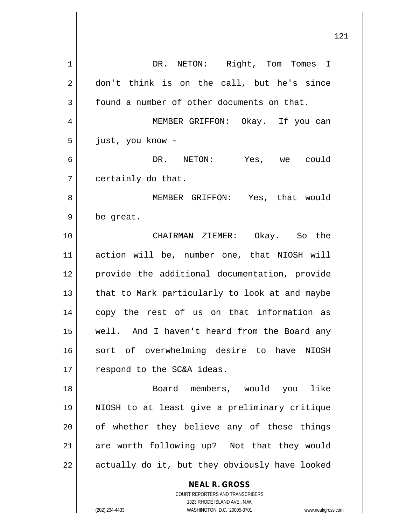| 1  | DR. NETON: Right, Tom Tomes I                                                                    |
|----|--------------------------------------------------------------------------------------------------|
| 2  | don't think is on the call, but he's since                                                       |
| 3  | found a number of other documents on that.                                                       |
| 4  | MEMBER GRIFFON: Okay. If you can                                                                 |
| 5  | just, you know -                                                                                 |
| 6  | DR. NETON: Yes, we could                                                                         |
| 7  | certainly do that.                                                                               |
| 8  | MEMBER GRIFFON: Yes, that would                                                                  |
| 9  | be great.                                                                                        |
| 10 | CHAIRMAN ZIEMER: Okay. So the                                                                    |
| 11 | action will be, number one, that NIOSH will                                                      |
| 12 | provide the additional documentation, provide                                                    |
| 13 | that to Mark particularly to look at and maybe                                                   |
| 14 | copy the rest of us on that information as                                                       |
| 15 | well. And I haven't heard from the Board any                                                     |
| 16 | sort of overwhelming desire to have NIOSH                                                        |
| 17 | respond to the SC&A ideas.                                                                       |
| 18 | Board members, would you like                                                                    |
| 19 | NIOSH to at least give a preliminary critique                                                    |
| 20 | of whether they believe any of these things                                                      |
| 21 | are worth following up? Not that they would                                                      |
| 22 | actually do it, but they obviously have looked                                                   |
|    | <b>NEAL R. GROSS</b>                                                                             |
|    | COURT REPORTERS AND TRANSCRIBERS                                                                 |
|    | 1323 RHODE ISLAND AVE., N.W.<br>(202) 234-4433<br>WASHINGTON, D.C. 20005-3701<br>www.nealrgross. |
|    |                                                                                                  |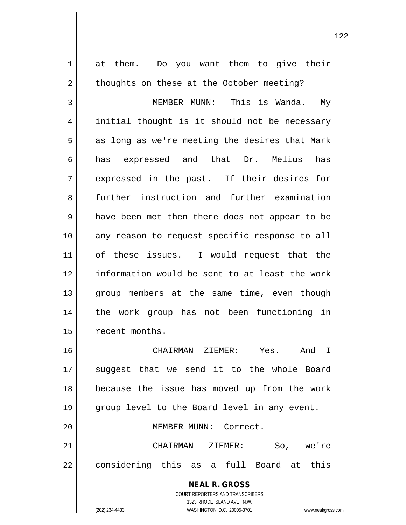**NEAL R. GROSS** COURT REPORTERS AND TRANSCRIBERS 1323 RHODE ISLAND AVE., N.W. 1 || at them. Do you want them to give their 2 | thoughts on these at the October meeting? 3 MEMBER MUNN: This is Wanda. My 4 || initial thought is it should not be necessary  $5 \parallel$  as long as we're meeting the desires that Mark 6 has expressed and that Dr. Melius has 7 expressed in the past. If their desires for 8 further instruction and further examination 9 || have been met then there does not appear to be 10 any reason to request specific response to all 11 || of these issues. I would request that the 12 information would be sent to at least the work 13 || group members at the same time, even though 14 the work group has not been functioning in 15 | recent months. 16 CHAIRMAN ZIEMER: Yes. And I 17 || suggest that we send it to the whole Board 18 because the issue has moved up from the work 19 || group level to the Board level in any event. 20 MEMBER MUNN: Correct. 21 CHAIRMAN ZIEMER: So, we're 22 || considering this as a full Board at this

(202) 234-4433 WASHINGTON, D.C. 20005-3701 www.nealrgross.com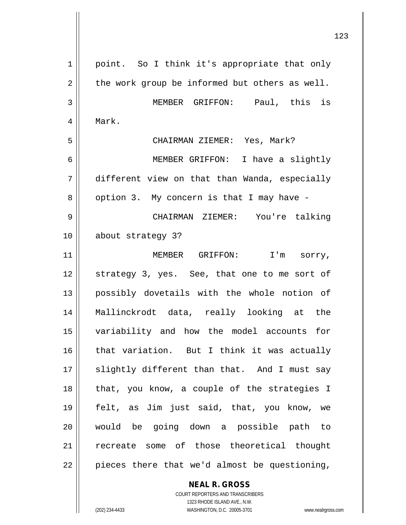| $\mathbf 1$ | point. So I think it's appropriate that only   |
|-------------|------------------------------------------------|
| 2           | the work group be informed but others as well. |
| 3           | MEMBER GRIFFON: Paul, this is                  |
| 4           | Mark.                                          |
| 5           | CHAIRMAN ZIEMER: Yes, Mark?                    |
| 6           | MEMBER GRIFFON: I have a slightly              |
| 7           | different view on that than Wanda, especially  |
| 8           | option 3. My concern is that I may have -      |
| 9           | CHAIRMAN ZIEMER: You're talking                |
| 10          | about strategy 3?                              |
| 11          | MEMBER GRIFFON: I'm sorry,                     |
| 12          | strategy 3, yes. See, that one to me sort of   |
| 13          | possibly dovetails with the whole notion of    |
| 14          | Mallinckrodt data, really looking at the       |
| 15          | variability and how the model accounts for     |
| 16          | that variation. But I think it was actually    |
| 17          | slightly different than that. And I must say   |
| 18          | that, you know, a couple of the strategies I   |
| 19          | felt, as Jim just said, that, you know, we     |
| 20          | would be going down a possible path to         |
| 21          | recreate some of those theoretical thought     |
| 22          | pieces there that we'd almost be questioning,  |
|             |                                                |

**NEAL R. GROSS** COURT REPORTERS AND TRANSCRIBERS 1323 RHODE ISLAND AVE., N.W. (202) 234-4433 WASHINGTON, D.C. 20005-3701 www.nealrgross.com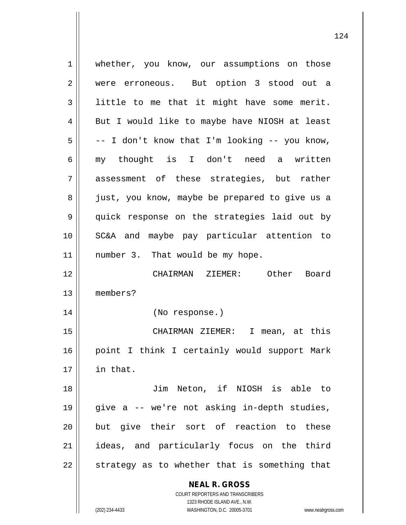**NEAL R. GROSS** COURT REPORTERS AND TRANSCRIBERS 1323 RHODE ISLAND AVE., N.W. 1 | whether, you know, our assumptions on those 2 || were erroneous. But option 3 stood out a 3 | little to me that it might have some merit.  $4 \parallel$  But I would like to maybe have NIOSH at least  $5 \parallel$  -- I don't know that I'm looking -- you know, 6 my thought is I don't need a written 7 assessment of these strategies, but rather 8 || just, you know, maybe be prepared to give us a 9 quick response on the strategies laid out by 10 SC&A and maybe pay particular attention to  $11$  | number 3. That would be my hope. 12 CHAIRMAN ZIEMER: Other Board 13 members? 14 (No response.) 15 CHAIRMAN ZIEMER: I mean, at this 16 || point I think I certainly would support Mark 17 in that. 18 Jim Neton, if NIOSH is able to 19 give a -- we're not asking in-depth studies, 20 || but give their sort of reaction to these 21 ideas, and particularly focus on the third  $22$   $\parallel$  strategy as to whether that is something that

(202) 234-4433 WASHINGTON, D.C. 20005-3701 www.nealrgross.com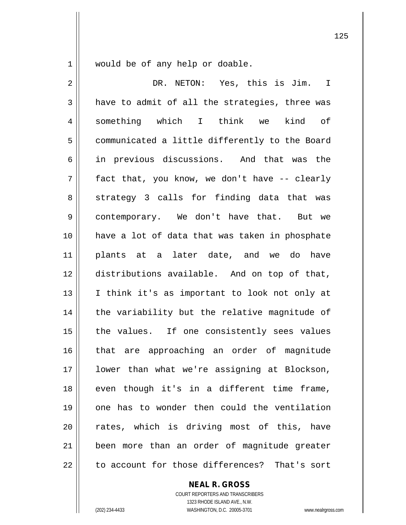1 | would be of any help or doable.

2 DR. NETON: Yes, this is Jim. I  $3 \parallel$  have to admit of all the strategies, three was 4 something which I think we kind of 5 | communicated a little differently to the Board 6 || in previous discussions. And that was the  $7 \parallel$  fact that, you know, we don't have -- clearly 8 || strategy 3 calls for finding data that was 9 contemporary. We don't have that. But we 10 have a lot of data that was taken in phosphate 11 plants at a later date, and we do have 12 distributions available. And on top of that, 13 || I think it's as important to look not only at 14 || the variability but the relative magnitude of  $15$  | the values. If one consistently sees values 16 || that are approaching an order of magnitude 17 lower than what we're assigning at Blockson, 18 || even though it's in a different time frame, 19 one has to wonder then could the ventilation 20 || rates, which is driving most of this, have 21 been more than an order of magnitude greater 22 d to account for those differences? That's sort

**NEAL R. GROSS**

COURT REPORTERS AND TRANSCRIBERS 1323 RHODE ISLAND AVE., N.W. (202) 234-4433 WASHINGTON, D.C. 20005-3701 www.nealrgross.com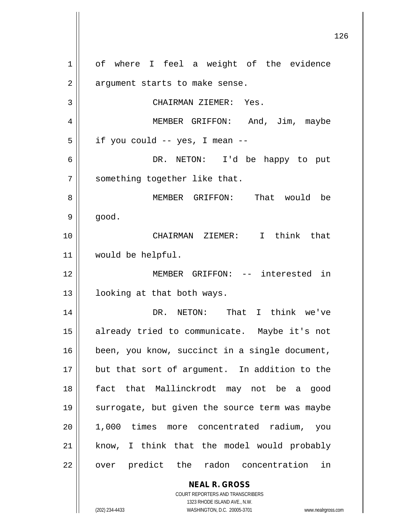**NEAL R. GROSS** COURT REPORTERS AND TRANSCRIBERS 1 | of where I feel a weight of the evidence  $2 \parallel$  argument starts to make sense. 3 CHAIRMAN ZIEMER: Yes. 4 MEMBER GRIFFON: And, Jim, maybe  $5 \parallel$  if you could -- yes, I mean --6 DR. NETON: I'd be happy to put 7 || something together like that. 8 MEMBER GRIFFON: That would be  $9 \parallel$  good. 10 CHAIRMAN ZIEMER: I think that 11 would be helpful. 12 MEMBER GRIFFON: -- interested in 13 | looking at that both ways. 14 DR. NETON: That I think we've 15 already tried to communicate. Maybe it's not 16 | been, you know, succinct in a single document, 17 || but that sort of argument. In addition to the 18 fact that Mallinckrodt may not be a good 19 || surrogate, but given the source term was maybe 20 1,000 times more concentrated radium, you  $21$  know, I think that the model would probably 22 || over predict the radon concentration in

1323 RHODE ISLAND AVE., N.W.

(202) 234-4433 WASHINGTON, D.C. 20005-3701 www.nealrgross.com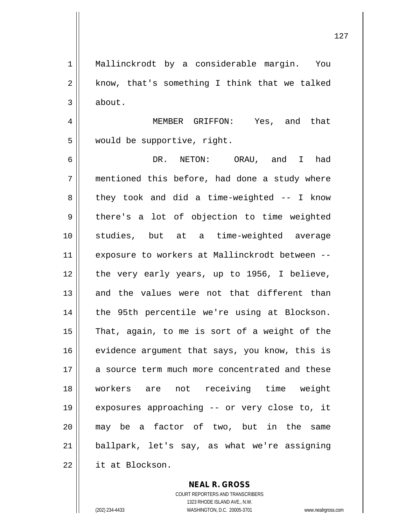127

1 || Mallinckrodt by a considerable margin. You  $2 \parallel$  know, that's something I think that we talked  $3 \parallel$  about.

4 MEMBER GRIFFON: Yes, and that 5 | would be supportive, right.

 DR. NETON: ORAU, and I had mentioned this before, had done a study where  $8 \parallel$  they took and did a time-weighted -- I know  $9 \parallel$  there's a lot of objection to time weighted studies, but at a time-weighted average exposure to workers at Mallinckrodt between -- || the very early years, up to 1956, I believe, 13 and the values were not that different than 14 || the 95th percentile we're using at Blockson. || That, again, to me is sort of a weight of the 16 evidence argument that says, you know, this is 17 a source term much more concentrated and these workers are not receiving time weight exposures approaching -- or very close to, it may be a factor of two, but in the same ballpark, let's say, as what we're assigning **it** at Blockson.

> **NEAL R. GROSS** COURT REPORTERS AND TRANSCRIBERS 1323 RHODE ISLAND AVE., N.W. (202) 234-4433 WASHINGTON, D.C. 20005-3701 www.nealrgross.com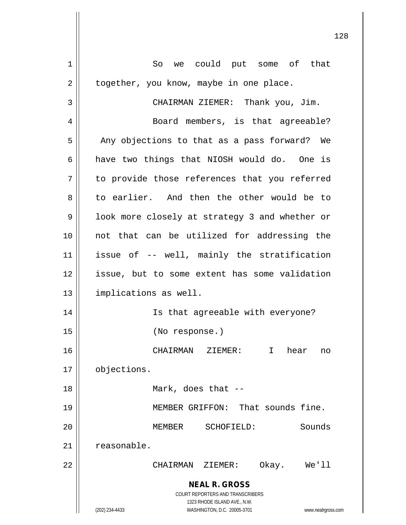**NEAL R. GROSS** COURT REPORTERS AND TRANSCRIBERS 1323 RHODE ISLAND AVE., N.W. (202) 234-4433 WASHINGTON, D.C. 20005-3701 www.nealrgross.com 1 || So we could put some of that  $2 \parallel$  together, you know, maybe in one place. 3 | CHAIRMAN ZIEMER: Thank you, Jim. 4 | Board members, is that agreeable?  $5$  | Any objections to that as a pass forward? We  $6 \parallel$  have two things that NIOSH would do. One is 7 || to provide those references that you referred 8 || to earlier. And then the other would be to 9 || look more closely at strategy 3 and whether or 10 not that can be utilized for addressing the 11 issue of -- well, mainly the stratification 12 issue, but to some extent has some validation 13 | implications as well. 14 || Is that agreeable with everyone? 15 (No response.) 16 CHAIRMAN ZIEMER: I hear no 17 | objections. 18 || Mark, does that --19 MEMBER GRIFFON: That sounds fine. 20 MEMBER SCHOFIELD: Sounds 21 | reasonable. 22 CHAIRMAN ZIEMER: Okay. We'll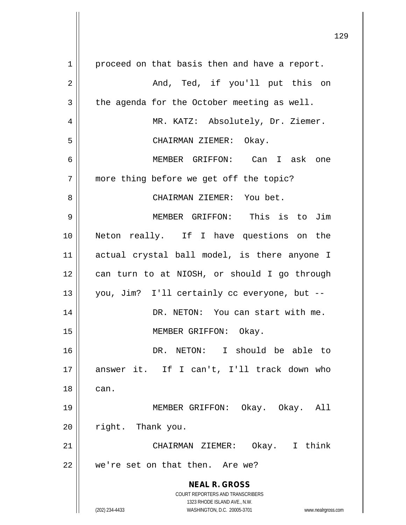**NEAL R. GROSS** COURT REPORTERS AND TRANSCRIBERS 1323 RHODE ISLAND AVE., N.W. (202) 234-4433 WASHINGTON, D.C. 20005-3701 www.nealrgross.com 1 | proceed on that basis then and have a report. And, Ted, if you'll put this on  $3 \parallel$  the agenda for the October meeting as well. MR. KATZ: Absolutely, Dr. Ziemer. CHAIRMAN ZIEMER: Okay. MEMBER GRIFFON: Can I ask one 7 || more thing before we get off the topic? CHAIRMAN ZIEMER: You bet. MEMBER GRIFFON: This is to Jim Neton really. If I have questions on the actual crystal ball model, is there anyone I can turn to at NIOSH, or should I go through you, Jim? I'll certainly cc everyone, but -- DR. NETON: You can start with me. 15 || MEMBER GRIFFON: Okay. DR. NETON: I should be able to answer it. If I can't, I'll track down who can. MEMBER GRIFFON: Okay. Okay. All 20 | right. Thank you. CHAIRMAN ZIEMER: Okay. I think 22 || we're set on that then. Are we?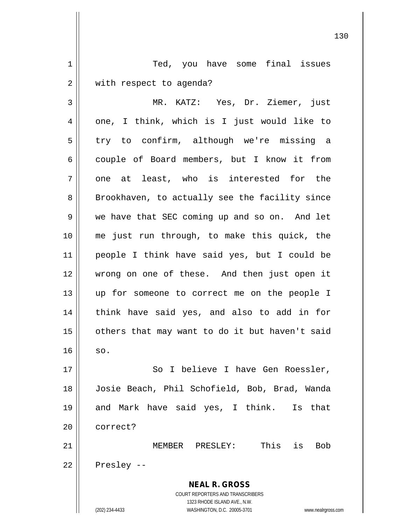**NEAL R. GROSS** COURT REPORTERS AND TRANSCRIBERS 1323 RHODE ISLAND AVE., N.W. (202) 234-4433 WASHINGTON, D.C. 20005-3701 www.nealrgross.com 1 || Ted, you have some final issues 2 | with respect to agenda? 3 MR. KATZ: Yes, Dr. Ziemer, just  $4 \parallel$  one, I think, which is I just would like to 5 || try to confirm, although we're missing a 6 couple of Board members, but I know it from  $7$  || one at least, who is interested for the 8 || Brookhaven, to actually see the facility since 9 we have that SEC coming up and so on. And let 10 me just run through, to make this quick, the 11 people I think have said yes, but I could be 12 wrong on one of these. And then just open it 13 up for someone to correct me on the people I 14 || think have said yes, and also to add in for  $15$  | others that may want to do it but haven't said  $16$  so. 17 || So I believe I have Gen Roessler, 18 Josie Beach, Phil Schofield, Bob, Brad, Wanda 19 and Mark have said yes, I think. Is that 20 ll correct? 21 MEMBER PRESLEY: This is Bob  $22 \parallel$  Presley --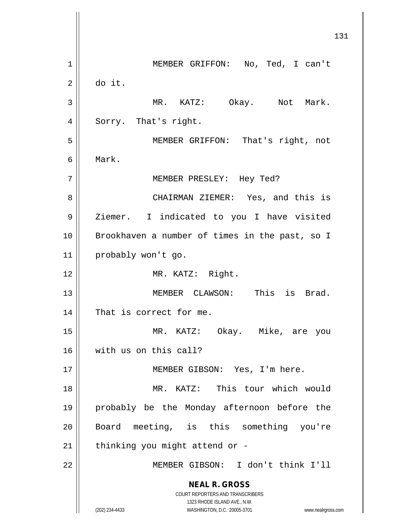**NEAL R. GROSS** COURT REPORTERS AND TRANSCRIBERS 1323 RHODE ISLAND AVE., N.W. (202) 234-4433 WASHINGTON, D.C. 20005-3701 www.nealrgross.com 1 || MEMBER GRIFFON: No, Ted, I can't  $2 \parallel$  do it. 3 || MR. KATZ: Okay. Not Mark. 4 | Sorry. That's right. 5 MEMBER GRIFFON: That's right, not 6 Mark. 7 MEMBER PRESLEY: Hey Ted? 8 CHAIRMAN ZIEMER: Yes, and this is 9 | Ziemer. I indicated to you I have visited 10 || Brookhaven a number of times in the past, so I 11 probably won't go. 12 || MR. KATZ: Right. 13 MEMBER CLAWSON: This is Brad. 14 || That is correct for me. 15 MR. KATZ: Okay. Mike, are you 16 with us on this call? 17 || MEMBER GIBSON: Yes, I'm here. 18 MR. KATZ: This tour which would 19 probably be the Monday afternoon before the 20 || Board meeting, is this something you're  $21$  | thinking you might attend or -22 MEMBER GIBSON: I don't think I'll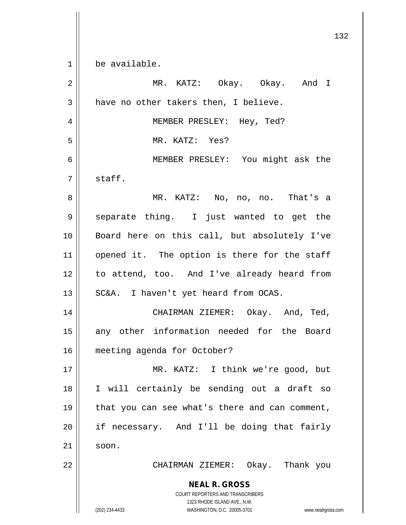**NEAL R. GROSS** COURT REPORTERS AND TRANSCRIBERS 1323 RHODE ISLAND AVE., N.W. (202) 234-4433 WASHINGTON, D.C. 20005-3701 www.nealrgross.com 1 be available. 2 MR. KATZ: Okay. Okay. And I  $3 \parallel$  have no other takers then, I believe. 4 || MEMBER PRESLEY: Hey, Ted? 5 MR. KATZ: Yes? 6 MEMBER PRESLEY: You might ask the  $7 \parallel$  staff. 8 MR. KATZ: No, no, no. That's a 9 || separate thing. I just wanted to get the 10 Board here on this call, but absolutely I've  $11$  opened it. The option is there for the staff 12 to attend, too. And I've already heard from  $13 \parallel$  SC&A. I haven't yet heard from OCAS. 14 CHAIRMAN ZIEMER: Okay. And, Ted, 15 || any other information needed for the Board 16 meeting agenda for October? 17 MR. KATZ: I think we're good, but 18 I will certainly be sending out a draft so 19 || that you can see what's there and can comment,  $20$  || if necessary. And I'll be doing that fairly  $21 \parallel$  soon. 22 CHAIRMAN ZIEMER: Okay. Thank you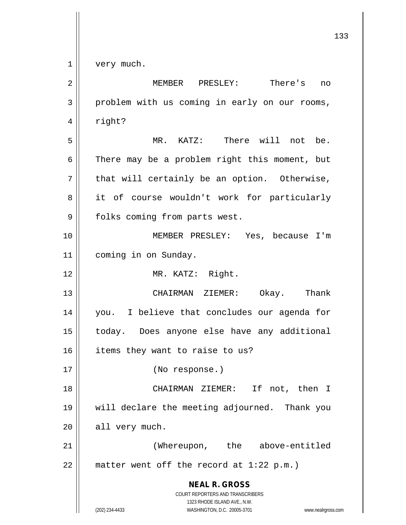| $\overline{2}$ | MEMBER PRESLEY: There's<br>no                                                                                                                                          |
|----------------|------------------------------------------------------------------------------------------------------------------------------------------------------------------------|
| 3              | problem with us coming in early on our rooms,                                                                                                                          |
| 4              | right?                                                                                                                                                                 |
| 5              | MR. KATZ: There will not be.                                                                                                                                           |
| 6              | There may be a problem right this moment, but                                                                                                                          |
| 7              | that will certainly be an option. Otherwise,                                                                                                                           |
| 8              | it of course wouldn't work for particularly                                                                                                                            |
| 9              | folks coming from parts west.                                                                                                                                          |
| 10             | MEMBER PRESLEY: Yes, because I'm                                                                                                                                       |
| 11             | coming in on Sunday.                                                                                                                                                   |
| 12             | MR. KATZ: Right.                                                                                                                                                       |
| 13             | CHAIRMAN ZIEMER: Okay. Thank                                                                                                                                           |
| 14             | you. I believe that concludes our agenda for                                                                                                                           |
| 15             | today. Does anyone else have any additional                                                                                                                            |
| 16             | items they want to raise to us?                                                                                                                                        |
| 17             | (No response.)                                                                                                                                                         |
| 18             | CHAIRMAN ZIEMER: If not, then I                                                                                                                                        |
| 19             | will declare the meeting adjourned. Thank you                                                                                                                          |
| 20             | all very much.                                                                                                                                                         |
| 21             | (Whereupon, the above-entitled                                                                                                                                         |
| 22             | matter went off the record at $1:22$ p.m.)                                                                                                                             |
|                | <b>NEAL R. GROSS</b><br><b>COURT REPORTERS AND TRANSCRIBERS</b><br>1323 RHODE ISLAND AVE., N.W.<br>WASHINGTON, D.C. 20005-3701<br>(202) 234-4433<br>www.nealrgross.com |